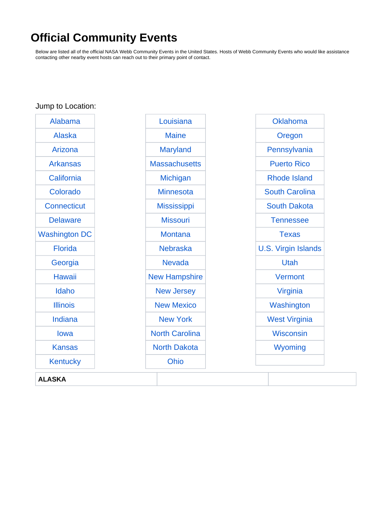## **Official Community Events**

Below are listed all of the official NASA Webb Community Events in the United States. Hosts of Webb Community Events who would like assistance contacting other nearby event hosts can reach out to their primary point of contact.

<span id="page-0-0"></span>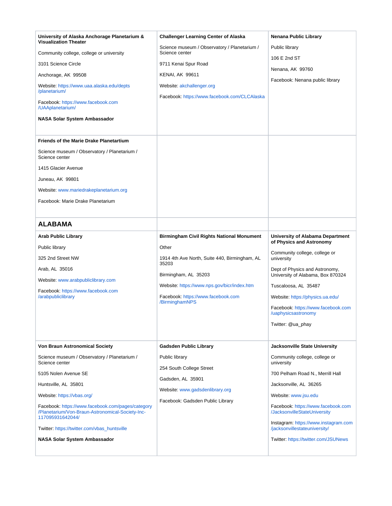<span id="page-1-0"></span>

| University of Alaska Anchorage Planetarium &<br><b>Visualization Theater</b>                                              | <b>Challenger Learning Center of Alaska</b>                    | Nenana Public Library                                                 |
|---------------------------------------------------------------------------------------------------------------------------|----------------------------------------------------------------|-----------------------------------------------------------------------|
| Community college, college or university                                                                                  | Science museum / Observatory / Planetarium /<br>Science center | Public library                                                        |
| 3101 Science Circle                                                                                                       | 9711 Kenai Spur Road                                           | 106 E 2nd ST                                                          |
| Anchorage, AK 99508                                                                                                       | <b>KENAI, AK 99611</b>                                         | Nenana, AK 99760                                                      |
| Website: https://www.uaa.alaska.edu/depts<br>/planetarium/                                                                | Website: akchallenger.org                                      | Facebook: Nenana public library                                       |
| Facebook: https://www.facebook.com<br>/UAAplanetarium/                                                                    | Facebook: https://www.facebook.com/CLCAlaska                   |                                                                       |
| NASA Solar System Ambassador                                                                                              |                                                                |                                                                       |
| <b>Friends of the Marie Drake Planetartium</b><br>Science museum / Observatory / Planetarium /                            |                                                                |                                                                       |
| Science center                                                                                                            |                                                                |                                                                       |
| 1415 Glacier Avenue                                                                                                       |                                                                |                                                                       |
| Juneau, AK 99801                                                                                                          |                                                                |                                                                       |
| Website: www.mariedrakeplanetarium.org                                                                                    |                                                                |                                                                       |
| Facebook: Marie Drake Planetarium                                                                                         |                                                                |                                                                       |
| <b>ALABAMA</b>                                                                                                            |                                                                |                                                                       |
| <b>Arab Public Library</b>                                                                                                | <b>Birmingham Civil Rights National Monument</b>               | University of Alabama Department                                      |
| Public library                                                                                                            | Other                                                          | of Physics and Astronomy                                              |
| 325 2nd Street NW                                                                                                         | 1914 4th Ave North, Suite 440, Birmingham, AL                  | Community college, college or<br>university                           |
| Arab, AL 35016                                                                                                            | 35203                                                          | Dept of Physics and Astronomy,                                        |
| Website: www.arabpubliclibrary.com                                                                                        | Birmingham, AL 35203                                           | University of Alabama, Box 870324                                     |
| Facebook: https://www.facebook.com                                                                                        | Website: https://www.nps.gov/bicr/index.htm                    | Tuscaloosa, AL 35487                                                  |
| /arabpubliclibrary                                                                                                        | Facebook: https://www.facebook.com<br>/BirminghamNPS           | Website: https://physics.ua.edu/                                      |
|                                                                                                                           |                                                                | Facebook: https://www.facebook.com<br>/uaphysicsastronomy             |
|                                                                                                                           |                                                                | Twitter: @ua_phay                                                     |
|                                                                                                                           |                                                                |                                                                       |
| <b>Von Braun Astronomical Society</b>                                                                                     | <b>Gadsden Public Library</b>                                  | Jacksonville State University                                         |
| Science museum / Observatory / Planetarium /<br>Science center                                                            | Public library<br>254 South College Street                     | Community college, college or<br>university                           |
| 5105 Nolen Avenue SE                                                                                                      | Gadsden, AL 35901                                              | 700 Pelham Road N., Merrill Hall                                      |
| Huntsville, AL 35801                                                                                                      | Website: www.gadsdenlibrary.org                                | Jacksonville, AL 36265                                                |
| Website: https://vbas.org/                                                                                                | Facebook: Gadsden Public Library                               | Website: www.jsu.edu                                                  |
| Facebook: https://www.facebook.com/pages/category<br>/Planetarium/Von-Braun-Astronomical-Society-Inc-<br>117095931642044/ |                                                                | Facebook: https://www.facebook.com<br>/JacksonvilleStateUniversity    |
| Twitter: https://twitter.com/vbas_huntsville                                                                              |                                                                | Instagram: https://www.instagram.com<br>/jacksonvillestateuniversity/ |
| NASA Solar System Ambassador                                                                                              |                                                                | Twitter: https://twitter.com/JSUNews                                  |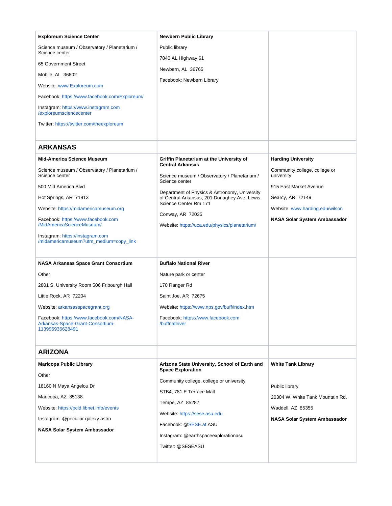<span id="page-2-1"></span><span id="page-2-0"></span>

| <b>Exploreum Science Center</b>                                                                 | <b>Newbern Public Library</b>                                                                                          |                                             |
|-------------------------------------------------------------------------------------------------|------------------------------------------------------------------------------------------------------------------------|---------------------------------------------|
| Science museum / Observatory / Planetarium /<br>Science center                                  | Public library                                                                                                         |                                             |
| 65 Government Street                                                                            | 7840 AL Highway 61                                                                                                     |                                             |
| Mobile, AL 36602                                                                                | Newbern, AL 36765                                                                                                      |                                             |
| Website: www.Exploreum.com                                                                      | Facebook: Newbern Library                                                                                              |                                             |
| Facebook: https://www.facebook.com/Exploreum/                                                   |                                                                                                                        |                                             |
| Instagram: https://www.instagram.com<br>/exploreumsciencecenter                                 |                                                                                                                        |                                             |
| Twitter: https://twitter.com/theexploreum                                                       |                                                                                                                        |                                             |
| <b>ARKANSAS</b>                                                                                 |                                                                                                                        |                                             |
| <b>Mid-America Science Museum</b>                                                               | Griffin Planetarium at the University of                                                                               | <b>Harding University</b>                   |
| Science museum / Observatory / Planetarium /<br>Science center                                  | <b>Central Arkansas</b><br>Science museum / Observatory / Planetarium /<br>Science center                              | Community college, college or<br>university |
| 500 Mid America Blvd                                                                            |                                                                                                                        | 915 East Market Avenue                      |
| Hot Springs, AR 71913                                                                           | Department of Physics & Astronomy, University<br>of Central Arkansas, 201 Donaghey Ave, Lewis<br>Science Center Rm 171 | Searcy, AR 72149                            |
| Website: https://midamericamuseum.org                                                           | Conway, AR 72035                                                                                                       | Website: www.harding.edu/wilson             |
| Facebook: https://www.facebook.com<br>/MidAmericaScienceMuseum/                                 | Website: https://uca.edu/physics/planetarium/                                                                          | NASA Solar System Ambassador                |
| Instagram: https://instagram.com<br>/midamericamuseum?utm_medium=copy_link                      |                                                                                                                        |                                             |
| <b>NASA Arkansas Space Grant Consortium</b>                                                     | <b>Buffalo National River</b>                                                                                          |                                             |
| Other                                                                                           | Nature park or center                                                                                                  |                                             |
| 2801 S. University Room 506 Fribourgh Hall                                                      | 170 Ranger Rd                                                                                                          |                                             |
| Little Rock, AR 72204                                                                           | Saint Joe, AR 72675                                                                                                    |                                             |
| Website: arkansasspacegrant.org                                                                 | Website: https://www.nps.gov/buff/index.htm                                                                            |                                             |
| Facebook: https://www.facebook.com/NASA-<br>Arkansas-Space-Grant-Consortium-<br>113996936628491 | Facebook: https://www.facebook.com<br>/buffnatlriver                                                                   |                                             |
| <b>ARIZONA</b>                                                                                  |                                                                                                                        |                                             |
| <b>Maricopa Public Library</b>                                                                  | Arizona State University, School of Earth and                                                                          | <b>White Tank Library</b>                   |
| Other                                                                                           | <b>Space Exploration</b>                                                                                               |                                             |
| 18160 N Maya Angelou Dr                                                                         | Community college, college or university                                                                               | Public library                              |
| Maricopa, AZ 85138                                                                              | STB4, 781 E Terrace Mall                                                                                               | 20304 W. White Tank Mountain Rd.            |
| Website: https://pcld.libnet.info/events                                                        | Tempe, AZ 85287                                                                                                        | Waddell, AZ 85355                           |
| Instagram: @peculiar.galexy.astro                                                               | Website: https://sese.asu.edu                                                                                          | <b>NASA Solar System Ambassador</b>         |
| NASA Solar System Ambassador                                                                    | Facebook: @SESE.at.ASU                                                                                                 |                                             |
|                                                                                                 | Instagram: @earthspaceexplorationasu                                                                                   |                                             |
|                                                                                                 | Twitter: @SESEASU                                                                                                      |                                             |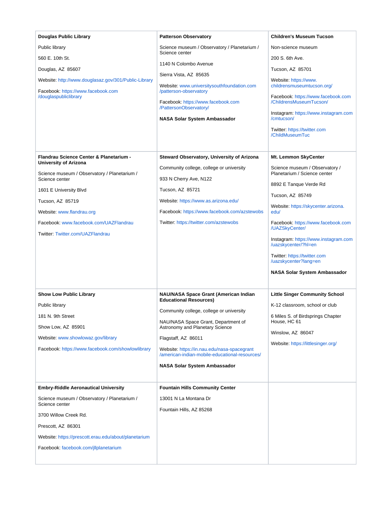| <b>Douglas Public Library</b>                                                              | <b>Patterson Observatory</b>                                                                  | <b>Children's Museum Tucson</b>                                                                                                                                         |
|--------------------------------------------------------------------------------------------|-----------------------------------------------------------------------------------------------|-------------------------------------------------------------------------------------------------------------------------------------------------------------------------|
| Public library                                                                             | Science museum / Observatory / Planetarium /<br>Science center                                | Non-science museum                                                                                                                                                      |
| 560 E. 10th St.                                                                            | 1140 N Colombo Avenue                                                                         | 200 S. 6th Ave.                                                                                                                                                         |
| Douglas, AZ 85607                                                                          | Sierra Vista, AZ 85635                                                                        | Tucson, AZ 85701                                                                                                                                                        |
| Website: http://www.douglasaz.gov/301/Public-Library<br>Facebook: https://www.facebook.com | Website: www.universitysouthfoundation.com<br>/patterson-observatory                          | Website: https://www.<br>childrensmuseumtucson.org/                                                                                                                     |
| /douglaspubliclibrary                                                                      | Facebook: https://www.facebook.com<br>/PattersonObservatory/<br>NASA Solar System Ambassador  | Facebook: https://www.facebook.com<br>/ChildrensMuseumTucson/<br>Instagram: https://www.instagram.com<br>/cmtucson/<br>Twitter: https://twitter.com<br>/ChildMuseumTuc  |
| Flandrau Science Center & Planetarium -<br>University of Arizona                           | Steward Observatory, University of Arizona<br>Community college, college or university        | Mt. Lemmon SkyCenter<br>Science museum / Observatory /<br>Planetarium / Science center                                                                                  |
| Science museum / Observatory / Planetarium /<br>Science center                             | 933 N Cherry Ave, N122                                                                        |                                                                                                                                                                         |
| 1601 E University Blvd                                                                     | Tucson, AZ 85721                                                                              | 8892 E Tanque Verde Rd                                                                                                                                                  |
| Tucson, AZ 85719                                                                           | Website: https://www.as.arizona.edu/                                                          | Tucson, AZ 85749                                                                                                                                                        |
| Website: www.flandrau.org                                                                  | Facebook: https://www.facebook.com/azstewobs                                                  | Website: https://skycenter.arizona.<br>edu/                                                                                                                             |
| Facebook: www.facebook.com/UAZFlandrau                                                     | Twitter: https://twitter.com/azstewobs                                                        | Facebook: https://www.facebook.com                                                                                                                                      |
| Twitter: Twitter.com/UAZFlandrau                                                           |                                                                                               | /UAZSkyCenter/<br>Instagram: https://www.instagram.com<br>/uazskycenter/?hl=en<br>Twitter: https://twitter.com<br>/uazskycenter?lang=en<br>NASA Solar System Ambassador |
| <b>Show Low Public Library</b>                                                             | NAU/NASA Space Grant (American Indian                                                         | <b>Little Singer Community School</b>                                                                                                                                   |
| Public library                                                                             | <b>Educational Resources)</b>                                                                 | K-12 classroom, school or club                                                                                                                                          |
| 181 N. 9th Street                                                                          | Community college, college or university                                                      | 6 Miles S. of Birdsprings Chapter                                                                                                                                       |
| Show Low, AZ 85901                                                                         | NAU/NASA Space Grant, Department of<br><b>Astronomy and Planetary Science</b>                 | House, HC 61                                                                                                                                                            |
| Website: www.showlowaz.gov/library                                                         | Flagstaff, AZ 86011                                                                           | Winslow, AZ 86047                                                                                                                                                       |
| Facebook: https://www.facebook.com/showlowlibrary                                          | Website: https://in.nau.edu/nasa-spacegrant<br>/american-indian-mobile-educational-resources/ | Website: https://littlesinger.org/                                                                                                                                      |
|                                                                                            | NASA Solar System Ambassador                                                                  |                                                                                                                                                                         |
| <b>Embry-Riddle Aeronautical University</b>                                                | <b>Fountain Hills Community Center</b>                                                        |                                                                                                                                                                         |
| Science museum / Observatory / Planetarium /                                               | 13001 N La Montana Dr                                                                         |                                                                                                                                                                         |
| Science center                                                                             | Fountain Hills, AZ 85268                                                                      |                                                                                                                                                                         |
| 3700 Willow Creek Rd.                                                                      |                                                                                               |                                                                                                                                                                         |
| Prescott, AZ 86301                                                                         |                                                                                               |                                                                                                                                                                         |
| Website: https://prescott.erau.edu/about/planetarium                                       |                                                                                               |                                                                                                                                                                         |
| Facebook: facebook.com/jllplanetarium                                                      |                                                                                               |                                                                                                                                                                         |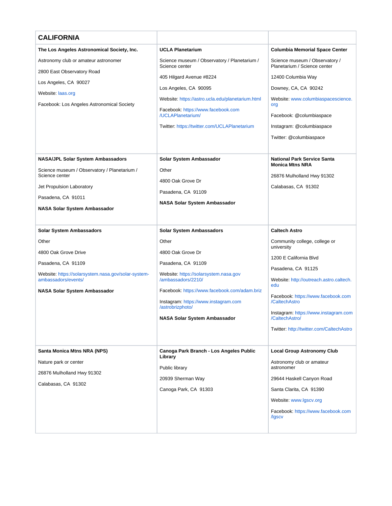<span id="page-4-0"></span>

| <b>CALIFORNIA</b>                                                                 |                                                                                                          |                                                                |
|-----------------------------------------------------------------------------------|----------------------------------------------------------------------------------------------------------|----------------------------------------------------------------|
| The Los Angeles Astronomical Society, Inc.                                        | <b>UCLA Planetarium</b>                                                                                  | <b>Columbia Memorial Space Center</b>                          |
| Astronomy club or amateur astronomer                                              | Science museum / Observatory / Planetarium /<br>Science center                                           | Science museum / Observatory /<br>Planetarium / Science center |
| 2800 East Observatory Road                                                        | 405 Hilgard Avenue #8224                                                                                 | 12400 Columbia Way                                             |
| Los Angeles, CA 90027                                                             | Los Angeles, CA 90095                                                                                    | Downey, CA, CA 90242                                           |
| Website: laas.org                                                                 | Website: https://astro.ucla.edu/planetarium.html                                                         | Website: www.columbiaspacescience.                             |
| Facebook: Los Angeles Astronomical Society                                        | Facebook: https://www.facebook.com                                                                       | org                                                            |
|                                                                                   | /UCLAPlanetarium/                                                                                        | Facebook: @columbiaspace                                       |
|                                                                                   | Twitter: https://twitter.com/UCLAPlanetarium                                                             | Instagram: @columbiaspace                                      |
|                                                                                   |                                                                                                          | Twitter: @columbiaspace                                        |
| NASA/JPL Solar System Ambassadors<br>Science museum / Observatory / Planetarium / | Solar System Ambassador<br>Other                                                                         | <b>National Park Service Santa</b><br><b>Monica Mtns NRA</b>   |
| Science center                                                                    | 4800 Oak Grove Dr                                                                                        | 26876 Mulholland Hwy 91302                                     |
| Jet Propulsion Laboratory                                                         | Pasadena, CA 91109                                                                                       | Calabasas, CA 91302                                            |
| Pasadena, CA 91011                                                                | <b>NASA Solar System Ambassador</b>                                                                      |                                                                |
| NASA Solar System Ambassador                                                      |                                                                                                          |                                                                |
| <b>Solar System Ambassadors</b>                                                   | <b>Solar System Ambassadors</b>                                                                          | <b>Caltech Astro</b>                                           |
| Other                                                                             | Other                                                                                                    | Community college, college or                                  |
| 4800 Oak Grove Drive                                                              | 4800 Oak Grove Dr                                                                                        | university                                                     |
| Pasadena, CA 91109                                                                | Pasadena, CA 91109                                                                                       | 1200 E California Blvd                                         |
| Website: https://solarsystem.nasa.gov/solar-system-                               | Website: https://solarsystem.nasa.gov                                                                    | Pasadena, CA 91125                                             |
| ambassadors/events/                                                               | /ambassadors/2210/                                                                                       | Website: http://outreach.astro.caltech.<br>edu                 |
| NASA Solar System Ambassador                                                      | Facebook: https://www.facebook.com/adam.briz<br>Instagram: https://www.instagram.com<br>/astrobrizphoto/ | Facebook: https://www.facebook.com<br>/CaltechAstro            |
|                                                                                   | NASA Solar System Ambassador                                                                             | Instagram: https://www.instagram.com<br>/CaltechAstro/         |
|                                                                                   |                                                                                                          | Twitter: http://twitter.com/CaltechAstro                       |
|                                                                                   |                                                                                                          |                                                                |
| Santa Monica Mtns NRA (NPS)                                                       | Canoga Park Branch - Los Angeles Public<br>Library                                                       | <b>Local Group Astronomy Club</b>                              |
| Nature park or center                                                             | Public library                                                                                           | Astronomy club or amateur<br>astronomer                        |
| 26876 Mulholland Hwy 91302                                                        | 20939 Sherman Way                                                                                        | 29644 Haskell Canyon Road                                      |
| Calabasas, CA 91302                                                               | Canoga Park, CA 91303                                                                                    | Santa Clarita, CA 91390                                        |
|                                                                                   |                                                                                                          | Website: www.lgscv.org                                         |
|                                                                                   |                                                                                                          | Facebook: https://www.facebook.com<br>/Igscv                   |
|                                                                                   |                                                                                                          |                                                                |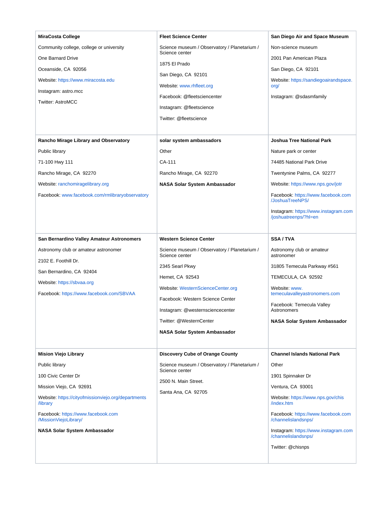| <b>MiraCosta College</b><br>Community college, college or university<br><b>One Barnard Drive</b><br>Oceanside, CA 92056<br>Website: https://www.miracosta.edu<br>Instagram: astro.mcc<br><b>Twitter: AstroMCC</b>                                                 | <b>Fleet Science Center</b><br>Science museum / Observatory / Planetarium /<br>Science center<br>1875 El Prado<br>San Diego, CA 92101<br>Website: www.rhfleet.org<br>Facebook: @fleetsciencenter<br>Instagram: @fleetscience<br>Twitter: @fleetscience | San Diego Air and Space Museum<br>Non-science museum<br>2001 Pan American Plaza<br>San Diego, CA 92101<br>Website: https://sandiegoairandspace.<br>org/<br>Instagram: @sdasmfamily                                                                                                                           |
|-------------------------------------------------------------------------------------------------------------------------------------------------------------------------------------------------------------------------------------------------------------------|--------------------------------------------------------------------------------------------------------------------------------------------------------------------------------------------------------------------------------------------------------|--------------------------------------------------------------------------------------------------------------------------------------------------------------------------------------------------------------------------------------------------------------------------------------------------------------|
| <b>Rancho Mirage Library and Observatory</b>                                                                                                                                                                                                                      | solar system ambassadors                                                                                                                                                                                                                               | <b>Joshua Tree National Park</b>                                                                                                                                                                                                                                                                             |
| Public library<br>71-100 Hwy 111<br>Rancho Mirage, CA 92270<br>Website: ranchomiragelibrary.org<br>Facebook: www.facebook.com/rmlibraryobservatory<br>San Bernardino Valley Amateur Astronomers<br>Astronomy club or amateur astronomer                           | Other<br>CA-111<br>Rancho Mirage, CA 92270<br>NASA Solar System Ambassador<br><b>Western Science Center</b><br>Science museum / Observatory / Planetarium /<br>Science center                                                                          | Nature park or center<br>74485 National Park Drive<br>Twentynine Palms, CA 92277<br>Website: https://www.nps.gov/jotr<br>Facebook: https://www.facebook.com<br>/JoshuaTreeNPS/<br>Instagram: https://www.instagram.com<br>/joshuatreenps/?hl=en<br><b>SSA/TVA</b><br>Astronomy club or amateur<br>astronomer |
| 2102 E. Foothill Dr.<br>San Bernardino, CA 92404<br>Website: https://sbvaa.org<br>Facebook: https://www.facebook.com/SBVAA                                                                                                                                        | 2345 Searl Pkwy<br>Hemet, CA 92543<br>Website: WesternScienceCenter.org<br>Facebook: Western Science Center<br>Instagram: @westernsciencecenter<br>Twitter: @WesternCenter<br><b>NASA Solar System Ambassador</b>                                      | 31805 Temecula Parkway #561<br>TEMECULA, CA 92592<br>Website: www.<br>temeculavalleyastronomers.com<br>Facebook: Temecula Valley<br>Astronomers<br><b>NASA Solar System Ambassador</b>                                                                                                                       |
| <b>Mision Viejo Library</b><br>Public library<br>100 Civic Center Dr<br>Mission Viejo, CA 92691<br>Website: https://cityofmissionviejo.org/departments<br>/library<br>Facebook: https://www.facebook.com<br>/MissionViejoLibrary/<br>NASA Solar System Ambassador | <b>Discovery Cube of Orange County</b><br>Science museum / Observatory / Planetarium /<br>Science center<br>2500 N. Main Street.<br>Santa Ana, CA 92705                                                                                                | <b>Channel Islands National Park</b><br>Other<br>1901 Spinnaker Dr<br>Ventura, CA 93001<br>Website: https://www.nps.gov/chis<br>/index.htm<br>Facebook: https://www.facebook.com<br>/channelislandsnps/<br>Instagram: https://www.instagram.com<br>/channelislandsnps/<br>Twitter: @chisnps                  |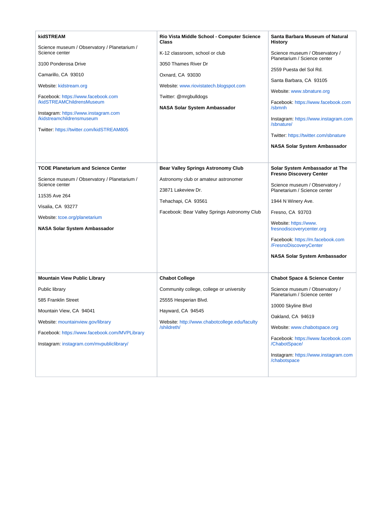| kidSTREAM<br>Science museum / Observatory / Planetarium /<br>Science center<br>3100 Ponderosa Drive<br>Camarillo, CA 93010<br>Website: kidstream.org<br>Facebook: https://www.facebook.com<br>/kidSTREAMChildrensMuseum<br>Instagram: https://www.instagram.com<br>/kidstreamchildrensmuseum<br>Twitter: https://twitter.com/kidSTREAM805 | Rio Vista Middle School - Computer Science<br>Class<br>K-12 classroom, school or club<br>3050 Thames River Dr<br>Oxnard, CA 93030<br>Website: www.riovistatech.blogspot.com<br>Twitter: @mrgbulldogs<br>NASA Solar System Ambassador | Santa Barbara Museum of Natural<br>History<br>Science museum / Observatory /<br>Planetarium / Science center<br>2559 Puesta del Sol Rd.<br>Santa Barbara, CA 93105<br>Website: www.sbnature.org<br>Facebook: https://www.facebook.com<br>/sbmnh<br>Instagram: https://www.instagram.com<br>/sbnature/<br>Twitter: https://twitter.com/sbnature<br>NASA Solar System Ambassador |
|-------------------------------------------------------------------------------------------------------------------------------------------------------------------------------------------------------------------------------------------------------------------------------------------------------------------------------------------|--------------------------------------------------------------------------------------------------------------------------------------------------------------------------------------------------------------------------------------|--------------------------------------------------------------------------------------------------------------------------------------------------------------------------------------------------------------------------------------------------------------------------------------------------------------------------------------------------------------------------------|
| <b>TCOE Planetarium and Science Center</b><br>Science museum / Observatory / Planetarium /<br>Science center<br>11535 Ave 264<br>Visalia, CA 93277<br>Website: tcoe.org/planetarium<br>NASA Solar System Ambassador                                                                                                                       | <b>Bear Valley Springs Astronomy Club</b><br>Astronomy club or amateur astronomer<br>23871 Lakeview Dr.<br>Tehachapi, CA 93561<br>Facebook: Bear Valley Springs Astronomy Club                                                       | Solar System Ambassador at The<br><b>Fresno Discovery Center</b><br>Science museum / Observatory /<br>Planetarium / Science center<br>1944 N Winery Ave.<br>Fresno, CA 93703<br>Website: https://www.<br>fresnodiscoverycenter.org<br>Facebook: https://m.facebook.com<br>/FresnoDiscoveryCenter<br>NASA Solar System Ambassador                                               |
| <b>Mountain View Public Library</b><br>Public library<br>585 Franklin Street<br>Mountain View, CA 94041<br>Website: mountainview.gov/library<br>Facebook: https://www.facebook.com/MVPLibrary<br>Instagram: instagram.com/mvpubliclibrary/                                                                                                | <b>Chabot College</b><br>Community college, college or university<br>25555 Hesperian Blvd.<br>Hayward, CA 94545<br>Website: http://www.chabotcollege.edu/faculty<br>/shildreth/                                                      | <b>Chabot Space &amp; Science Center</b><br>Science museum / Observatory /<br>Planetarium / Science center<br>10000 Skyline Blvd<br>Oakland, CA 94619<br>Website: www.chabotspace.org<br>Facebook: https://www.facebook.com<br>/ChabotSpace/<br>Instagram: https://www.instagram.com<br>/chabotspace                                                                           |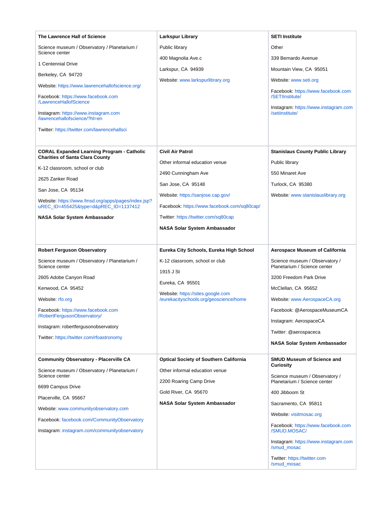| The Lawrence Hall of Science                                                                 | <b>Larkspur Library</b>                       | <b>SETI Institute</b>                                          |
|----------------------------------------------------------------------------------------------|-----------------------------------------------|----------------------------------------------------------------|
| Science museum / Observatory / Planetarium /                                                 | Public library                                | Other                                                          |
| Science center<br>1 Centennial Drive                                                         | 400 Magnolia Ave.c                            | 339 Bernardo Avenue                                            |
| Berkeley, CA 94720                                                                           | Larkspur, CA 94939                            | Mountain View, CA 95051                                        |
|                                                                                              | Website: www.larkspurlibrary.org              | Website: www.seti.org                                          |
| Website: https://www.lawrencehallofscience.org/<br>Facebook: https://www.facebook.com        |                                               | Facebook: https://www.facebook.com<br>/SETIInstitute/          |
| /LawrenceHallofScience                                                                       |                                               | Instagram: https://www.instagram.com                           |
| Instagram: https://www.instagram.com<br>/lawrencehallofscience/?hl=en                        |                                               | /setiinstitute/                                                |
| Twitter: https://twitter.com/lawrencehallsci                                                 |                                               |                                                                |
|                                                                                              |                                               |                                                                |
| <b>CORAL Expanded Learning Program - Catholic</b><br><b>Charities of Santa Clara County</b>  | <b>Civil Air Patrol</b>                       | <b>Stanislaus County Public Library</b>                        |
| K-12 classroom, school or club                                                               | Other informal education venue                | Public library                                                 |
| 2625 Zanker Road                                                                             | 2490 Cunningham Ave                           | 550 Minaret Ave                                                |
|                                                                                              | San Jose, CA 95148                            | Turlock, CA 95380                                              |
| San Jose, CA 95134                                                                           | Website: https://sanjose.cap.gov/             | Website: www.stanislauslibrary.org                             |
| Website: https://www.fmsd.org/apps/pages/index.jsp?<br>uREC_ID=455425&type=d&pREC_ID=1137412 | Facebook: https://www.facebook.com/sq80cap/   |                                                                |
| NASA Solar System Ambassador                                                                 | Twitter: https://twitter.com/sq80cap          |                                                                |
|                                                                                              | <b>NASA Solar System Ambassador</b>           |                                                                |
|                                                                                              |                                               |                                                                |
| <b>Robert Ferguson Observatory</b>                                                           | Eureka City Schools, Eureka High School       | <b>Aerospace Museum of California</b>                          |
| Science museum / Observatory / Planetarium /<br>Science center                               | K-12 classroom, school or club                | Science museum / Observatory /<br>Planetarium / Science center |
| 2605 Adobe Canyon Road                                                                       | 1915 J St                                     | 3200 Freedom Park Drive                                        |
| Kenwood, CA 95452                                                                            | Eureka, CA 95501                              | McClellan, CA 95652                                            |
|                                                                                              | Website: https://sites.google.com             |                                                                |
| Website: rfo.org                                                                             | /eurekacityschools.org/geoscience/home        | Website: www.AerospaceCA.org                                   |
| Facebook: https://www.facebook.com<br>/RobertFergusonObservatory/                            |                                               | Facebook: @AerospaceMuseumCA                                   |
| Instagram: robertfergusonobservatory                                                         |                                               | Instagram: AerospaceCA                                         |
| Twitter: https://twitter.com/rfoastronomy                                                    |                                               | Twitter: @aerospaceca                                          |
|                                                                                              |                                               | <b>NASA Solar System Ambassador</b>                            |
| <b>Community Observatory - Placerville CA</b>                                                | <b>Optical Society of Southern California</b> | <b>SMUD Museum of Science and</b>                              |
| Science museum / Observatory / Planetarium /<br>Science center                               | Other informal education venue                | Curiosity                                                      |
| 6699 Campus Drive                                                                            | 2200 Roaring Camp Drive                       | Science museum / Observatory /<br>Planetarium / Science center |
| Placerville, CA 95667                                                                        | Gold River, CA 95670                          | 400 Jibboom St                                                 |
|                                                                                              | <b>NASA Solar System Ambassador</b>           | Sacramento, CA 95811                                           |
| Website: www.communityobservatory.com                                                        |                                               | Website: visitmosac.org                                        |
| Facebook: facebook.com/CommunityObservatory<br>Instagram: instagram.com/communityobservatory |                                               | Facebook: https://www.facebook.com<br>/SMUD.MOSAC/             |
|                                                                                              |                                               | Instagram: https://www.instagram.com<br>/smud_mosac            |
|                                                                                              |                                               | Twitter: https://twitter.com<br>/smud_mosac                    |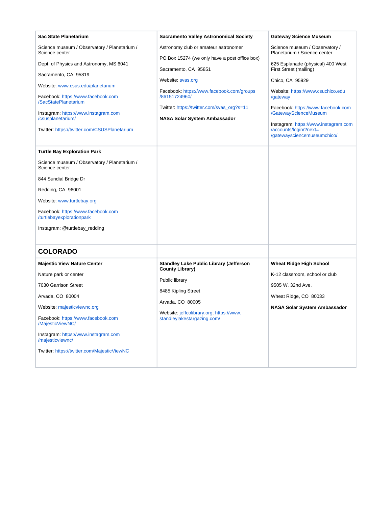<span id="page-8-0"></span>

| Sac State Planetarium                                                                                                                                                                                                                | <b>Sacramento Valley Astronomical Society</b>                                                                                                                 | <b>Gateway Science Museum</b>                                                                                                                                                                                                    |
|--------------------------------------------------------------------------------------------------------------------------------------------------------------------------------------------------------------------------------------|---------------------------------------------------------------------------------------------------------------------------------------------------------------|----------------------------------------------------------------------------------------------------------------------------------------------------------------------------------------------------------------------------------|
| Science museum / Observatory / Planetarium /<br>Science center                                                                                                                                                                       | Astronomy club or amateur astronomer<br>PO Box 15274 (we only have a post office box)                                                                         | Science museum / Observatory /<br>Planetarium / Science center                                                                                                                                                                   |
| Dept. of Physics and Astronomy, MS 6041                                                                                                                                                                                              | Sacramento, CA 95851                                                                                                                                          | 625 Esplanade (physical) 400 West<br>First Street (mailing)                                                                                                                                                                      |
| Sacramento, CA 95819<br>Website: www.csus.edu/planetarium<br>Facebook: https://www.facebook.com<br>/SacStatePlanetarium<br>Instagram: https://www.instagram.com<br>/csusplanetarium/<br>Twitter: https://twitter.com/CSUSPlanetarium | Website: svas.org<br>Facebook: https://www.facebook.com/groups<br>/86151724960/<br>Twitter: https://twitter.com/svas_org?s=11<br>NASA Solar System Ambassador | Chico, CA 95929<br>Website: https://www.csuchico.edu<br>/gateway<br>Facebook: https://www.facebook.com<br>/GatewayScienceMuseum<br>Instagram: https://www.instagram.com<br>/accounts/login/?next=<br>/gatewaysciencemuseumchico/ |
| <b>Turtle Bay Exploration Park</b>                                                                                                                                                                                                   |                                                                                                                                                               |                                                                                                                                                                                                                                  |
| Science museum / Observatory / Planetarium /<br>Science center                                                                                                                                                                       |                                                                                                                                                               |                                                                                                                                                                                                                                  |
| 844 Sundial Bridge Dr                                                                                                                                                                                                                |                                                                                                                                                               |                                                                                                                                                                                                                                  |
| Redding, CA 96001                                                                                                                                                                                                                    |                                                                                                                                                               |                                                                                                                                                                                                                                  |
| Website: www.turtlebay.org                                                                                                                                                                                                           |                                                                                                                                                               |                                                                                                                                                                                                                                  |
| Facebook: https://www.facebook.com<br>/turtlebayexplorationpark                                                                                                                                                                      |                                                                                                                                                               |                                                                                                                                                                                                                                  |
| Instagram: @turtlebay_redding                                                                                                                                                                                                        |                                                                                                                                                               |                                                                                                                                                                                                                                  |
|                                                                                                                                                                                                                                      |                                                                                                                                                               |                                                                                                                                                                                                                                  |
| <b>COLORADO</b>                                                                                                                                                                                                                      |                                                                                                                                                               |                                                                                                                                                                                                                                  |
| <b>Majestic View Nature Center</b>                                                                                                                                                                                                   | <b>Standley Lake Public Library (Jefferson</b><br><b>County Library)</b>                                                                                      | <b>Wheat Ridge High School</b>                                                                                                                                                                                                   |
| Nature park or center                                                                                                                                                                                                                | Public library                                                                                                                                                | K-12 classroom, school or club                                                                                                                                                                                                   |
| 7030 Garrison Street                                                                                                                                                                                                                 | 8485 Kipling Street                                                                                                                                           | 9505 W. 32nd Ave.                                                                                                                                                                                                                |
| Arvada, CO 80004                                                                                                                                                                                                                     | Arvada, CO 80005                                                                                                                                              | Wheat Ridge, CO 80033                                                                                                                                                                                                            |
| Website: majesticviewnc.org                                                                                                                                                                                                          | Website: jeffcolibrary.org; https://www.                                                                                                                      | <b>NASA Solar System Ambassador</b>                                                                                                                                                                                              |
| Facebook: https://www.facebook.com<br>/MajesticViewNC/                                                                                                                                                                               | standleylakestargazing.com/                                                                                                                                   |                                                                                                                                                                                                                                  |
| Instagram: https://www.instagram.com<br>/majesticviewnc/                                                                                                                                                                             |                                                                                                                                                               |                                                                                                                                                                                                                                  |
| Twitter: https://twitter.com/MajesticViewNC                                                                                                                                                                                          |                                                                                                                                                               |                                                                                                                                                                                                                                  |
|                                                                                                                                                                                                                                      |                                                                                                                                                               |                                                                                                                                                                                                                                  |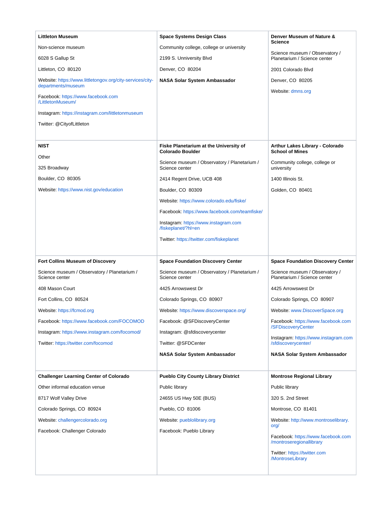| <b>Littleton Museum</b>                                                         | <b>Space Systems Design Class</b>                              | Denver Museum of Nature &                                              |
|---------------------------------------------------------------------------------|----------------------------------------------------------------|------------------------------------------------------------------------|
| Non-science museum                                                              | Community college, college or university                       | <b>Science</b>                                                         |
| 6028 S Gallup St                                                                | 2199 S. Unniversity Blvd                                       | Science museum / Observatory /<br>Planetarium / Science center         |
| Littleton, CO 80120                                                             | Denver, CO 80204                                               | 2001 Colorado Blvd                                                     |
| Website: https://www.littletongov.org/city-services/city-<br>departments/museum | NASA Solar System Ambassador                                   | Denver, CO 80205                                                       |
| Facebook: https://www.facebook.com<br>/LittletonMuseum/                         |                                                                | Website: dmns.org                                                      |
| Instagram: https://instagram.com/littletonmuseum                                |                                                                |                                                                        |
| Twitter: @CityofLittleton                                                       |                                                                |                                                                        |
|                                                                                 |                                                                |                                                                        |
| <b>NIST</b>                                                                     | Fiske Planetarium at the University of                         | Arthur Lakes Library - Colorado                                        |
| Other                                                                           | <b>Colorado Boulder</b>                                        | <b>School of Mines</b>                                                 |
| 325 Broadway                                                                    | Science museum / Observatory / Planetarium /<br>Science center | Community college, college or<br>university                            |
| Boulder, CO 80305                                                               | 2414 Regent Drive, UCB 408                                     | 1400 Illinois St.                                                      |
| Website: https://www.nist.gov/education                                         | Boulder, CO 80309                                              | Golden, CO 80401                                                       |
|                                                                                 | Website: https://www.colorado.edu/fiske/                       |                                                                        |
|                                                                                 | Facebook: https://www.facebook.com/teamfiske/                  |                                                                        |
|                                                                                 | Instagram: https://www.instagram.com<br>/fiskeplanet/?hl=en    |                                                                        |
|                                                                                 | Twitter: https://twitter.com/fiskeplanet                       |                                                                        |
|                                                                                 |                                                                |                                                                        |
|                                                                                 |                                                                |                                                                        |
| <b>Fort Collins Museum of Discovery</b>                                         | <b>Space Foundation Discovery Center</b>                       | <b>Space Foundation Discovery Center</b>                               |
| Science museum / Observatory / Planetarium /<br>Science center                  | Science museum / Observatory / Planetarium /<br>Science center | Science museum / Observatory /<br>Planetarium / Science center         |
| 408 Mason Court                                                                 | 4425 Arrowswest Dr                                             | 4425 Arrowswest Dr                                                     |
| Fort Collins, CO 80524                                                          | Colorado Springs, CO 80907                                     | Colorado Springs, CO 80907                                             |
| Website: https://fcmod.org                                                      | Website: https://www.discoverspace.org/                        | Website: www.DiscoverSpace.org                                         |
| Facebook: https://www.facebook.com/FOCOMOD                                      | Facebook: @SFDiscoveryCenter                                   | Facebook: https://www.facebook.com                                     |
| Instagram: https://www.instagram.com/focomod/                                   | Instagram: @sfdiscoverycenter                                  | /SFDiscoveryCenter                                                     |
| Twitter: https://twitter.com/focomod                                            | Twitter: @SFDCenter                                            | Instagram: https://www.instagram.com<br>/sfdiscoverycenter/            |
|                                                                                 | NASA Solar System Ambassador                                   | NASA Solar System Ambassador                                           |
|                                                                                 |                                                                |                                                                        |
| <b>Challenger Learning Center of Colorado</b>                                   | <b>Pueblo City County Library District</b>                     | <b>Montrose Regional Library</b>                                       |
| Other informal education venue                                                  | Public library                                                 | Public library                                                         |
| 8717 Wolf Valley Drive                                                          | 24655 US Hwy 50E (BUS)                                         | 320 S. 2nd Street                                                      |
| Colorado Springs, CO 80924                                                      | Pueblo, CO 81006                                               | Montrose, CO 81401                                                     |
| Website: challengercolorado.org                                                 | Website: pueblolibrary.org                                     | Website: http://www.montroselibrary.                                   |
| Facebook: Challenger Colorado                                                   | Facebook: Pueblo Library                                       | org/<br>Facebook: https://www.facebook.com<br>/montroseregionallibrary |
|                                                                                 |                                                                | Twitter: https://twitter.com<br>/MontroseLibrary                       |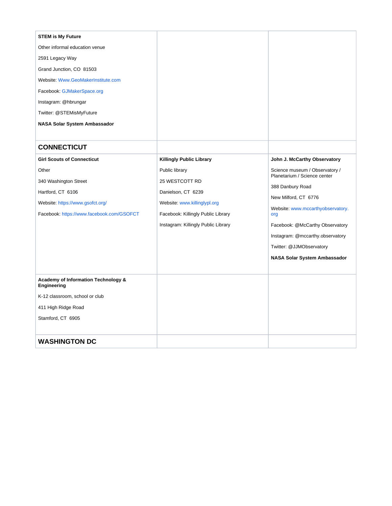<span id="page-10-1"></span><span id="page-10-0"></span>

| <b>STEM is My Future</b>                           |                                     |                                          |
|----------------------------------------------------|-------------------------------------|------------------------------------------|
| Other informal education venue                     |                                     |                                          |
| 2591 Legacy Way                                    |                                     |                                          |
| Grand Junction, CO 81503                           |                                     |                                          |
| Website: Www.GeoMakerInstitute.com                 |                                     |                                          |
| Facebook: GJMakerSpace.org                         |                                     |                                          |
| Instagram: @hbrungar                               |                                     |                                          |
| Twitter: @STEMisMyFuture                           |                                     |                                          |
| <b>NASA Solar System Ambassador</b>                |                                     |                                          |
|                                                    |                                     |                                          |
| <b>CONNECTICUT</b>                                 |                                     |                                          |
| <b>Girl Scouts of Connecticut</b>                  | <b>Killingly Public Library</b>     | John J. McCarthy Observatory             |
| Other                                              | Public library                      | Science museum / Observatory /           |
| 340 Washington Street                              | 25 WESTCOTT RD                      | Planetarium / Science center             |
| Hartford, CT 6106                                  | Danielson, CT 6239                  | 388 Danbury Road                         |
| Website: https://www.gsofct.org/                   | Website: www.killinglypl.org        | New Milford, CT 6776                     |
| Facebook: https://www.facebook.com/GSOFCT          | Facebook: Killingly Public Library  | Website: www.mccarthyobservatory.<br>org |
|                                                    | Instagram: Killingly Public Library | Facebook: @McCarthy Observatory          |
|                                                    |                                     | Instagram: @mccarthy.observatory         |
|                                                    |                                     | Twitter: @JJMObservatory                 |
|                                                    |                                     | NASA Solar System Ambassador             |
|                                                    |                                     |                                          |
| Academy of Information Technology &<br>Engineering |                                     |                                          |
| K-12 classroom, school or club                     |                                     |                                          |
| 411 High Ridge Road                                |                                     |                                          |
| Stamford, CT 6905                                  |                                     |                                          |
|                                                    |                                     |                                          |
| <b>WASHINGTON DC</b>                               |                                     |                                          |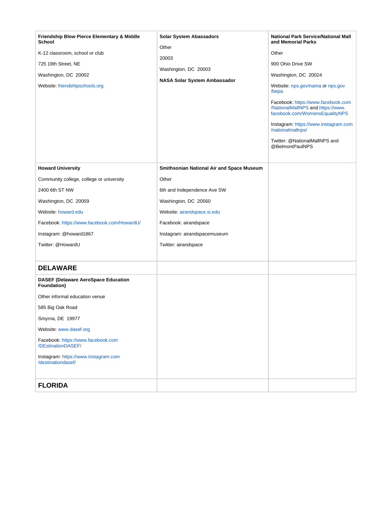<span id="page-11-1"></span><span id="page-11-0"></span>

| Friendship Blow Pierce Elementary & Middle<br>School<br>K-12 classroom, school or club<br>725 19th Street, NE<br>Washington, DC 20002<br>Website: friendshipschools.org | <b>Solar System Abassadors</b><br>Other<br>20003<br>Washington, DC 20003<br>NASA Solar System Ambassador | <b>National Park Service/National Mall</b><br>and Memorial Parks<br>Other<br>900 Ohio Drive SW<br>Washington, DC 20024<br>Website: nps.gov/nama or nps.gov<br>/bepa<br>Facebook: https://www.facebook.com<br>/NationalMalINPS and https://www.<br>facebook.com/WomensEqualityNPS<br>Instagram: https://www.instagram.com<br>/nationalmallnps/<br>Twitter: @NationalMallNPS and<br>@BelmontPaulNPS |
|-------------------------------------------------------------------------------------------------------------------------------------------------------------------------|----------------------------------------------------------------------------------------------------------|---------------------------------------------------------------------------------------------------------------------------------------------------------------------------------------------------------------------------------------------------------------------------------------------------------------------------------------------------------------------------------------------------|
| <b>Howard University</b>                                                                                                                                                | Smithsonian National Air and Space Museum                                                                |                                                                                                                                                                                                                                                                                                                                                                                                   |
| Community college, college or university                                                                                                                                | Other                                                                                                    |                                                                                                                                                                                                                                                                                                                                                                                                   |
| 2400 6th ST NW                                                                                                                                                          | 6th and Independence Ave SW                                                                              |                                                                                                                                                                                                                                                                                                                                                                                                   |
| Washington, DC 20059                                                                                                                                                    | Washington, DC 20560                                                                                     |                                                                                                                                                                                                                                                                                                                                                                                                   |
| Website: howard.edu                                                                                                                                                     | Website: airandspace.si.edu                                                                              |                                                                                                                                                                                                                                                                                                                                                                                                   |
| Facebook: https://www.facebook.com/HowardU/                                                                                                                             | Facebook: airandspace                                                                                    |                                                                                                                                                                                                                                                                                                                                                                                                   |
| Instagram: @howard1867                                                                                                                                                  | Instagram: airandspacemuseum                                                                             |                                                                                                                                                                                                                                                                                                                                                                                                   |
| Twitter: @HowardU                                                                                                                                                       | Twitter: airandspace                                                                                     |                                                                                                                                                                                                                                                                                                                                                                                                   |
|                                                                                                                                                                         |                                                                                                          |                                                                                                                                                                                                                                                                                                                                                                                                   |
| <b>DELAWARE</b>                                                                                                                                                         |                                                                                                          |                                                                                                                                                                                                                                                                                                                                                                                                   |
| <b>DASEF (Delaware AeroSpace Education</b><br>Foundation)                                                                                                               |                                                                                                          |                                                                                                                                                                                                                                                                                                                                                                                                   |
| Other informal education venue                                                                                                                                          |                                                                                                          |                                                                                                                                                                                                                                                                                                                                                                                                   |
| 585 Big Oak Road                                                                                                                                                        |                                                                                                          |                                                                                                                                                                                                                                                                                                                                                                                                   |
| Smyrna, DE 19977                                                                                                                                                        |                                                                                                          |                                                                                                                                                                                                                                                                                                                                                                                                   |
| Website: www.dasef.org                                                                                                                                                  |                                                                                                          |                                                                                                                                                                                                                                                                                                                                                                                                   |
| Facebook: https://www.facebook.com<br>/DEstinationDASEF/                                                                                                                |                                                                                                          |                                                                                                                                                                                                                                                                                                                                                                                                   |
| Instagram: https://www.instagram.com<br>/destinationdasef/                                                                                                              |                                                                                                          |                                                                                                                                                                                                                                                                                                                                                                                                   |
| <b>FLORIDA</b>                                                                                                                                                          |                                                                                                          |                                                                                                                                                                                                                                                                                                                                                                                                   |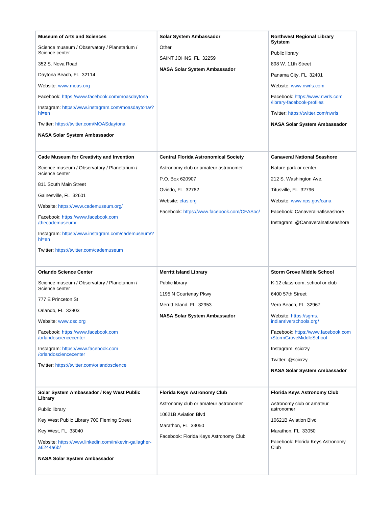| <b>Museum of Arts and Sciences</b><br>Science museum / Observatory / Planetarium /<br>Science center<br>352 S. Nova Road<br>Daytona Beach, FL 32114<br>Website: www.moas.org<br>Facebook: https://www.facebook.com/moasdaytona<br>Instagram: https://www.instagram.com/moasdaytona/?<br>hl=en<br>Twitter: https://twitter.com/MOASdaytona<br><b>NASA Solar System Ambassador</b><br><b>Cade Museum for Creativity and Invention</b> | Solar System Ambassador<br>Other<br>SAINT JOHNS, FL 32259<br><b>NASA Solar System Ambassador</b><br><b>Central Florida Astronomical Society</b>            | <b>Northwest Regional Library</b><br>Sytstem<br>Public library<br>898 W. 11th Street<br>Panama City, FL 32401<br>Website: www.nwrls.com<br>Facebook: https://www.nwrls.com<br>/library-facebook-profiles<br>Twitter: https://twitter.com/nwrls<br>NASA Solar System Ambassador<br><b>Canaveral National Seashore</b>   |
|-------------------------------------------------------------------------------------------------------------------------------------------------------------------------------------------------------------------------------------------------------------------------------------------------------------------------------------------------------------------------------------------------------------------------------------|------------------------------------------------------------------------------------------------------------------------------------------------------------|------------------------------------------------------------------------------------------------------------------------------------------------------------------------------------------------------------------------------------------------------------------------------------------------------------------------|
| Science museum / Observatory / Planetarium /<br>Science center<br>811 South Main Street<br>Gainesville, FL 32601<br>Website: https://www.cademuseum.org/<br>Facebook: https://www.facebook.com<br>/thecademuseum/<br>Instagram: https://www.instagram.com/cademuseum/?<br>$h$ =en<br>Twitter: https://twitter.com/cademuseum                                                                                                        | Astronomy club or amateur astronomer<br>P.O. Box 620907<br>Oviedo, FL 32762<br>Website: cfas.org<br>Facebook: https://www.facebook.com/CFASoc/             | Nature park or center<br>212 S. Washington Ave.<br>Titusville, FL 32796<br>Website: www.nps.gov/cana<br>Facebook: CanaveralnatIseashore<br>Instagram: @CanaveralnatIseashore                                                                                                                                           |
| <b>Orlando Science Center</b><br>Science museum / Observatory / Planetarium /<br>Science center<br>777 E Princeton St<br>Orlando, FL 32803<br>Website: www.osc.org<br>Facebook: https://www.facebook.com<br>/orlandosciencecenter<br>Instagram: https://www.facebook.com<br>/orlandosciencecenter<br>Twitter: https://twitter.com/orlandoscience                                                                                    | <b>Merritt Island Library</b><br>Public library<br>1195 N Courtenay Pkwy<br>Merritt Island, FL 32953<br><b>NASA Solar System Ambassador</b>                | <b>Storm Grove Middle School</b><br>K-12 classroom, school or club<br>6400 57th Street<br>Vero Beach, FL 32967<br>Website: https://sgms.<br>indianriverschools.org/<br>Facebook: https://www.facebook.com<br>/StormGroveMiddleSchool<br>Instagram: scicrzy<br>Twitter: @scicrzy<br><b>NASA Solar System Ambassador</b> |
| Solar System Ambassador / Key West Public<br>Library<br>Public library<br>Key West Public Library 700 Fleming Street<br>Key West, FL 33040<br>Website: https://www.linkedin.com/in/kevin-gallagher-<br>a6244a6b/<br><b>NASA Solar System Ambassador</b>                                                                                                                                                                             | Florida Keys Astronomy Club<br>Astronomy club or amateur astronomer<br>10621B Aviation Blvd<br>Marathon, FL 33050<br>Facebook: Florida Keys Astronomy Club | <b>Florida Keys Astronomy Club</b><br>Astronomy club or amateur<br>astronomer<br>10621B Aviation Blvd<br>Marathon, FL 33050<br>Facebook: Florida Keys Astronomy<br>Club                                                                                                                                                |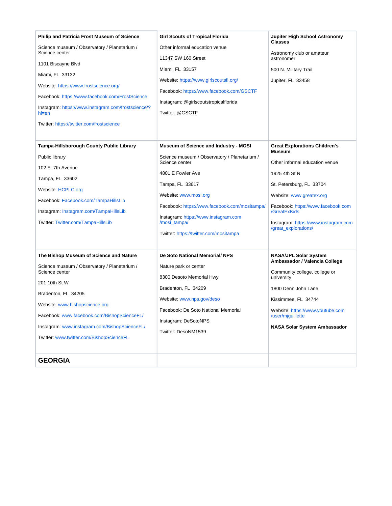<span id="page-13-0"></span>

| <b>Philip and Patricia Frost Museum of Science</b><br>Science museum / Observatory / Planetarium /<br>Science center<br>1101 Biscayne Blvd<br>Miami, FL 33132<br>Website: https://www.frostscience.org/<br>Facebook: https://www.facebook.com/FrostScience<br>Instagram: https://www.instagram.com/frostscience/?<br>$h$ =en<br>Twitter: https://twitter.com/frostscience | <b>Girl Scouts of Tropical Florida</b><br>Other informal education venue<br>11347 SW 160 Street<br>Miami, FL 33157<br>Website: https://www.girlscoutsfl.org/<br>Facebook: https://www.facebook.com/GSCTF<br>Instagram: @girlscoutstropicalflorida<br>Twitter: @GSCTF                                                        | Jupiter High School Astronomy<br><b>Classes</b><br>Astronomy club or amateur<br>astronomer<br>500 N. Military Trail<br>Jupiter, FL 33458                                                                                                                                               |
|---------------------------------------------------------------------------------------------------------------------------------------------------------------------------------------------------------------------------------------------------------------------------------------------------------------------------------------------------------------------------|-----------------------------------------------------------------------------------------------------------------------------------------------------------------------------------------------------------------------------------------------------------------------------------------------------------------------------|----------------------------------------------------------------------------------------------------------------------------------------------------------------------------------------------------------------------------------------------------------------------------------------|
| <b>Tampa-Hillsborough County Public Library</b><br>Public library<br>102 E. 7th Avenue<br>Tampa, FL 33602<br><b>Website: HCPLC.org</b><br>Facebook: Facebook.com/TampaHillsLib<br>Instagram: Instagram.com/TampaHillsLib<br>Twitter: Twitter.com/TampaHillsLib                                                                                                            | Museum of Science and Industry - MOSI<br>Science museum / Observatory / Planetarium /<br>Science center<br>4801 E Fowler Ave<br>Tampa, FL 33617<br>Website: www.mosi.org<br>Facebook: https://www.facebook.com/mositampa/<br>Instagram: https://www.instagram.com<br>/mosi_tampa/<br>Twitter: https://twitter.com/mositampa | <b>Great Explorations Children's</b><br><b>Museum</b><br>Other informal education venue<br>1925 4th St N<br>St. Petersburg, FL 33704<br>Website: www.greatex.org<br>Facebook: https://www.facebook.com<br>/GreatExKids<br>Instagram: https://www.instagram.com<br>/great_explorations/ |
| The Bishop Museum of Science and Nature<br>Science museum / Observatory / Planetarium /<br>Science center<br>201 10th St W<br>Bradenton, FL 34205<br>Website: www.bishopscience.org<br>Facebook: www.facebook.com/BishopScienceFL/<br>Instagram: www.instagram.com/BishopScienceFL/<br>Twitter: www.twitter.com/BishopScienceFL<br><b>GEORGIA</b>                         | De Soto National Memorial/ NPS<br>Nature park or center<br>8300 Desoto Memorial Hwy<br>Bradenton, FL 34209<br>Website: www.nps.gov/deso<br>Facebook: De Soto National Memorial<br>Instagram: DeSotoNPS<br>Twitter: DesoNM1539                                                                                               | <b>NASA/JPL Solar System</b><br>Ambassador / Valencia College<br>Community college, college or<br>university<br>1800 Denn John Lane<br>Kissimmee, FL 34744<br>Website: https://www.youtube.com<br>/user/mjguillette<br><b>NASA Solar System Ambassador</b>                             |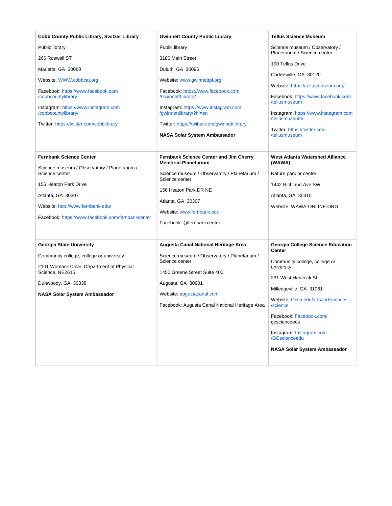| Cobb County Public Library, Switzer Library                                                                                                                                                                                              | <b>Gwinnett County Public Library</b>                                                                                                                                                                                                                  | <b>Tellus Science Museum</b>                                                                                                                                                                                                                                                                                                 |
|------------------------------------------------------------------------------------------------------------------------------------------------------------------------------------------------------------------------------------------|--------------------------------------------------------------------------------------------------------------------------------------------------------------------------------------------------------------------------------------------------------|------------------------------------------------------------------------------------------------------------------------------------------------------------------------------------------------------------------------------------------------------------------------------------------------------------------------------|
| Public library                                                                                                                                                                                                                           | Public library                                                                                                                                                                                                                                         | Science museum / Observatory /<br>Planetarium / Science center                                                                                                                                                                                                                                                               |
| 266 Roswell ST<br>Marietta, GA 30060<br>Website: WWW.cobbcat.org                                                                                                                                                                         | 3180 Main Street<br>Duluth, GA 30096<br>Website: www.gwinnettpl.org                                                                                                                                                                                    | 100 Tellus Drive<br>Cartersville, GA 30120                                                                                                                                                                                                                                                                                   |
| Facebook: https://www.facebook.com<br>/cobbcountylibrary<br>Instagram: https://www.instagram.com<br>/cobbcountylibrary/<br>Twitter: https://twitter.com/cobblibrary                                                                      | Facebook: https://www.facebook.com<br>/GwinnettLibrary/<br>Instagram: https://www.instagram.com<br>/gwinnettlibrary/?hl=en<br>Twitter: https://twitter.com/gwinnettlibrary<br>NASA Solar System Ambassador                                             | Website: https://tellusmuseum.org/<br>Facebook: https://www.facebook.com<br>/tellusmuseum<br>Instagram: https://www.instagram.com<br>/tellusmuseum/<br>Twitter: https://twitter.com<br>/tellusmuseum                                                                                                                         |
| <b>Fernbank Science Center</b><br>Science museum / Observatory / Planetarium /<br>Science center<br>156 Heaton Park Drive<br>Atlanta, GA 30307<br>Website: http://www.fernbank.edu/<br>Facebook: https://www.facebook.com/fernbankcenter | <b>Fernbank Science Center and Jim Cherry</b><br><b>Memorial Planetarium</b><br>Science museum / Observatory / Planetarium /<br>Science center<br>156 Heaton Park DR NE<br>Atlanta, GA 30307<br>Website: www.fernbank.edu<br>Facebook: @fernbankcenter | West Atlanta Watershed Alliance<br>(WAWA)<br>Nature park or center<br>1442 Richland Ave SW<br>Atlanta, GA 30310<br>Website: WAWA-ONLINE.ORG                                                                                                                                                                                  |
| Georgia State University<br>Community college, college or university<br>2101 Womack Drive, Department of Physical<br>Science, NE2615<br>Dunwoody, GA 30338<br>NASA Solar System Ambassador                                               | Augusta Canal National Heritage Area<br>Science museum / Observatory / Planetarium /<br>Science center<br>1450 Greene Street Suite 400<br>Augusta, GA 30901<br>Website: augustacanal.com<br>Facebook: Augusta Canal National Heritage Area             | Georgia College Science Education<br><b>Center</b><br>Community college, college or<br>university<br>231 West Hancock St<br>Milledgeville, GA 31061<br>Website: Gcsu.edu/artsandsciences<br>/science<br>Facebook: Facebook.com/<br>gcscienceedu<br>Instagram: Instagram.com<br>/GCscienceedu<br>NASA Solar System Ambassador |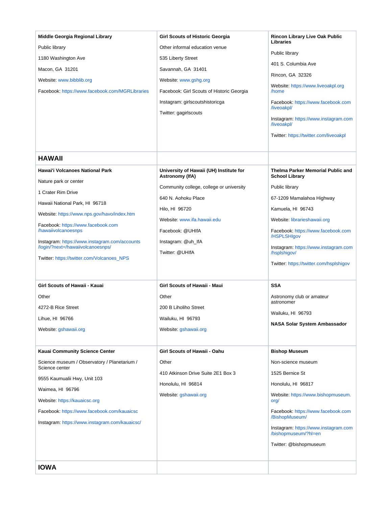<span id="page-15-1"></span><span id="page-15-0"></span>

| Middle Georgia Regional Library<br>Public library<br>1180 Washington Ave<br>Macon, GA 31201<br>Website: www.bibblib.org<br>Facebook: https://www.facebook.com/MGRLibraries                                                                                                                                                                                                                        | <b>Girl Scouts of Historic Georgia</b><br>Other informal education venue<br>535 Liberty Street<br>Savannah, GA 31401<br>Website: www.gshg.org<br>Facebook: Girl Scouts of Historic Georgia<br>Instagram: girlscoutshistoricga<br>Twitter: gagirlscouts                             | <b>Rincon Library Live Oak Public</b><br>Libraries<br>Public library<br>401 S. Columbia Ave<br>Rincon, GA 32326<br>Website: https://www.liveoakpl.org<br>/home<br>Facebook: https://www.facebook.com<br>/liveoakpl/<br>Instagram: https://www.instagram.com                                                                          |
|---------------------------------------------------------------------------------------------------------------------------------------------------------------------------------------------------------------------------------------------------------------------------------------------------------------------------------------------------------------------------------------------------|------------------------------------------------------------------------------------------------------------------------------------------------------------------------------------------------------------------------------------------------------------------------------------|--------------------------------------------------------------------------------------------------------------------------------------------------------------------------------------------------------------------------------------------------------------------------------------------------------------------------------------|
|                                                                                                                                                                                                                                                                                                                                                                                                   |                                                                                                                                                                                                                                                                                    | /liveoakpl/<br>Twitter: https://twitter.com/liveoakpl                                                                                                                                                                                                                                                                                |
| <b>HAWAII</b>                                                                                                                                                                                                                                                                                                                                                                                     |                                                                                                                                                                                                                                                                                    |                                                                                                                                                                                                                                                                                                                                      |
| Hawai'i Volcanoes National Park<br>Nature park or center<br>1 Crater Rim Drive<br>Hawaii National Park, HI 96718<br>Website: https://www.nps.gov/havo/index.htm<br>Facebook: https://www.facebook.com<br>/hawaiivolcanoesnps<br>Instagram: https://www.instagram.com/accounts<br>/login/?next=/hawaiivolcanoesnps/<br>Twitter: https://twitter.com/Volcanoes_NPS<br>Girl Scouts of Hawaii - Kauai | University of Hawaii (UH) Institute for<br>Astronomy (IfA)<br>Community college, college or university<br>640 N. Aohoku Place<br>Hilo. HI 96720<br>Website: www.ifa.hawaii.edu<br>Facebook: @UHIfA<br>Instagram: @uh_lfA<br>Twitter: @UHIfA<br><b>Girl Scouts of Hawaii - Maui</b> | Thelma Parker Memorial Public and<br><b>School Library</b><br>Public library<br>67-1209 Mamalahoa Highway<br>Kamuela, HI 96743<br>Website: librarieshawaii.org<br>Facebook: https://www.facebook.com<br>/HSPLSHIgov<br>Instagram: https://www.instagram.com<br>/hsplshigov/<br>Twitter: https://twitter.com/hsplshigov<br><b>SSA</b> |
| Other                                                                                                                                                                                                                                                                                                                                                                                             | Other                                                                                                                                                                                                                                                                              | Astronomy club or amateur                                                                                                                                                                                                                                                                                                            |
| 4272-B Rice Street                                                                                                                                                                                                                                                                                                                                                                                | 200 B Liholiho Street                                                                                                                                                                                                                                                              | astronomer                                                                                                                                                                                                                                                                                                                           |
| Lihue, HI 96766                                                                                                                                                                                                                                                                                                                                                                                   | Wailuku, HI 96793                                                                                                                                                                                                                                                                  | Wailuku, HI 96793                                                                                                                                                                                                                                                                                                                    |
| Website: gshawaii.org                                                                                                                                                                                                                                                                                                                                                                             | Website: gshawaii.org                                                                                                                                                                                                                                                              | NASA Solar System Ambassador                                                                                                                                                                                                                                                                                                         |
| Kauai Community Science Center                                                                                                                                                                                                                                                                                                                                                                    | Girl Scouts of Hawaii - Oahu                                                                                                                                                                                                                                                       | <b>Bishop Museum</b>                                                                                                                                                                                                                                                                                                                 |
| Science museum / Observatory / Planetarium /<br>Science center<br>9555 Kaumualii Hwy, Unit 103<br>Waimea, HI 96796<br>Website: https://kauaicsc.org<br>Facebook: https://www.facebook.com/kauaicsc<br>Instagram: https://www.instagram.com/kauaicsc/                                                                                                                                              | Other<br>410 Atkinson Drive Suite 2E1 Box 3<br>Honolulu, HI 96814<br>Website: gshawaii.org                                                                                                                                                                                         | Non-science museum<br>1525 Bernice St<br>Honolulu, HI 96817<br>Website: https://www.bishopmuseum.<br>org/<br>Facebook: https://www.facebook.com<br>/BishopMuseum/<br>Instagram: https://www.instagram.com<br>/bishopmuseum/?hl=en<br>Twitter: @bishopmuseum                                                                          |
| <b>IOWA</b>                                                                                                                                                                                                                                                                                                                                                                                       |                                                                                                                                                                                                                                                                                    |                                                                                                                                                                                                                                                                                                                                      |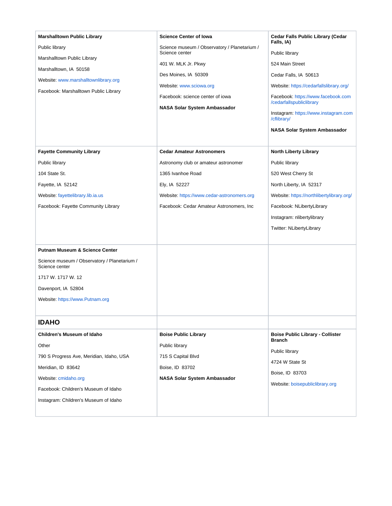<span id="page-16-0"></span>

| <b>Marshalltown Public Library</b><br>Public library<br>Marshalltown Public Library<br>Marshalltown, IA 50158<br>Website: www.marshalltownlibrary.org<br>Facebook: Marshalltown Public Library                 | <b>Science Center of Iowa</b><br>Science museum / Observatory / Planetarium /<br>Science center<br>401 W. MLK Jr. Pkwy<br>Des Moines, IA 50309<br>Website: www.sciowa.org<br>Facebook: science center of jowa<br>NASA Solar System Ambassador | <b>Cedar Falls Public Library (Cedar</b><br>Falls, IA)<br>Public library<br>524 Main Street<br>Cedar Falls, IA 50613<br>Website: https://cedarfallslibrary.org/<br>Facebook: https://www.facebook.com<br>/cedarfallspubliclibrary<br>Instagram: https://www.instagram.com<br>/cflibrary/<br>NASA Solar System Ambassador |
|----------------------------------------------------------------------------------------------------------------------------------------------------------------------------------------------------------------|-----------------------------------------------------------------------------------------------------------------------------------------------------------------------------------------------------------------------------------------------|--------------------------------------------------------------------------------------------------------------------------------------------------------------------------------------------------------------------------------------------------------------------------------------------------------------------------|
| <b>Fayette Community Library</b><br>Public library<br>104 State St.<br>Fayette, IA 52142<br>Website: fayettelibrary.lib.ia.us<br>Facebook: Fayette Community Library                                           | <b>Cedar Amateur Astronomers</b><br>Astronomy club or amateur astronomer<br>1365 Ivanhoe Road<br>Ely, IA 52227<br>Website: https://www.cedar-astronomers.org<br>Facebook: Cedar Amateur Astronomers, Inc.                                     | <b>North Liberty Library</b><br>Public library<br>520 West Cherry St<br>North Liberty, IA 52317<br>Website: https://northlibertylibrary.org/<br>Facebook: NLibertyLibrary<br>Instagram: nlibertylibrary<br>Twitter: NLibertyLibrary                                                                                      |
| <b>Putnam Museum &amp; Science Center</b><br>Science museum / Observatory / Planetarium /<br>Science center<br>1717 W. 1717 W. 12<br>Davenport, IA 52804<br>Website: https://www.Putnam.org                    |                                                                                                                                                                                                                                               |                                                                                                                                                                                                                                                                                                                          |
| <b>IDAHO</b>                                                                                                                                                                                                   |                                                                                                                                                                                                                                               |                                                                                                                                                                                                                                                                                                                          |
| Children's Museum of Idaho<br>Other<br>790 S Progress Ave, Meridian, Idaho, USA<br>Meridian, ID 83642<br>Website: cmidaho.org<br>Facebook: Children's Museum of Idaho<br>Instagram: Children's Museum of Idaho | <b>Boise Public Library</b><br>Public library<br>715 S Capital Blvd<br>Boise, ID 83702<br>NASA Solar System Ambassador                                                                                                                        | <b>Boise Public Library - Collister</b><br>Branch<br>Public library<br>4724 W State St<br>Boise, ID 83703<br>Website: boisepubliclibrary.org                                                                                                                                                                             |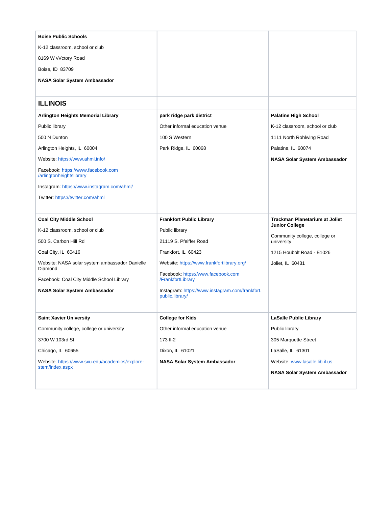<span id="page-17-0"></span>

| <b>Boise Public Schools</b>                                    |                                                                    |                                             |
|----------------------------------------------------------------|--------------------------------------------------------------------|---------------------------------------------|
| K-12 classroom, school or club                                 |                                                                    |                                             |
| 8169 W vVctory Road                                            |                                                                    |                                             |
| Boise, ID 83709                                                |                                                                    |                                             |
| NASA Solar System Ambassador                                   |                                                                    |                                             |
|                                                                |                                                                    |                                             |
| <b>ILLINOIS</b>                                                |                                                                    |                                             |
| <b>Arlington Heights Memorial Library</b>                      | park ridge park district                                           | <b>Palatine High School</b>                 |
| Public library                                                 | Other informal education venue                                     | K-12 classroom, school or club              |
| 500 N Dunton                                                   | 100 S Western                                                      | 1111 North Rohlwing Road                    |
| Arlington Heights, IL 60004                                    | Park Ridge, IL 60068                                               | Palatine, IL 60074                          |
| Website: https://www.ahml.info/                                |                                                                    | NASA Solar System Ambassador                |
| Facebook: https://www.facebook.com<br>/arlingtonheightslibrary |                                                                    |                                             |
| Instagram: https://www.instagram.com/ahml/                     |                                                                    |                                             |
| Twitter: https://twitter.com/ahml                              |                                                                    |                                             |
|                                                                |                                                                    |                                             |
|                                                                |                                                                    |                                             |
| <b>Coal City Middle School</b>                                 | <b>Frankfort Public Library</b>                                    | <b>Trackman Planetarium at Joliet</b>       |
| K-12 classroom, school or club                                 | Public library                                                     | <b>Junior College</b>                       |
| 500 S. Carbon Hill Rd                                          | 21119 S. Pfeiffer Road                                             | Community college, college or<br>university |
| Coal City, IL 60416                                            | Frankfort, IL 60423                                                | 1215 Houbolt Road - E1026                   |
| Website: NASA solar system ambassador Danielle                 | Website: https://www.frankfortlibrary.org/                         | Joliet, IL 60431                            |
| Diamond<br>Facebook: Coal City Middle School Library           | Facebook: https://www.facebook.com<br>/FrankfortLibrary            |                                             |
| <b>NASA Solar System Ambassador</b>                            | Instagram: https://www.instagram.com/frankfort.<br>public.library/ |                                             |
| <b>Saint Xavier University</b>                                 | <b>College for Kids</b>                                            | LaSalle Public Library                      |
| Community college, college or university                       | Other informal education venue                                     | Public library                              |
| 3700 W 103rd St                                                | 173 II-2                                                           | 305 Marquette Street                        |
| Chicago, IL 60655                                              | Dixon, IL 61021                                                    | LaSalle, IL 61301                           |
| Website: https://www.sxu.edu/academics/explore-                | NASA Solar System Ambassador                                       | Website: www.lasalle.lib.il.us              |
| stem/index.aspx                                                |                                                                    | NASA Solar System Ambassador                |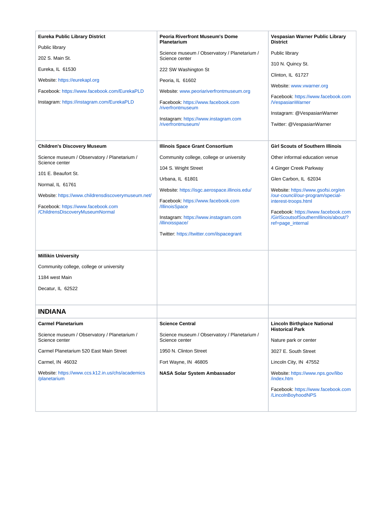<span id="page-18-0"></span>

| Science museum / Observatory / Planetarium /<br>Public library<br>202 S. Main St.<br>Science center<br>310 N. Quincy St.<br>Eureka, IL 61530<br>222 SW Washington St<br>Clinton, IL 61727<br>Website: https://eurekapl.org<br>Peoria, IL 61602<br>Website: www.vwarner.org<br>Facebook: https://www.facebook.com/EurekaPLD<br>Website: www.peoriariverfrontmuseum.org<br>Facebook: https://www.facebook.com<br>Instagram: https://instagram.com/EurekaPLD<br><b>NespasianWarner</b><br>Facebook: https://www.facebook.com<br>/riverfrontmuseum<br>Instagram: @VespasianWarner<br>Instagram: https://www.instagram.com<br>/riverfrontmuseum/<br>Twitter: @VespasianWarner<br><b>Girl Scouts of Southern Illinois</b><br><b>Children's Discovery Museum</b><br>Illinois Space Grant Consortium<br>Science museum / Observatory / Planetarium /<br>Community college, college or university<br>Other informal education venue<br>Science center<br>104 S. Wright Street<br>4 Ginger Creek Parkway<br>101 E. Beaufort St.<br>Urbana, IL 61801<br>Glen Carbon, IL 62034<br>Normal, IL 61761<br>Website: https://isgc.aerospace.illinois.edu/<br>Website: https://www.gsofsi.org/en<br>/our-council/our-program/special-<br>Website: https://www.childrensdiscoverymuseum.net/<br>interest-troops.html<br>Facebook: https://www.facebook.com<br>Facebook: https://www.facebook.com<br>/IllinoisSpace<br>/ChildrensDiscoveryMuseumNormal<br>Facebook: https://www.facebook.com<br>/GirlScoutsofSouthernIllinois/about/?<br>Instagram: https://www.instagram.com<br>/illinoisspace/<br>ref=page_internal<br>Twitter: https://twitter.com/ilspacegrant<br><b>Millikin University</b><br>Community college, college or university<br>1184 west Main<br>Decatur, IL 62522<br><b>INDIANA</b><br><b>Carmel Planetarium</b><br><b>Science Central</b><br><b>Lincoln Birthplace National</b><br><b>Historical Park</b><br>Science museum / Observatory / Planetarium /<br>Science museum / Observatory / Planetarium /<br>Science center<br>Science center<br>Nature park or center<br>Carmel Planetarium 520 East Main Street<br>1950 N. Clinton Street<br>3027 E. South Street<br>Carmel, IN 46032<br>Fort Wayne, IN 46805<br>Lincoln City, IN 47552<br>Website: https://www.ccs.k12.in.us/chs/academics<br><b>NASA Solar System Ambassador</b><br>Website: https://www.nps.gov/libo<br>/planetarium<br>/index.htm<br>Facebook: https://www.facebook.com<br>/LincolnBoyhoodNPS | <b>Eureka Public Library District</b><br>Public library | <b>Peoria Riverfront Museum's Dome</b><br><b>Planetarium</b> | Vespasian Warner Public Library<br><b>District</b> |
|-------------------------------------------------------------------------------------------------------------------------------------------------------------------------------------------------------------------------------------------------------------------------------------------------------------------------------------------------------------------------------------------------------------------------------------------------------------------------------------------------------------------------------------------------------------------------------------------------------------------------------------------------------------------------------------------------------------------------------------------------------------------------------------------------------------------------------------------------------------------------------------------------------------------------------------------------------------------------------------------------------------------------------------------------------------------------------------------------------------------------------------------------------------------------------------------------------------------------------------------------------------------------------------------------------------------------------------------------------------------------------------------------------------------------------------------------------------------------------------------------------------------------------------------------------------------------------------------------------------------------------------------------------------------------------------------------------------------------------------------------------------------------------------------------------------------------------------------------------------------------------------------------------------------------------------------------------------------------------------------------------------------------------------------------------------------------------------------------------------------------------------------------------------------------------------------------------------------------------------------------------------------------------------------------------------------------------------------------------------------------------------------------------------------------------------------------------------------|---------------------------------------------------------|--------------------------------------------------------------|----------------------------------------------------|
|                                                                                                                                                                                                                                                                                                                                                                                                                                                                                                                                                                                                                                                                                                                                                                                                                                                                                                                                                                                                                                                                                                                                                                                                                                                                                                                                                                                                                                                                                                                                                                                                                                                                                                                                                                                                                                                                                                                                                                                                                                                                                                                                                                                                                                                                                                                                                                                                                                                                   |                                                         |                                                              |                                                    |
|                                                                                                                                                                                                                                                                                                                                                                                                                                                                                                                                                                                                                                                                                                                                                                                                                                                                                                                                                                                                                                                                                                                                                                                                                                                                                                                                                                                                                                                                                                                                                                                                                                                                                                                                                                                                                                                                                                                                                                                                                                                                                                                                                                                                                                                                                                                                                                                                                                                                   |                                                         |                                                              |                                                    |
|                                                                                                                                                                                                                                                                                                                                                                                                                                                                                                                                                                                                                                                                                                                                                                                                                                                                                                                                                                                                                                                                                                                                                                                                                                                                                                                                                                                                                                                                                                                                                                                                                                                                                                                                                                                                                                                                                                                                                                                                                                                                                                                                                                                                                                                                                                                                                                                                                                                                   |                                                         |                                                              |                                                    |
|                                                                                                                                                                                                                                                                                                                                                                                                                                                                                                                                                                                                                                                                                                                                                                                                                                                                                                                                                                                                                                                                                                                                                                                                                                                                                                                                                                                                                                                                                                                                                                                                                                                                                                                                                                                                                                                                                                                                                                                                                                                                                                                                                                                                                                                                                                                                                                                                                                                                   |                                                         |                                                              |                                                    |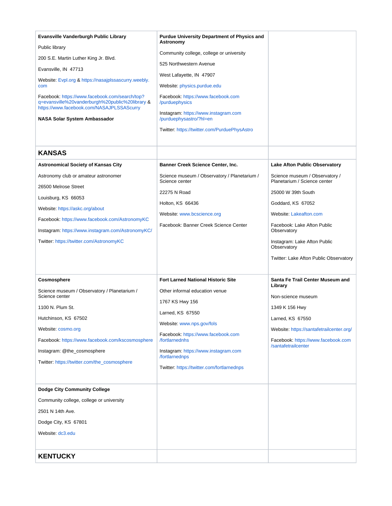<span id="page-19-1"></span><span id="page-19-0"></span>

| Evansville Vanderburgh Public Library<br>Public library<br>200 S.E. Martin Luther King Jr. Blvd.<br>Evansville, IN 47713<br>Website: Evpl.org & https://nasajplssascurry.weebly.<br>com<br>Facebook: https://www.facebook.com/search/top?<br>q=evansville%20vanderburgh%20public%20library &<br>https://www.facebook.com/NASAJPLSSAScurry<br>NASA Solar System Ambassador | <b>Purdue University Department of Physics and</b><br>Astronomy<br>Community college, college or university<br>525 Northwestern Avenue<br>West Lafayette, IN 47907<br>Website: physics.purdue.edu<br>Facebook: https://www.facebook.com<br>/purduephysics<br>Instagram: https://www.instagram.com<br>/purduephysastro/?hl=en<br>Twitter: https://twitter.com/PurduePhysAstro |                                                                                                                                                                                                                                                                                                                           |
|---------------------------------------------------------------------------------------------------------------------------------------------------------------------------------------------------------------------------------------------------------------------------------------------------------------------------------------------------------------------------|------------------------------------------------------------------------------------------------------------------------------------------------------------------------------------------------------------------------------------------------------------------------------------------------------------------------------------------------------------------------------|---------------------------------------------------------------------------------------------------------------------------------------------------------------------------------------------------------------------------------------------------------------------------------------------------------------------------|
| <b>KANSAS</b><br><b>Astronomical Society of Kansas City</b><br>Astronomy club or amateur astronomer<br>26500 Melrose Street<br>Louisburg, KS 66053<br>Website: https://askc.org/about<br>Facebook: https://www.facebook.com/AstronomyKC<br>Instagram: https://www.instagram.com/AstronomyKC/<br>Twitter: https://twitter.com/AstronomyKC                                  | <b>Banner Creek Science Center, Inc.</b><br>Science museum / Observatory / Planetarium /<br>Science center<br>22275 N Road<br>Holton, KS 66436<br>Website: www.bcscience.org<br>Facebook: Banner Creek Science Center                                                                                                                                                        | <b>Lake Afton Public Observatory</b><br>Science museum / Observatory /<br>Planetarium / Science center<br>25000 W 39th South<br>Goddard, KS 67052<br><b>Website: Lakeafton.com</b><br>Facebook: Lake Afton Public<br>Observatory<br>Instagram: Lake Afton Public<br>Observatory<br>Twitter: Lake Afton Public Observatory |
| Cosmosphere<br>Science museum / Observatory / Planetarium /<br>Science center<br>1100 N. Plum St.<br>Hutchinson, KS 67502<br>Website: cosmo.org<br>Facebook: https://www.facebook.com/kscosmosphere<br>Instagram: @the_cosmosphere<br>Twitter https://twitter.com/the cosmosphere                                                                                         | <b>Fort Larned National Historic Site</b><br>Other informal education venue<br>1767 KS Hwy 156<br>Larned, KS 67550<br>Website: www.nps.gov/fols<br>Facebook: https://www.facebook.com<br>/fortlarnednhs<br>Instagram: https://www.instagram.com<br>/fortlarnednps<br>Twitter: https://twitter.com/fortlarnednps                                                              | Santa Fe Trail Center Museum and<br>Library<br>Non-science museum<br>1349 K 156 Hwy<br>Larned, KS 67550<br>Website: https://santafetrailcenter.org/<br>Facebook: https://www.facebook.com<br>/santafetrailcenter                                                                                                          |
| <b>Dodge City Community College</b><br>Community college, college or university<br>2501 N 14th Ave.<br>Dodge City, KS 67801<br>Website: dc3.edu<br><b>KENTUCKY</b>                                                                                                                                                                                                        |                                                                                                                                                                                                                                                                                                                                                                              |                                                                                                                                                                                                                                                                                                                           |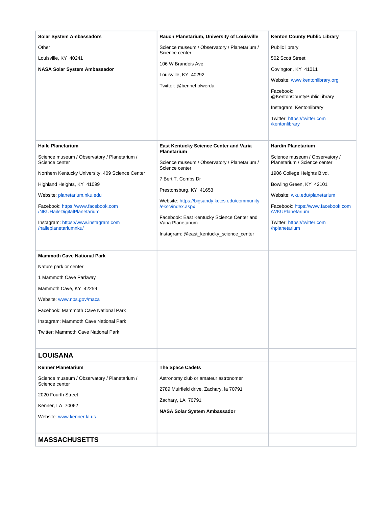<span id="page-20-1"></span><span id="page-20-0"></span>

| <b>Solar System Ambassadors</b>                                   | Rauch Planetarium, University of Louisville                       | <b>Kenton County Public Library</b>                            |
|-------------------------------------------------------------------|-------------------------------------------------------------------|----------------------------------------------------------------|
| Other                                                             | Science museum / Observatory / Planetarium /<br>Science center    | Public library                                                 |
| Louisville, KY 40241                                              |                                                                   | 502 Scott Street                                               |
| NASA Solar System Ambassador                                      | 106 W Brandeis Ave                                                | Covington, KY 41011                                            |
|                                                                   | Louisville, KY 40292                                              | Website: www.kentonlibrary.org                                 |
|                                                                   | Twitter: @benneholwerda                                           | Facebook:<br>@KentonCountyPublicLibrary                        |
|                                                                   |                                                                   | Instagram: Kentonlibrary                                       |
|                                                                   |                                                                   | Twitter: https://twitter.com<br>/kentonlibrary                 |
| <b>Haile Planetarium</b>                                          | East Kentucky Science Center and Varia<br>Planetarium             | <b>Hardin Planetarium</b>                                      |
| Science museum / Observatory / Planetarium /<br>Science center    | Science museum / Observatory / Planetarium /                      | Science museum / Observatory /<br>Planetarium / Science center |
| Northern Kentucky University, 409 Science Center                  | Science center                                                    | 1906 College Heights Blvd.                                     |
| Highland Heights, KY 41099                                        | 7 Bert T. Combs Dr                                                | Bowling Green, KY 42101                                        |
| Website: planetarium.nku.edu                                      | Prestonsburg, KY 41653                                            | Website: wku.edu/planetarium                                   |
| Facebook: https://www.facebook.com<br>/NKUHaileDigitalPlanetarium | Website: https://bigsandy.kctcs.edu/community<br>/eksc/index.aspx | Facebook: https://www.facebook.com<br><b>/WKUPlanetarium</b>   |
| Instagram: https://www.instagram.com                              | Facebook: East Kentucky Science Center and<br>Varia Planetarium   | Twitter: https://twitter.com                                   |
| /haileplanetariumnku/                                             | Instagram: @east_kentucky_science_center                          | /hplanetarium                                                  |
|                                                                   |                                                                   |                                                                |
| <b>Mammoth Cave National Park</b>                                 |                                                                   |                                                                |
| Nature park or center                                             |                                                                   |                                                                |
| 1 Mammoth Cave Parkway                                            |                                                                   |                                                                |
| Mammoth Cave, KY 42259                                            |                                                                   |                                                                |
| Website: www.nps.gov/maca                                         |                                                                   |                                                                |
| Facebook: Mammoth Cave National Park                              |                                                                   |                                                                |
| Instagram: Mammoth Cave National Park                             |                                                                   |                                                                |
| <b>Twitter: Mammoth Cave National Park</b>                        |                                                                   |                                                                |
|                                                                   |                                                                   |                                                                |
| <b>LOUISANA</b>                                                   |                                                                   |                                                                |
| <b>Kenner Planetarium</b>                                         | The Space Cadets                                                  |                                                                |
| Science museum / Observatory / Planetarium /<br>Science center    | Astronomy club or amateur astronomer                              |                                                                |
| 2020 Fourth Street                                                | 2789 Muirfield drive, Zachary, la 70791                           |                                                                |
| Kenner, LA 70062                                                  | Zachary, LA 70791                                                 |                                                                |
| Website: www.kenner.la.us                                         | NASA Solar System Ambassador                                      |                                                                |
|                                                                   |                                                                   |                                                                |
| <b>MASSACHUSETTS</b>                                              |                                                                   |                                                                |
|                                                                   |                                                                   |                                                                |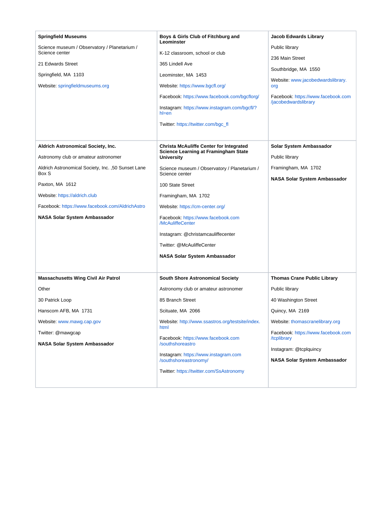| <b>Springfield Museums</b><br>Science museum / Observatory / Planetarium /<br>Science center<br>21 Edwards Street<br>Springfield, MA 1103<br>Website: springfieldmuseums.org                                                                                                            | Boys & Girls Club of Fitchburg and<br>Leominster<br>K-12 classroom, school or club<br>365 Lindell Ave<br>Leominster, MA 1453<br>Website: https://www.bgcfl.org/<br>Facebook: https://www.facebook.com/bgcflorg/<br>Instagram: https://www.instagram.com/bgcfl/?<br>$h$ =en<br>Twitter: https://twitter.com/bgc_fl                                                                                                               | <b>Jacob Edwards Library</b><br>Public library<br>236 Main Street<br>Southbridge, MA 1550<br>Website: www.jacobedwardslibrary.<br>org<br>Facebook: https://www.facebook.com<br>/jacobedwardslibrary                                                      |
|-----------------------------------------------------------------------------------------------------------------------------------------------------------------------------------------------------------------------------------------------------------------------------------------|---------------------------------------------------------------------------------------------------------------------------------------------------------------------------------------------------------------------------------------------------------------------------------------------------------------------------------------------------------------------------------------------------------------------------------|----------------------------------------------------------------------------------------------------------------------------------------------------------------------------------------------------------------------------------------------------------|
| Aldrich Astronomical Society, Inc.<br>Astronomy club or amateur astronomer<br>Aldrich Astronomical Society, Inc. ,50 Sunset Lane<br>Box S<br>Paxton, MA 1612<br>Website: https://aldrich.club<br>Facebook: https://www.facebook.com/AldrichAstro<br><b>NASA Solar System Ambassador</b> | <b>Christa McAuliffe Center for Integrated</b><br><b>Science Learning at Framingham State</b><br><b>University</b><br>Science museum / Observatory / Planetarium /<br>Science center<br>100 State Street<br>Framingham, MA 1702<br>Website: https://cm-center.org/<br>Facebook: https://www.facebook.com<br>/McAuliffeCenter<br>Instagram: @christamcauliffecenter<br>Twitter: @McAuliffeCenter<br>NASA Solar System Ambassador | Solar System Ambassador<br>Public library<br>Framingham, MA 1702<br><b>NASA Solar System Ambassador</b>                                                                                                                                                  |
| <b>Massachusetts Wing Civil Air Patrol</b><br>Other<br>30 Patrick Loop<br>Hanscom AFB, MA 1731<br>Website: www.mawg.cap.gov<br>Twitter: @mawgcap<br>NASA Solar System Ambassador                                                                                                        | <b>South Shore Astronomical Society</b><br>Astronomy club or amateur astronomer<br>85 Branch Street<br>Scituate, MA 2066<br>Website: http://www.ssastros.org/testsite/index.<br>html<br>Facebook: https://www.facebook.com<br>/southshoreastro<br>Instagram: https://www.instagram.com<br>/southshoreastronomy/<br>Twitter: https://twitter.com/SsAstronomy                                                                     | <b>Thomas Crane Public Library</b><br>Public library<br>40 Washington Street<br>Quincy, MA 2169<br>Website: thomascranelibrary.org<br>Facebook: https://www.facebook.com<br>/tcplibrary<br>Instagram: @tcplquincy<br><b>NASA Solar System Ambassador</b> |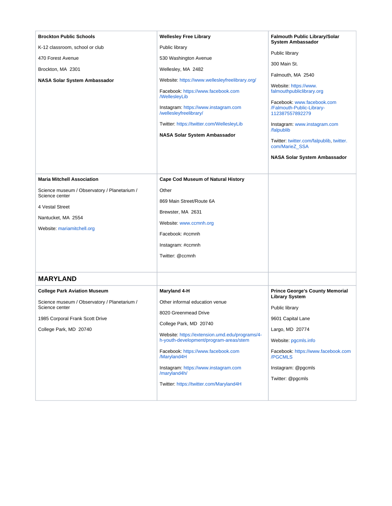<span id="page-22-0"></span>

| <b>Brockton Public Schools</b><br>K-12 classroom, school or club<br>470 Forest Avenue<br>Brockton, MA 2301<br><b>NASA Solar System Ambassador</b>                                     | <b>Wellesley Free Library</b><br>Public library<br>530 Washington Avenue<br>Wellesley, MA 2482<br>Website: https://www.wellesleyfreelibrary.org/<br>Facebook: https://www.facebook.com<br><b>WellesleyLib</b><br>Instagram: https://www.instagram.com<br>/wellesleyfreelibrary/<br>Twitter: https://twitter.com/WellesleyLib<br>NASA Solar System Ambassador | <b>Falmouth Public Library/Solar</b><br><b>System Ambassador</b><br>Public library<br>300 Main St.<br>Falmouth, MA 2540<br>Website: https://www.<br>falmouthpubliclibrary.org<br>Facebook: www.facebook.com<br>/Falmouth-Public-Library-<br>112387557892279<br>Instagram: www.instagram.com<br>/falpublib<br>Twitter: twitter.com/falpublib, twitter.<br>com/MarieZ_SSA<br><b>NASA Solar System Ambassador</b> |
|---------------------------------------------------------------------------------------------------------------------------------------------------------------------------------------|--------------------------------------------------------------------------------------------------------------------------------------------------------------------------------------------------------------------------------------------------------------------------------------------------------------------------------------------------------------|----------------------------------------------------------------------------------------------------------------------------------------------------------------------------------------------------------------------------------------------------------------------------------------------------------------------------------------------------------------------------------------------------------------|
| <b>Maria Mitchell Association</b><br>Science museum / Observatory / Planetarium /<br>Science center<br>4 Vestal Street<br>Nantucket, MA 2554<br>Website: mariamitchell.org            | <b>Cape Cod Museum of Natural History</b><br>Other<br>869 Main Street/Route 6A<br>Brewster, MA 2631<br>Website: www.ccmnh.org<br>Facebook: #ccmnh<br>Instagram: #ccmnh<br>Twitter: @ccmnh                                                                                                                                                                    |                                                                                                                                                                                                                                                                                                                                                                                                                |
| <b>MARYLAND</b><br><b>College Park Aviation Museum</b><br>Science museum / Observatory / Planetarium /<br>Science center<br>1985 Corporal Frank Scott Drive<br>College Park, MD 20740 | Maryland 4-H<br>Other informal education venue<br>8020 Greenmead Drive<br>College Park, MD 20740<br>Website: https://extension.umd.edu/programs/4-<br>h-youth-development/program-areas/stem<br>Facebook: https://www.facebook.com<br>/Maryland4H<br>Instagram: https://www.instagram.com<br>/maryland4h/<br>Twitter: https://twitter.com/Maryland4H         | <b>Prince George's County Memorial</b><br><b>Library System</b><br>Public library<br>9601 Capital Lane<br>Largo, MD 20774<br>Website: pgcmls.info<br>Facebook: https://www.facebook.com<br>/PGCMLS<br>Instagram: @pgcmls<br>Twitter: @pgcmls                                                                                                                                                                   |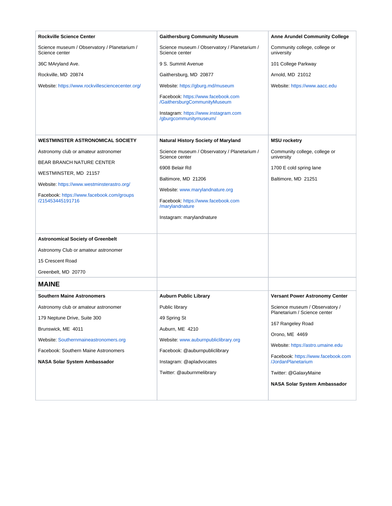<span id="page-23-0"></span>

| <b>Rockville Science Center</b>                                | <b>Gaithersburg Community Museum</b>                               | <b>Anne Arundel Community College</b>                          |
|----------------------------------------------------------------|--------------------------------------------------------------------|----------------------------------------------------------------|
| Science museum / Observatory / Planetarium /<br>Science center | Science museum / Observatory / Planetarium /<br>Science center     | Community college, college or<br>university                    |
| 36C MAryland Ave.                                              | 9 S. Summit Avenue                                                 | 101 College Parkway                                            |
| Rockville, MD 20874                                            | Gaithersburg, MD 20877                                             | Arnold, MD 21012                                               |
| Website: https://www.rockvillesciencecenter.org/               | Website: https://gburg.md/museum                                   | Website: https://www.aacc.edu                                  |
|                                                                | Facebook: https://www.facebook.com<br>/GaithersburgCommunityMuseum |                                                                |
|                                                                | Instagram: https://www.instagram.com<br>/gburgcommunitymuseum/     |                                                                |
| <b>WESTMINSTER ASTRONOMICAL SOCIETY</b>                        | Natural History Society of Maryland                                | <b>MSU</b> rocketry                                            |
| Astronomy club or amateur astronomer                           | Science museum / Observatory / Planetarium /<br>Science center     | Community college, college or<br>university                    |
| <b>BEAR BRANCH NATURE CENTER</b>                               | 6908 Belair Rd                                                     | 1700 E cold spring lane                                        |
| WESTMINSTER, MD 21157                                          | Baltimore, MD 21206                                                | Baltimore, MD 21251                                            |
| Website: https://www.westminsterastro.org/                     | Website: www.marylandnature.org                                    |                                                                |
| Facebook: https://www.facebook.com/groups<br>/215453445191716  | Facebook: https://www.facebook.com                                 |                                                                |
|                                                                | /marylandnature                                                    |                                                                |
|                                                                | Instagram: marylandnature                                          |                                                                |
| <b>Astronomical Society of Greenbelt</b>                       |                                                                    |                                                                |
| Astronomy Club or amateur astronomer                           |                                                                    |                                                                |
| 15 Crescent Road                                               |                                                                    |                                                                |
| Greenbelt, MD 20770                                            |                                                                    |                                                                |
| <b>MAINE</b>                                                   |                                                                    |                                                                |
| <b>Southern Maine Astronomers</b>                              | <b>Auburn Public Library</b>                                       | <b>Versant Power Astronomy Center</b>                          |
| Astronomy club or amateur astronomer                           | Public library                                                     | Science museum / Observatory /<br>Planetarium / Science center |
| 179 Neptune Drive, Suite 300                                   | 49 Spring St                                                       | 167 Rangeley Road                                              |
| Brunswick, ME 4011                                             | Auburn, ME 4210                                                    | Orono, ME 4469                                                 |
| Website: Southernmaineastronomers.org                          | Website: www.auburnpubliclibrary.org                               | Website: https://astro.umaine.edu                              |
| Facebook: Southern Maine Astronomers                           | Facebook: @auburnpubliclibrary                                     | Facebook: https://www.facebook.com                             |
| NASA Solar System Ambassador                                   | Instagram: @apladvocates                                           | /JordanPlanetarium                                             |
|                                                                | Twitter: @auburnmelibrary                                          | Twitter: @GalaxyMaine                                          |
|                                                                |                                                                    | NASA Solar System Ambassador                                   |
|                                                                |                                                                    |                                                                |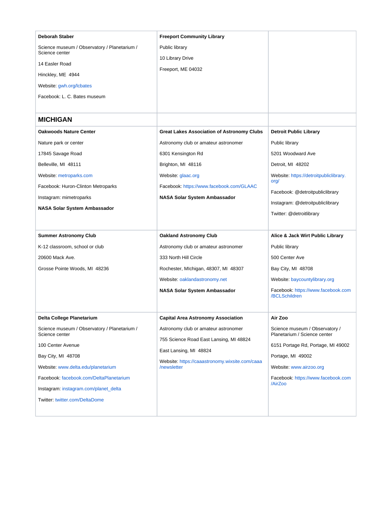<span id="page-24-0"></span>

| Deborah Staber                                                 | <b>Freeport Community Library</b>                             |                                                                |
|----------------------------------------------------------------|---------------------------------------------------------------|----------------------------------------------------------------|
| Science museum / Observatory / Planetarium /<br>Science center | Public library                                                |                                                                |
| 14 Easler Road                                                 | 10 Library Drive                                              |                                                                |
| Hinckley, ME 4944                                              | Freeport, ME 04032                                            |                                                                |
| Website: gwh.org/lcbates                                       |                                                               |                                                                |
| Facebook: L. C. Bates museum                                   |                                                               |                                                                |
|                                                                |                                                               |                                                                |
| <b>MICHIGAN</b>                                                |                                                               |                                                                |
| <b>Oakwoods Nature Center</b>                                  | <b>Great Lakes Association of Astronomy Clubs</b>             | <b>Detroit Public Library</b>                                  |
| Nature park or center                                          | Astronomy club or amateur astronomer                          | Public library                                                 |
| 17845 Savage Road                                              | 6301 Kensington Rd                                            | 5201 Woodward Ave                                              |
| Belleville, MI 48111                                           | Brighton, MI 48116                                            | Detroit, MI 48202                                              |
| Website: metroparks.com                                        | Website: glaac.org                                            | Website: https://detroitpubliclibrary.<br>org/                 |
| Facebook: Huron-Clinton Metroparks                             | Facebook: https://www.facebook.com/GLAAC                      | Facebook: @detroitpubliclibrary                                |
| Instagram: mimetroparks                                        | NASA Solar System Ambassador                                  | Instagram: @detroitpubliclibrary                               |
| <b>NASA Solar System Ambassador</b>                            |                                                               | Twitter: @detroitlibrary                                       |
|                                                                |                                                               |                                                                |
| <b>Summer Astronomy Club</b>                                   | <b>Oakland Astronomy Club</b>                                 | Alice & Jack Wirt Public Library                               |
| K-12 classroom, school or club                                 | Astronomy club or amateur astronomer                          | Public library                                                 |
| 20600 Mack Ave.                                                | 333 North Hill Circle                                         | 500 Center Ave                                                 |
| Grosse Pointe Woods, MI 48236                                  | Rochester, Michigan, 48307, MI 48307                          | Bay City, MI 48708                                             |
|                                                                | Website: oaklandastronomy.net                                 | Website: baycountylibrary.org                                  |
|                                                                | NASA Solar System Ambassador                                  | Facebook: https://www.facebook.com<br>/BCLSchildren            |
|                                                                |                                                               |                                                                |
| Delta College Planetarium                                      | <b>Capital Area Astronomy Association</b>                     | Air Zoo                                                        |
| Science museum / Observatory / Planetarium /<br>Science center | Astronomy club or amateur astronomer                          | Science museum / Observatory /<br>Planetarium / Science center |
| 100 Center Avenue                                              | 755 Science Road East Lansing, MI 48824                       | 6151 Portage Rd, Portage, MI 49002                             |
| Bay City, MI 48708                                             | East Lansing, MI 48824                                        | Portage, MI 49002                                              |
| Website: www.delta.edu/planetarium                             | Website: https://caaastronomy.wixsite.com/caaa<br>/newsletter | Website: www.airzoo.org                                        |
| Facebook: facebook.com/DeltaPlanetarium                        |                                                               |                                                                |
|                                                                |                                                               | Facebook: https://www.facebook.com                             |
| Instagram: instagram.com/planet_delta                          |                                                               | /AirZoo                                                        |
| Twitter: twitter.com/DeltaDome                                 |                                                               |                                                                |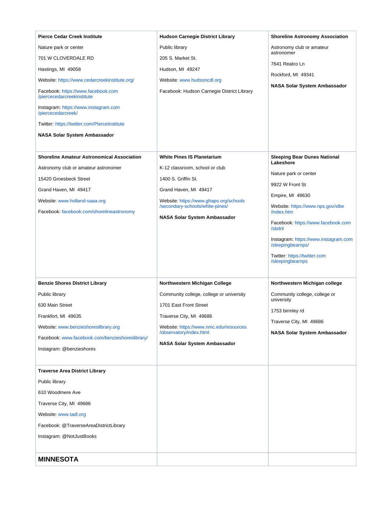<span id="page-25-0"></span>

| <b>Pierce Cedar Creek Institute</b>                              | <b>Hudson Carnegie District Library</b>                                   | <b>Shoreline Astronomy Association</b>                                                                                                                                      |
|------------------------------------------------------------------|---------------------------------------------------------------------------|-----------------------------------------------------------------------------------------------------------------------------------------------------------------------------|
| Nature park or center                                            | Public library                                                            | Astronomy club or amateur                                                                                                                                                   |
| 701 W CLOVERDALE RD                                              | 205 S. Market St.                                                         | astronomer                                                                                                                                                                  |
| Hastings, MI 49058                                               | Hudson, MI 49247                                                          | 7641 Realco Ln                                                                                                                                                              |
| Website: https://www.cedarcreekinstitute.org/                    | Website: www.hudsoncdl.org                                                | Rockford, MI 49341                                                                                                                                                          |
| Facebook: https://www.facebook.com<br>/piercecedarcreekinstitute | Facebook: Hudson Carnegie District Library                                | NASA Solar System Ambassador                                                                                                                                                |
| Instagram: https://www.instagram.com<br>/piercecedarcreek/       |                                                                           |                                                                                                                                                                             |
| Twitter: https://twitter.com/PierceInstitute                     |                                                                           |                                                                                                                                                                             |
| NASA Solar System Ambassador                                     |                                                                           |                                                                                                                                                                             |
|                                                                  |                                                                           |                                                                                                                                                                             |
| <b>Shoreline Amateur Astronomical Association</b>                | <b>White Pines IS Planetarium</b>                                         | <b>Sleeping Bear Dunes National</b><br>Lakeshore                                                                                                                            |
| Astronomy club or amateur astronomer                             | K-12 classroom, school or club                                            | Nature park or center                                                                                                                                                       |
| 15420 Groesbeck Street                                           | 1400 S. Griffin St.                                                       | 9922 W Front St                                                                                                                                                             |
| Grand Haven, MI 49417                                            | Grand Haven, MI 49417                                                     | Empire, MI 49630                                                                                                                                                            |
| Website: www.holland-saaa.org                                    | Website: https://www.ghaps.org/schools<br>/secondary-schools/white-pines/ | Website: https://www.nps.gov/slbe                                                                                                                                           |
| Facebook: facebook.com/shorelineastronomy                        | NASA Solar System Ambassador                                              | /index.htm<br>Facebook: https://www.facebook.com<br>/sbdnl<br>Instagram: https://www.instagram.com<br>/sleepingbearnps/<br>Twitter: https://twitter.com<br>/sleepingbearnps |
| <b>Benzie Shores District Library</b>                            | Northwestern Michigan College                                             | Northwestern Michigan college                                                                                                                                               |
| Public library                                                   | Community college, college or university                                  | Community college, college or                                                                                                                                               |
| 630 Main Street                                                  | 1701 East Front Street                                                    | university                                                                                                                                                                  |
| Frankfort, MI 49635                                              | Traverse City, MI 49686                                                   | 1753 birmley rd                                                                                                                                                             |
| Website: www.benzieshoreslibrary.org                             | Website: https://www.nmc.edu/resources                                    | Traverse City, MI 49686                                                                                                                                                     |
| Facebook: www.facebook.com/benzieshoreslibrary/                  | /observatory/index.html                                                   | NASA Solar System Ambassador                                                                                                                                                |
| Instagram: @benzieshores                                         | NASA Solar System Ambassador                                              |                                                                                                                                                                             |
|                                                                  |                                                                           |                                                                                                                                                                             |
| <b>Traverse Area District Library</b>                            |                                                                           |                                                                                                                                                                             |
| Public library                                                   |                                                                           |                                                                                                                                                                             |
| 610 Woodmere Ave                                                 |                                                                           |                                                                                                                                                                             |
| Traverse City, MI 49686                                          |                                                                           |                                                                                                                                                                             |
| Website: www.tadl.org                                            |                                                                           |                                                                                                                                                                             |
| Facebook: @TraverseAreaDistrictLibrary                           |                                                                           |                                                                                                                                                                             |
| Instagram: @NotJustBooks                                         |                                                                           |                                                                                                                                                                             |
|                                                                  |                                                                           |                                                                                                                                                                             |
| <b>MINNESOTA</b>                                                 |                                                                           |                                                                                                                                                                             |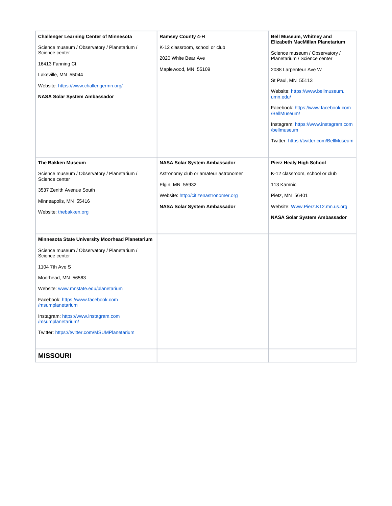<span id="page-26-0"></span>

| <b>Challenger Learning Center of Minnesota</b><br>Science museum / Observatory / Planetarium /<br>Science center<br>16413 Fanning Ct<br>Lakeville, MN 55044<br>Website: https://www.challengermn.org/<br><b>NASA Solar System Ambassador</b>                                                                                                                                    | <b>Ramsey County 4-H</b><br>K-12 classroom, school or club<br>2020 White Bear Ave<br>Maplewood, MN 55109                                                                       | Bell Museum, Whitney and<br>Elizabeth MacMillan Planetarium<br>Science museum / Observatory /<br>Planetarium / Science center<br>2088 Larpenteur Ave W<br>St Paul, MN 55113<br>Website: https://www.bellmuseum.<br>umn.edu/<br>Facebook: https://www.facebook.com<br>/BellMuseum/<br>Instagram: https://www.instagram.com<br>/bellmuseum<br>Twitter: https://twitter.com/BellMuseum |
|---------------------------------------------------------------------------------------------------------------------------------------------------------------------------------------------------------------------------------------------------------------------------------------------------------------------------------------------------------------------------------|--------------------------------------------------------------------------------------------------------------------------------------------------------------------------------|-------------------------------------------------------------------------------------------------------------------------------------------------------------------------------------------------------------------------------------------------------------------------------------------------------------------------------------------------------------------------------------|
| <b>The Bakken Museum</b><br>Science museum / Observatory / Planetarium /<br>Science center<br>3537 Zenith Avenue South<br>Minneapolis, MN 55416<br>Website: thebakken.org                                                                                                                                                                                                       | <b>NASA Solar System Ambassador</b><br>Astronomy club or amateur astronomer<br>Elgin, MN 55932<br>Website: http://citizenastronomer.org<br><b>NASA Solar System Ambassador</b> | Pierz Healy High School<br>K-12 classroom, school or club<br>113 Kamnic<br>Pietz, MN 56401<br>Website: Www.Pierz.K12.mn.us.org<br><b>NASA Solar System Ambassador</b>                                                                                                                                                                                                               |
| <b>Minnesota State University Moorhead Planetarium</b><br>Science museum / Observatory / Planetarium /<br>Science center<br>1104 7th Ave S<br>Moorhead, MN 56563<br>Website: www.mnstate.edu/planetarium<br>Facebook: https://www.facebook.com<br>/msumplanetarium<br>Instagram: https://www.instagram.com<br>/msumplanetarium/<br>Twitter: https://twitter.com/MSUMPlanetarium |                                                                                                                                                                                |                                                                                                                                                                                                                                                                                                                                                                                     |
| <b>MISSOURI</b>                                                                                                                                                                                                                                                                                                                                                                 |                                                                                                                                                                                |                                                                                                                                                                                                                                                                                                                                                                                     |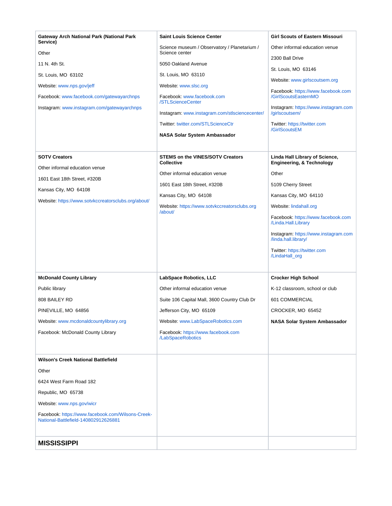<span id="page-27-0"></span>

| Gateway Arch National Park (National Park                                                 | <b>Saint Louis Science Center</b>                            | <b>Girl Scouts of Eastern Missouri</b>                                 |
|-------------------------------------------------------------------------------------------|--------------------------------------------------------------|------------------------------------------------------------------------|
| Service)                                                                                  | Science museum / Observatory / Planetarium /                 | Other informal education venue                                         |
| Other<br>11 N. 4th St.                                                                    | Science center<br>5050 Oakland Avenue                        | 2300 Ball Drive                                                        |
| St. Louis, MO 63102                                                                       | St. Louis, MO 63110                                          | St. Louis, MO 63146                                                    |
| Website: www.nps.gov/jeff                                                                 | Website: www.slsc.org                                        | Website: www.girlscoutsem.org                                          |
| Facebook: www.facebook.com/gatewayarchnps                                                 | Facebook: www.facebook.com                                   | Facebook: https://www.facebook.com<br>/GirlScoutsEasternMO             |
| Instagram: www.instagram.com/gatewayarchnps                                               | /STLScienceCenter                                            | Instagram: https://www.instagram.com                                   |
|                                                                                           | Instagram: www.instagram.com/stlsciencecenter/               | /girlscoutsem/                                                         |
|                                                                                           | Twitter: twitter.com/STLScienceCtr                           | Twitter: https://twitter.com<br>/GirlScoutsEM                          |
|                                                                                           | <b>NASA Solar System Ambassador</b>                          |                                                                        |
|                                                                                           |                                                              |                                                                        |
| <b>SOTV Creators</b><br>Other informal education venue                                    | <b>STEMS on the VINES/SOTV Creators</b><br><b>Collective</b> | Linda Hall Library of Science,<br><b>Engineering, &amp; Technology</b> |
|                                                                                           | Other informal education venue                               | Other                                                                  |
| 1601 East 18th Street, #320B<br>Kansas City, MO 64108                                     | 1601 East 18th Street, #320B                                 | 5109 Cherry Street                                                     |
| Website: https://www.sotvkccreatorsclubs.org/about/                                       | Kansas City, MO 64108                                        | Kansas City, MO 64110                                                  |
|                                                                                           | Website: https://www.sotvkccreatorsclubs.org<br>/about/      | Website: lindahall.org                                                 |
|                                                                                           |                                                              | Facebook: https://www.facebook.com<br>/Linda.Hall.Library              |
|                                                                                           |                                                              | Instagram: https://www.instagram.com<br>/linda.hall.library/           |
|                                                                                           |                                                              | Twitter: https://twitter.com<br>/LindaHall_org                         |
|                                                                                           |                                                              |                                                                        |
| <b>McDonald County Library</b>                                                            | LabSpace Robotics, LLC                                       | <b>Crocker High School</b>                                             |
| Public library                                                                            | Other informal education venue                               | K-12 classroom, school or club                                         |
| 808 BAILEY RD                                                                             | Suite 106 Capital Mall, 3600 Country Club Dr                 | 601 COMMERCIAL                                                         |
| PINEVILLE, MO 64856                                                                       | Jefferson City, MO 65109                                     | CROCKER, MO 65452                                                      |
| Website: www.mcdonaldcountylibrary.org                                                    | Website: www.LabSpaceRobotics.com                            | NASA Solar System Ambassador                                           |
| Facebook: McDonald County Library                                                         | Facebook: https://www.facebook.com<br>/LabSpaceRobotics      |                                                                        |
|                                                                                           |                                                              |                                                                        |
| Wilson's Creek National Battlefield                                                       |                                                              |                                                                        |
| Other                                                                                     |                                                              |                                                                        |
| 6424 West Farm Road 182                                                                   |                                                              |                                                                        |
| Republic, MO 65738                                                                        |                                                              |                                                                        |
| Website: www.nps.gov/wicr                                                                 |                                                              |                                                                        |
| Facebook: https://www.facebook.com/Wilsons-Creek-<br>National-Battlefield-140802912626881 |                                                              |                                                                        |
| <b>MISSISSIPPI</b>                                                                        |                                                              |                                                                        |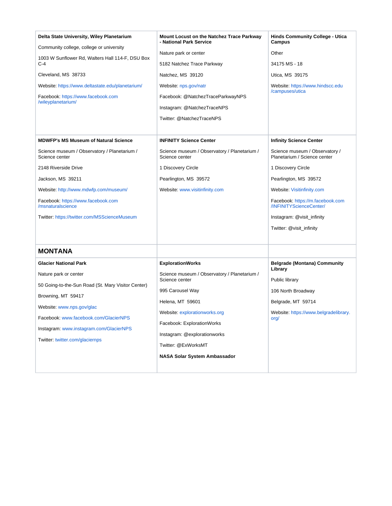<span id="page-28-0"></span>

| Delta State University, Wiley Planetarium                                                             | <b>Mount Locust on the Natchez Trace Parkway</b><br>- National Park Service | <b>Hinds Community College - Utica</b><br><b>Campus</b>        |
|-------------------------------------------------------------------------------------------------------|-----------------------------------------------------------------------------|----------------------------------------------------------------|
| Community college, college or university<br>1003 W Sunflower Rd, Walters Hall 114-F, DSU Box<br>$C-4$ |                                                                             | Other                                                          |
|                                                                                                       | Nature park or center<br>5182 Natchez Trace Parkway                         | 34175 MS - 18                                                  |
|                                                                                                       |                                                                             |                                                                |
| Cleveland, MS 38733                                                                                   | Natchez, MS 39120                                                           | Utica, MS 39175                                                |
| Website: https://www.deltastate.edu/planetarium/                                                      | Website: nps.gov/natr                                                       | Website: https://www.hindscc.edu<br>/campuses/utica            |
| Facebook: https://www.facebook.com<br>/wileyplanetarium/                                              | Facebook: @NatchezTraceParkwayNPS                                           |                                                                |
|                                                                                                       | Instagram: @NatchezTraceNPS                                                 |                                                                |
|                                                                                                       | Twitter: @NatchezTraceNPS                                                   |                                                                |
|                                                                                                       |                                                                             |                                                                |
| <b>MDWFP's MS Museum of Natural Science</b>                                                           | <b>INFINITY Science Center</b>                                              | <b>Infinity Science Center</b>                                 |
| Science museum / Observatory / Planetarium /<br>Science center                                        | Science museum / Observatory / Planetarium /<br>Science center              | Science museum / Observatory /<br>Planetarium / Science center |
| 2148 Riverside Drive                                                                                  | 1 Discovery Circle                                                          | 1 Discovery Circle                                             |
| Jackson, MS 39211                                                                                     | Pearlington, MS 39572                                                       | Pearlington, MS 39572                                          |
| Website: http://www.mdwfp.com/museum/                                                                 | Website: www.visitinfinity.com                                              | Website: Visitinfinity.com                                     |
| Facebook: https://www.facebook.com<br>/msnaturalscience                                               |                                                                             | Facebook: https://m.facebook.com<br>/INFINITYScienceCenter/    |
| Twitter: https://twitter.com/MSScienceMuseum                                                          |                                                                             | Instagram: @visit_infinity                                     |
|                                                                                                       |                                                                             | Twitter: @visit_infinity                                       |
|                                                                                                       |                                                                             |                                                                |
| <b>MONTANA</b>                                                                                        |                                                                             |                                                                |
| <b>Glacier National Park</b>                                                                          | <b>ExplorationWorks</b>                                                     | <b>Belgrade (Montana) Community</b>                            |
| Nature park or center                                                                                 | Science museum / Observatory / Planetarium /<br>Science center              | Library                                                        |
| 50 Going-to-the-Sun Road (St. Mary Visitor Center)                                                    |                                                                             | Public library                                                 |
| Browning, MT 59417<br>Website: www.nps.gov/glac                                                       | 995 Carousel Way                                                            | 106 North Broadway                                             |
|                                                                                                       | Helena, MT 59601                                                            | Belgrade, MT 59714                                             |
| Facebook: www.facebook.com/GlacierNPS                                                                 | Website: explorationworks.org                                               | Website: https://www.belgradelibrary.<br>org/                  |
| Instagram: www.instagram.com/GlacierNPS                                                               | Facebook: ExplorationWorks                                                  |                                                                |
| Twitter: twitter.com/glaciernps                                                                       | Instagram: @explorationworks                                                |                                                                |
|                                                                                                       | Twitter: @ExWorksMT                                                         |                                                                |
|                                                                                                       | NASA Solar System Ambassador                                                |                                                                |
|                                                                                                       |                                                                             |                                                                |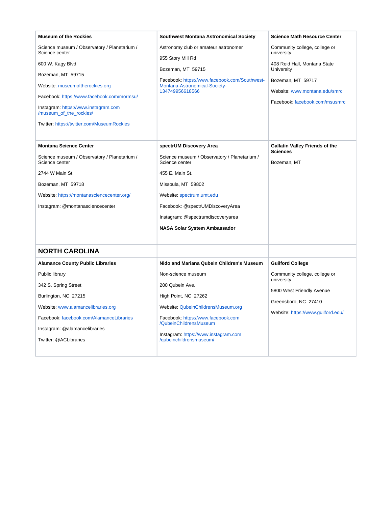<span id="page-29-0"></span>

| <b>Museum of the Rockies</b>                                    | <b>Southwest Montana Astronomical Society</b>                                  | <b>Science Math Resource Center</b>                      |
|-----------------------------------------------------------------|--------------------------------------------------------------------------------|----------------------------------------------------------|
| Science museum / Observatory / Planetarium /<br>Science center  | Astronomy club or amateur astronomer<br>955 Story Mill Rd                      | Community college, college or<br>university              |
| 600 W. Kagy Blvd                                                | Bozeman, MT 59715                                                              | 408 Reid Hall, Montana State<br>University               |
| Bozeman, MT 59715<br>Website: museumoftherockies.org            | Facebook: https://www.facebook.com/Southwest-<br>Montana-Astronomical-Society- | Bozeman, MT 59717                                        |
| Facebook: https://www.facebook.com/mormsu/                      | 134749956618566                                                                | Website: www.montana.edu/smrc                            |
| Instagram: https://www.instagram.com<br>/museum_of_the_rockies/ |                                                                                | Facebook: facebook.com/msusmrc                           |
| Twitter: https://twitter.com/MuseumRockies                      |                                                                                |                                                          |
| <b>Montana Science Center</b>                                   | spectrUM Discovery Area                                                        | <b>Gallatin Valley Friends of the</b><br><b>Sciences</b> |
| Science museum / Observatory / Planetarium /<br>Science center  | Science museum / Observatory / Planetarium /<br>Science center                 | Bozeman, MT                                              |
| 2744 W Main St.                                                 | 455 E. Main St.                                                                |                                                          |
| Bozeman, MT 59718                                               | Missoula, MT 59802                                                             |                                                          |
| Website: https://montanasciencecenter.org/                      | Website: spectrum.umt.edu                                                      |                                                          |
| Instagram: @montanasciencecenter                                | Facebook: @spectrUMDiscoveryArea                                               |                                                          |
|                                                                 | Instagram: @spectrumdiscoveryarea                                              |                                                          |
|                                                                 | <b>NASA Solar System Ambassador</b>                                            |                                                          |
| <b>NORTH CAROLINA</b>                                           |                                                                                |                                                          |
| <b>Alamance County Public Libraries</b>                         | Nido and Mariana Qubein Children's Museum                                      | <b>Guilford College</b>                                  |
| Public library                                                  | Non-science museum                                                             | Community college, college or                            |
| 342 S. Spring Street                                            | 200 Qubein Ave.                                                                | university                                               |
| Burlington, NC 27215                                            | High Point, NC 27262                                                           | 5800 West Friendly Avenue                                |
| Website: www.alamancelibraries.org                              | Website: QubeinChildrensMuseum.org                                             | Greensboro, NC 27410                                     |
| Facebook: facebook.com/AlamanceLibraries                        | Facebook: https://www.facebook.com                                             | Website: https://www.guilford.edu/                       |
| Instagram: @alamancelibraries                                   | /QubeinChildrensMuseum                                                         |                                                          |
| Twitter: @ACLibraries                                           | Instagram: https://www.instagram.com<br>/qubeinchildrensmuseum/                |                                                          |
|                                                                 |                                                                                |                                                          |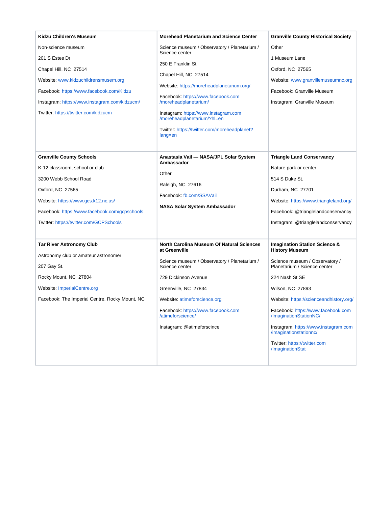| Kidzu Children's Museum                                                                                                                                                                                                                                                       | <b>Morehead Planetarium and Science Center</b>                                                                                                                                                                                                                                                                                                                                                       | <b>Granville County Historical Society</b>                                                                                                                                                                                                                                                                                                                                                                 |
|-------------------------------------------------------------------------------------------------------------------------------------------------------------------------------------------------------------------------------------------------------------------------------|------------------------------------------------------------------------------------------------------------------------------------------------------------------------------------------------------------------------------------------------------------------------------------------------------------------------------------------------------------------------------------------------------|------------------------------------------------------------------------------------------------------------------------------------------------------------------------------------------------------------------------------------------------------------------------------------------------------------------------------------------------------------------------------------------------------------|
| Non-science museum<br>201 S Estes Dr<br>Chapel Hill, NC 27514<br>Website: www.kidzuchildrensmusem.org<br>Facebook: https://www.facebook.com/Kidzu<br>Instagram: https://www.instagram.com/kidzucm/<br>Twitter: https://twitter.com/kidzucm<br><b>Granville County Schools</b> | Science museum / Observatory / Planetarium /<br>Science center<br>250 E Franklin St<br>Chapel Hill, NC 27514<br>Website: https://moreheadplanetarium.org/<br>Facebook: https://www.facebook.com<br>/moreheadplanetarium/<br>Instagram: https://www.instagram.com<br>/moreheadplanetarium/?hl=en<br>Twitter: https://twitter.com/moreheadplanet?<br>lang=en<br>Anastasia Vail - NASA/JPL Solar System | Other<br>1 Museum Lane<br>Oxford, NC 27565<br>Website: www.granvillemuseumnc.org<br>Facebook: Granville Museum<br>Instagram: Granville Museum                                                                                                                                                                                                                                                              |
| K-12 classroom, school or club<br>3200 Webb School Road<br>Oxford, NC 27565<br>Website: https://www.gcs.k12.nc.us/<br>Facebook: https://www.facebook.com/gcpschools<br>Twitter: https://twitter.com/GCPSchools                                                                | Ambassador<br>Other<br>Raleigh, NC 27616<br>Facebook: fb.com/SSAVail<br>NASA Solar System Ambassador                                                                                                                                                                                                                                                                                                 | <b>Triangle Land Conservancy</b><br>Nature park or center<br>514 S Duke St.<br>Durham, NC 27701<br>Website: https://www.triangleland.org/<br>Facebook: @trianglelandconservancy<br>Instagram: @trianglelandconservancy                                                                                                                                                                                     |
| <b>Tar River Astronomy Club</b><br>Astronomy club or amateur astronomer<br>207 Gay St.<br>Rocky Mount, NC 27804<br>Website: ImperialCentre.org<br>Facebook: The Imperial Centre, Rocky Mount, NC                                                                              | North Carolina Museum Of Natural Sciences<br>at Greenville<br>Science museum / Observatory / Planetarium /<br>Science center<br>729 Dickinson Avenue<br>Greenville, NC 27834<br>Website: atimeforscience.org<br>Facebook: https://www.facebook.com<br>/atimeforscience/<br>Instagram: @atimeforscince                                                                                                | <b>Imagination Station Science &amp;</b><br><b>History Museum</b><br>Science museum / Observatory /<br>Planetarium / Science center<br>224 Nash St SE<br>Wilson, NC 27893<br>Website: https://scienceandhistory.org/<br>Facebook: https://www.facebook.com<br>/ImaginationStationNC/<br>Instagram: https://www.instagram.com<br>/imaginationstationnc/<br>Twitter: https://twitter.com<br>/ImaginationStat |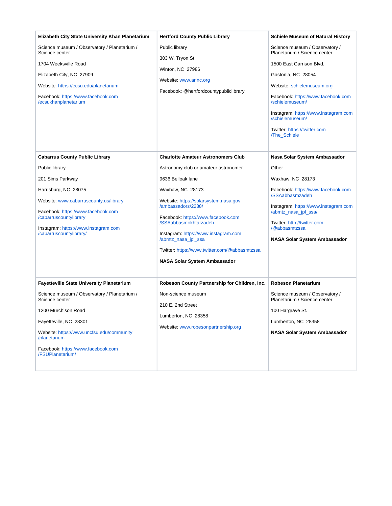| Elizabeth City State University Khan Planetarium                                                                                                                                                                                                                                           | <b>Hertford County Public Library</b>                                                                                                                                                                                                                                                          | <b>Schiele Museum of Natural History</b>                                                                                                                                                                                                                                                                           |
|--------------------------------------------------------------------------------------------------------------------------------------------------------------------------------------------------------------------------------------------------------------------------------------------|------------------------------------------------------------------------------------------------------------------------------------------------------------------------------------------------------------------------------------------------------------------------------------------------|--------------------------------------------------------------------------------------------------------------------------------------------------------------------------------------------------------------------------------------------------------------------------------------------------------------------|
| Science museum / Observatory / Planetarium /<br>Science center<br>1704 Weeksville Road<br>Elizabeth City, NC 27909<br>Website: https://ecsu.edu/planetarium<br>Facebook: https://www.facebook.com<br>/ecsukhanplanetarium                                                                  | Public library<br>303 W. Tryon St<br>Winton, NC 27986<br>Website: www.arlnc.org<br>Facebook: @hertfordcountypubliclibrary                                                                                                                                                                      | Science museum / Observatory /<br>Planetarium / Science center<br>1500 East Garrison Blvd.<br>Gastonia, NC 28054<br>Website: schielemuseum.org<br>Facebook: https://www.facebook.com<br>/schielemuseum/<br>Instagram: https://www.instagram.com<br>/schielemuseum/<br>Twitter: https://twitter.com<br>/The_Schiele |
| <b>Cabarrus County Public Library</b>                                                                                                                                                                                                                                                      | <b>Charlotte Amateur Astronomers Club</b>                                                                                                                                                                                                                                                      | Nasa Solar System Ambassador                                                                                                                                                                                                                                                                                       |
| Public library<br>201 Sims Parkway                                                                                                                                                                                                                                                         | Astronomy club or amateur astronomer<br>9636 Belloak lane                                                                                                                                                                                                                                      | Other<br>Waxhaw, NC 28173                                                                                                                                                                                                                                                                                          |
| Harrisburg, NC 28075<br>Website: www.cabarruscounty.us/library<br>Facebook: https://www.facebook.com<br>/cabarruscountylibrary<br>Instagram: https://www.instagram.com<br>/cabarruscountylibrary/                                                                                          | Waxhaw, NC 28173<br>Website: https://solarsystem.nasa.gov<br>/ambassadors/2288/<br>Facebook: https://www.facebook.com<br>/SSAabbasmokhtarzadeh<br>Instagram: https://www.instagram.com<br>/abmtz_nasa_jpl_ssa<br>Twitter: https://www.twitter.com/@abbasmtzssa<br>NASA Solar System Ambassador | Facebook: https://www.facebook.com<br>/SSAabbasmzadeh<br>Instagram: https://www.instagram.com<br>/abmtz_nasa_jpl_ssa/<br>Twitter: http://twitter.com<br>/@abbasmtzssa<br><b>NASA Solar System Ambassador</b>                                                                                                       |
| <b>Fayetteville State University Planetarium</b><br>Science museum / Observatory / Planetarium /<br>Science center<br>1200 Murchison Road<br>Fayetteville, NC 28301<br>Website: https://www.uncfsu.edu/community<br>/planetarium<br>Facebook: https://www.facebook.com<br>/FSUPlanetarium/ | Robeson County Partnership for Children, Inc.<br>Non-science museum<br>210 E. 2nd Street<br>Lumberton, NC 28358<br>Website: www.robesonpartnership.org                                                                                                                                         | <b>Robeson Planetarium</b><br>Science museum / Observatory /<br>Planetarium / Science center<br>100 Hargrave St.<br>Lumberton, NC 28358<br><b>NASA Solar System Ambassador</b>                                                                                                                                     |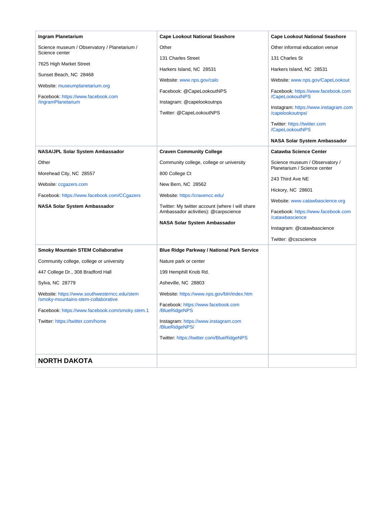<span id="page-32-0"></span>

| Ingram Planetarium                                                                  | <b>Cape Lookout National Seashore</b>                  | <b>Cape Lookout National Seashore</b>                          |
|-------------------------------------------------------------------------------------|--------------------------------------------------------|----------------------------------------------------------------|
| Science museum / Observatory / Planetarium /<br>Science center                      | Other                                                  | Other informal education venue                                 |
| 7625 High Market Street                                                             | 131 Charles Street                                     | 131 Charles St                                                 |
| Sunset Beach, NC 28468                                                              | Harkers Island, NC 28531                               | Harkers Island, NC 28531                                       |
|                                                                                     | Website: www.nps.gov/calo                              | Website: www.nps.gov/CapeLookout                               |
| Website: museumplanetarium.org                                                      | Facebook: @CapeLookoutNPS                              | Facebook: https://www.facebook.com                             |
| Facebook: https://www.facebook.com<br>/IngramPlanetarium                            | Instagram: @capelookoutnps                             | /CapeLookoutNPS                                                |
|                                                                                     | Twitter: @CapeLookoutNPS                               | Instagram: https://www.instagram.com<br>/capelookoutnps/       |
|                                                                                     |                                                        | Twitter: https://twitter.com<br>/CapeLookoutNPS                |
|                                                                                     |                                                        | <b>NASA Solar System Ambassador</b>                            |
| NASA/JPL Solar System Ambassador                                                    | <b>Craven Community College</b>                        | <b>Catawba Science Center</b>                                  |
| Other                                                                               | Community college, college or university               | Science museum / Observatory /<br>Planetarium / Science center |
| Morehead City, NC 28557                                                             | 800 College Ct                                         |                                                                |
| Website: ccgazers.com                                                               | New Bern, NC 28562                                     | 243 Third Ave NE                                               |
| Facebook: https://www.facebook.com/CCgazers                                         | Website: https://cravencc.edu/                         | Hickory, NC 28601                                              |
| NASA Solar System Ambassador                                                        | Twitter: My twitter account (where I will share        | Website: www.catawbascience.org                                |
|                                                                                     | Ambassador activities): @carpscience                   | Facebook: https://www.facebook.com<br>/catawbascience          |
|                                                                                     | <b>NASA Solar System Ambassador</b>                    | Instagram: @catawbascience                                     |
|                                                                                     |                                                        | Twitter: @cscscience                                           |
| <b>Smoky Mountain STEM Collaborative</b>                                            | <b>Blue Ridge Parkway / National Park Service</b>      |                                                                |
| Community college, college or university                                            |                                                        |                                                                |
|                                                                                     | Nature park or center                                  |                                                                |
| 447 College Dr., 308 Bradford Hall                                                  | 199 Hemphill Knob Rd.                                  |                                                                |
| Sylva, NC 28779                                                                     | Asheville, NC 28803                                    |                                                                |
| Website: https://www.southwesterncc.edu/stem<br>/smoky-mountains-stem-collaborative | Website: https://www.nps.gov/blri/index.htm            |                                                                |
| Facebook: https://www.facebook.com/smoky.stem.1                                     | Facebook: https://www.facebook.com<br>/BlueRidgeNPS    |                                                                |
| Twitter: https://twitter.com/home                                                   | Instagram: https://www.instagram.com<br>/BlueRidgeNPS/ |                                                                |
|                                                                                     | Twitter: https://twitter.com/BlueRidgeNPS              |                                                                |
| <b>NORTH DAKOTA</b>                                                                 |                                                        |                                                                |
|                                                                                     |                                                        |                                                                |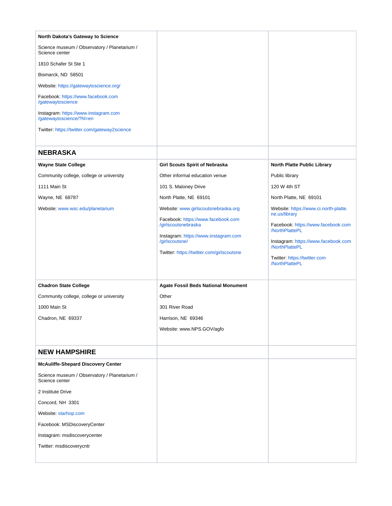<span id="page-33-1"></span><span id="page-33-0"></span>

| North Dakota's Gateway to Science                                |                                                                                                                                                                                                         |                                                                                                                                                                                                                           |
|------------------------------------------------------------------|---------------------------------------------------------------------------------------------------------------------------------------------------------------------------------------------------------|---------------------------------------------------------------------------------------------------------------------------------------------------------------------------------------------------------------------------|
| Science museum / Observatory / Planetarium /<br>Science center   |                                                                                                                                                                                                         |                                                                                                                                                                                                                           |
| 1810 Schafer St Ste 1                                            |                                                                                                                                                                                                         |                                                                                                                                                                                                                           |
| Bismarck, ND 58501                                               |                                                                                                                                                                                                         |                                                                                                                                                                                                                           |
| Website: https://gatewaytoscience.org/                           |                                                                                                                                                                                                         |                                                                                                                                                                                                                           |
| Facebook: https://www.facebook.com<br>/gatewaytoscience          |                                                                                                                                                                                                         |                                                                                                                                                                                                                           |
| Instagram: https://www.instagram.com<br>/gatewaytoscience/?hl=en |                                                                                                                                                                                                         |                                                                                                                                                                                                                           |
| Twitter: https://twitter.com/gateway2science                     |                                                                                                                                                                                                         |                                                                                                                                                                                                                           |
| <b>NEBRASKA</b>                                                  |                                                                                                                                                                                                         |                                                                                                                                                                                                                           |
| <b>Wayne State College</b>                                       | <b>Girl Scouts Spirit of Nebraska</b>                                                                                                                                                                   | North Platte Public Library                                                                                                                                                                                               |
| Community college, college or university                         | Other informal education venue                                                                                                                                                                          | Public library                                                                                                                                                                                                            |
| 1111 Main St                                                     | 101 S. Maloney Drive                                                                                                                                                                                    | 120 W 4th ST                                                                                                                                                                                                              |
| Wayne, NE 68787                                                  | North Platte, NE 69101                                                                                                                                                                                  | North Platte, NE 69101                                                                                                                                                                                                    |
| Website: www.wsc.edu/planetarium                                 | Website: www.girlscoutsnebraska.org<br>Facebook: https://www.facebook.com<br>/girlscoutsnebraska<br>Instagram: https://www.instagram.com<br>/girlscoutsne/<br>Twitter: https://twitter.com/girlscoutsne | Website: https://www.ci.north-platte.<br>ne.us/library<br>Facebook: https://www.facebook.com<br>/NorthPlattePL<br>Instagram: https://www.facebook.com<br>/NorthPlattePL<br>Twitter: https://twitter.com<br>/NorthPlattePL |
| <b>Chadron State College</b>                                     | Agate Fossil Beds National Monument                                                                                                                                                                     |                                                                                                                                                                                                                           |
| Community college, college or university                         | Other                                                                                                                                                                                                   |                                                                                                                                                                                                                           |
| 1000 Main St                                                     | 301 River Road                                                                                                                                                                                          |                                                                                                                                                                                                                           |
| Chadron, NE 69337                                                | Harrison, NE 69346                                                                                                                                                                                      |                                                                                                                                                                                                                           |
|                                                                  | Website: www.NPS.GOV/agfo                                                                                                                                                                               |                                                                                                                                                                                                                           |
| <b>NEW HAMPSHIRE</b>                                             |                                                                                                                                                                                                         |                                                                                                                                                                                                                           |
| <b>McAuliffe-Shepard Discovery Center</b>                        |                                                                                                                                                                                                         |                                                                                                                                                                                                                           |
| Science museum / Observatory / Planetarium /<br>Science center   |                                                                                                                                                                                                         |                                                                                                                                                                                                                           |
| 2 Institute Drive                                                |                                                                                                                                                                                                         |                                                                                                                                                                                                                           |
| Concord, NH 3301                                                 |                                                                                                                                                                                                         |                                                                                                                                                                                                                           |
| Website: starhop.com                                             |                                                                                                                                                                                                         |                                                                                                                                                                                                                           |
| Facebook: MSDiscoveryCenter                                      |                                                                                                                                                                                                         |                                                                                                                                                                                                                           |
| Instagram: msdiscoverycenter                                     |                                                                                                                                                                                                         |                                                                                                                                                                                                                           |
| Twitter: msdiscoverycntr                                         |                                                                                                                                                                                                         |                                                                                                                                                                                                                           |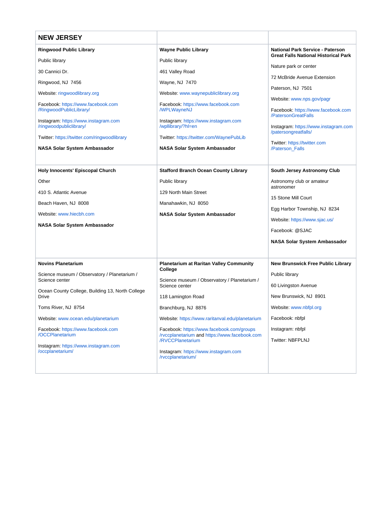<span id="page-34-0"></span>

| <b>NEW JERSEY</b>                                               |                                                                   |                                                                                        |
|-----------------------------------------------------------------|-------------------------------------------------------------------|----------------------------------------------------------------------------------------|
| <b>Ringwood Public Library</b>                                  | <b>Wayne Public Library</b>                                       | <b>National Park Service - Paterson</b><br><b>Great Falls National Historical Park</b> |
| Public library                                                  | Public library                                                    |                                                                                        |
| 30 Cannici Dr.                                                  | 461 Valley Road                                                   | Nature park or center                                                                  |
| Ringwood, NJ 7456                                               | Wayne, NJ 7470                                                    | 72 McBride Avenue Extension                                                            |
| Website: ringwoodlibrary.org                                    | Website: www.waynepubliclibrary.org                               | Paterson, NJ 7501                                                                      |
| Facebook: https://www.facebook.com<br>/RingwoodPublicLibrary/   | Facebook: https://www.facebook.com<br><b>/WPLWayneNJ</b>          | Website: www.nps.gov/pagr<br>Facebook: https://www.facebook.com<br>/PatersonGreatFalls |
| Instagram: https://www.instagram.com<br>/ringwoodpubliclibrary/ | Instagram: https://www.instagram.com<br>/wpllibrary/?hl=en        | Instagram: https://www.instagram.com<br>/patersongreatfalls/                           |
| Twitter: https://twitter.com/ringwoodlibrary                    | Twitter: https://twitter.com/WaynePubLib                          | Twitter: https://twitter.com                                                           |
| NASA Solar System Ambassador                                    | NASA Solar System Ambassador                                      | /Paterson Falls                                                                        |
| <b>Holy Innocents' Episcopal Church</b>                         | <b>Stafford Branch Ocean County Library</b>                       | South Jersey Astronomy Club                                                            |
| Other                                                           | Public library                                                    | Astronomy club or amateur                                                              |
| 410 S. Atlantic Avenue                                          | 129 North Main Street                                             | astronomer                                                                             |
| Beach Haven, NJ 8008                                            | Manahawkin, NJ 8050                                               | 15 Stone Mill Court                                                                    |
| Website: www.hiecbh.com                                         | <b>NASA Solar System Ambassador</b>                               | Egg Harbor Township, NJ 8234                                                           |
| NASA Solar System Ambassador                                    |                                                                   | Website: https://www.sjac.us/                                                          |
|                                                                 |                                                                   | Facebook: @SJAC                                                                        |
|                                                                 |                                                                   | <b>NASA Solar System Ambassador</b>                                                    |
|                                                                 |                                                                   |                                                                                        |
| <b>Novins Planetarium</b>                                       | <b>Planetarium at Raritan Valley Community</b><br>College         | <b>New Brunswick Free Public Library</b>                                               |
| Science museum / Observatory / Planetarium /<br>Science center  | Science museum / Observatory / Planetarium /                      | Public library                                                                         |
| Ocean County College, Building 13, North College                | Science center                                                    | 60 Livingston Avenue                                                                   |
| <b>Drive</b>                                                    | 118 Lamington Road                                                | New Brunswick, NJ 8901                                                                 |
| Toms River, NJ 8754                                             | Branchburg, NJ 8876                                               | Website: www.nbfpl.org                                                                 |
| Website: www.ocean.edu/planetarium                              | Website: https://www.raritanval.edu/planetarium                   | Facebook: nbfpl                                                                        |
| Facebook: https://www.facebook.com<br>/OCCPlanetarium           | Facebook: https://www.facebook.com/groups                         | Instagram: nbfpl                                                                       |
|                                                                 | /rvccplanetarium and https://www.facebook.com<br>/RVCCPlanetarium | <b>Twitter: NBFPLNJ</b>                                                                |
| Instagram: https://www.instagram.com<br>/occplanetarium/        | Instagram: https://www.instagram.com<br>/rvccplanetarium/         |                                                                                        |
|                                                                 |                                                                   |                                                                                        |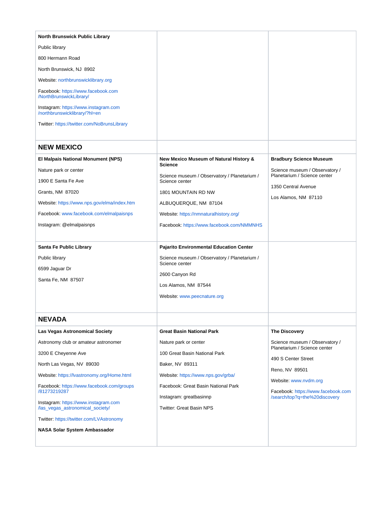<span id="page-35-1"></span><span id="page-35-0"></span>

| <b>North Brunswick Public Library</b>                                                                                                                                                                                                                                     |                                                                                                                                                                                                                                                                                                                                                                                |                                                                                                                                                 |
|---------------------------------------------------------------------------------------------------------------------------------------------------------------------------------------------------------------------------------------------------------------------------|--------------------------------------------------------------------------------------------------------------------------------------------------------------------------------------------------------------------------------------------------------------------------------------------------------------------------------------------------------------------------------|-------------------------------------------------------------------------------------------------------------------------------------------------|
| Public library                                                                                                                                                                                                                                                            |                                                                                                                                                                                                                                                                                                                                                                                |                                                                                                                                                 |
| 800 Hermann Road                                                                                                                                                                                                                                                          |                                                                                                                                                                                                                                                                                                                                                                                |                                                                                                                                                 |
| North Brunswick, NJ 8902                                                                                                                                                                                                                                                  |                                                                                                                                                                                                                                                                                                                                                                                |                                                                                                                                                 |
| Website: northbrunswicklibrary.org                                                                                                                                                                                                                                        |                                                                                                                                                                                                                                                                                                                                                                                |                                                                                                                                                 |
| Facebook: https://www.facebook.com<br>/NorthBrunswickLibrary/                                                                                                                                                                                                             |                                                                                                                                                                                                                                                                                                                                                                                |                                                                                                                                                 |
| Instagram: https://www.instagram.com<br>/northbrunswicklibrary/?hl=en                                                                                                                                                                                                     |                                                                                                                                                                                                                                                                                                                                                                                |                                                                                                                                                 |
| Twitter: https://twitter.com/NoBrunsLibrary                                                                                                                                                                                                                               |                                                                                                                                                                                                                                                                                                                                                                                |                                                                                                                                                 |
| <b>NEW MEXICO</b>                                                                                                                                                                                                                                                         |                                                                                                                                                                                                                                                                                                                                                                                |                                                                                                                                                 |
| El Malpais National Monument (NPS)<br>Nature park or center<br>1900 E Santa Fe Ave<br>Grants, NM 87020<br>Website: https://www.nps.gov/elma/index.htm<br>Facebook: www.facebook.com/elmalpaisnps<br>Instagram: @elmalpaisnps<br>Santa Fe Public Library<br>Public library | New Mexico Museum of Natural History &<br><b>Science</b><br>Science museum / Observatory / Planetarium /<br>Science center<br>1801 MOUNTAIN RD NW<br>ALBUQUERQUE, NM 87104<br>Website: https://nmnaturalhistory.org/<br>Facebook: https://www.facebook.com/NMMNHS<br>Pajarito Environmental Education Center<br>Science museum / Observatory / Planetarium /<br>Science center | <b>Bradbury Science Museum</b><br>Science museum / Observatory /<br>Planetarium / Science center<br>1350 Central Avenue<br>Los Alamos, NM 87110 |
| 6599 Jaguar Dr<br>Santa Fe, NM 87507                                                                                                                                                                                                                                      | 2600 Canyon Rd<br>Los Alamos, NM 87544<br>Website: www.peecnature.org                                                                                                                                                                                                                                                                                                          |                                                                                                                                                 |
| <b>NEVADA</b>                                                                                                                                                                                                                                                             |                                                                                                                                                                                                                                                                                                                                                                                |                                                                                                                                                 |
| <b>Las Vegas Astronomical Society</b>                                                                                                                                                                                                                                     | <b>Great Basin National Park</b>                                                                                                                                                                                                                                                                                                                                               | <b>The Discovery</b>                                                                                                                            |
| Astronomy club or amateur astronomer                                                                                                                                                                                                                                      | Nature park or center                                                                                                                                                                                                                                                                                                                                                          | Science museum / Observatory /<br>Planetarium / Science center                                                                                  |
| 3200 E Cheyenne Ave                                                                                                                                                                                                                                                       | 100 Great Basin National Park                                                                                                                                                                                                                                                                                                                                                  | 490 S Center Street                                                                                                                             |
| North Las Vegas, NV 89030                                                                                                                                                                                                                                                 | Baker, NV 89311                                                                                                                                                                                                                                                                                                                                                                | Reno, NV 89501                                                                                                                                  |
| Website: https://lvastronomy.org/Home.html                                                                                                                                                                                                                                | Website: https://www.nps.gov/grba/                                                                                                                                                                                                                                                                                                                                             | Website: www.nvdm.org                                                                                                                           |
| Facebook: https://www.facebook.com/groups<br>/81273219287<br>Instagram: https://www.instagram.com<br>/las_vegas_astronomical_society/                                                                                                                                     | Facebook: Great Basin National Park<br>Instagram: greatbasinnp<br><b>Twitter: Great Basin NPS</b>                                                                                                                                                                                                                                                                              | Facebook: https://www.facebook.com<br>/search/top?q=the%20discovery                                                                             |
| Twitter: https://twitter.com/LVAstronomy                                                                                                                                                                                                                                  |                                                                                                                                                                                                                                                                                                                                                                                |                                                                                                                                                 |
| NASA Solar System Ambassador                                                                                                                                                                                                                                              |                                                                                                                                                                                                                                                                                                                                                                                |                                                                                                                                                 |
|                                                                                                                                                                                                                                                                           |                                                                                                                                                                                                                                                                                                                                                                                |                                                                                                                                                 |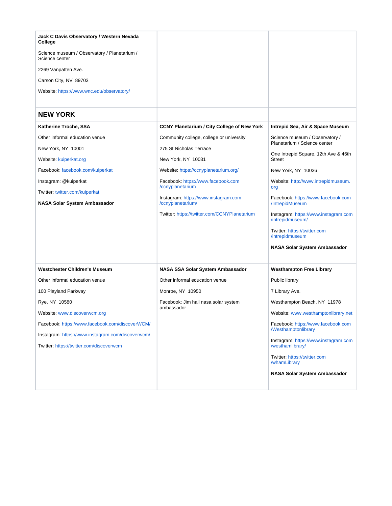<span id="page-36-0"></span>

| Jack C Davis Observatory / Western Nevada<br>College           |                                                        |                                                                  |
|----------------------------------------------------------------|--------------------------------------------------------|------------------------------------------------------------------|
| Science museum / Observatory / Planetarium /<br>Science center |                                                        |                                                                  |
| 2269 Vanpatten Ave.                                            |                                                        |                                                                  |
| Carson City, NV 89703                                          |                                                        |                                                                  |
| Website: https://www.wnc.edu/observatory/                      |                                                        |                                                                  |
| <b>NEW YORK</b>                                                |                                                        |                                                                  |
| Katherine Troche, SSA                                          | <b>CCNY Planetarium / City College of New York</b>     | Intrepid Sea, Air & Space Museum                                 |
| Other informal education venue                                 | Community college, college or university               | Science museum / Observatory /<br>Planetarium / Science center   |
| New York, NY 10001                                             | 275 St Nicholas Terrace                                |                                                                  |
| Website: kuiperkat.org                                         | New York, NY 10031                                     | One Intrepid Square, 12th Ave & 46th<br><b>Street</b>            |
| Facebook: facebook.com/kuiperkat                               | Website: https://ccnyplanetarium.org/                  | New York, NY 10036                                               |
| Instagram: @kuiperkat                                          | Facebook: https://www.facebook.com<br>/ccnyplanetarium | Website: http://www.intrepidmuseum.<br>org                       |
| Twitter: twitter.com/kuiperkat                                 | Instagram: https://www.instagram.com                   |                                                                  |
| <b>NASA Solar System Ambassador</b>                            | /ccnyplanetarium/                                      | Facebook: https://www.facebook.com<br>/IntrepidMuseum            |
|                                                                | Twitter: https://twitter.com/CCNYPlanetarium           | Instagram: https://www.instagram.com<br>/intrepidmuseum/         |
|                                                                |                                                        | Twitter: https://twitter.com<br>/intrepidmuseum                  |
|                                                                |                                                        | NASA Solar System Ambassador                                     |
| <b>Westchester Children's Museum</b>                           | NASA SSA Solar System Ambassador                       | <b>Westhampton Free Library</b>                                  |
| Other informal education venue                                 | Other informal education venue                         | Public library                                                   |
| 100 Playland Parkway                                           | Monroe, NY 10950                                       | 7 Library Ave.                                                   |
| Rye, NY 10580                                                  | Facebook: Jim hall nasa solar system<br>ambassador     | Westhampton Beach, NY 11978                                      |
| Website: www.discoverwcm.org                                   |                                                        | Website: www.westhamptonlibrary.net                              |
| Facebook: https://www.facebook.com/discoverWCM/                |                                                        | Facebook: https://www.facebook.com<br><b>/Westhamptonlibrary</b> |
| Instagram: https://www.instagram.com/discoverwcm/              |                                                        |                                                                  |
| Twitter: https://twitter.com/discoverwcm                       |                                                        | Instagram: https://www.instagram.com<br>/westhamlibrary/         |
|                                                                |                                                        | Twitter: https://twitter.com<br>/whamLibrary                     |
|                                                                |                                                        | NASA Solar System Ambassador                                     |
|                                                                |                                                        |                                                                  |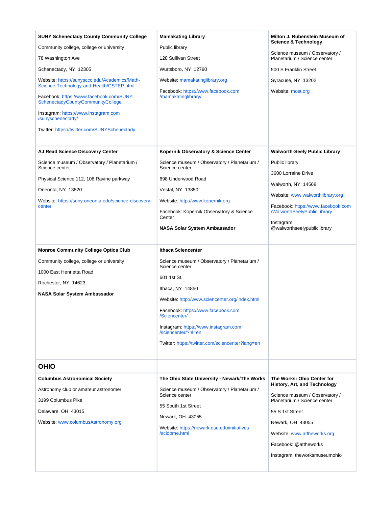<span id="page-37-0"></span>

| <b>SUNY Schenectady County Community College</b>                                          | <b>Mamakating Library</b>                                                    | Milton J. Rubenstein Museum of<br><b>Science &amp; Technology</b> |
|-------------------------------------------------------------------------------------------|------------------------------------------------------------------------------|-------------------------------------------------------------------|
| Community college, college or university                                                  | Public library                                                               | Science museum / Observatory /                                    |
| 78 Washington Ave                                                                         | 128 Sullivan Street                                                          | Planetarium / Science center                                      |
| Schenectady, NY 12305                                                                     | Wurtsboro, NY 12790                                                          | 500 S Franklin Street                                             |
| Website: https://sunysccc.edu/Academics/Math-<br>Science-Technology-and-Health/CSTEP.html | Website: mamakatinglibrary.org                                               | Syracuse, NY 13202                                                |
| Facebook: https://www.facebook.com/SUNY.<br>SchenectadyCountyCommunityCollege             | Facebook: https://www.facebook.com<br>/mamakatinglibrary/                    | Website: most.org                                                 |
| Instagram: https://www.instagram.com<br>/sunyschenectady/                                 |                                                                              |                                                                   |
| Twitter: https://twitter.com/SUNYSchenectady                                              |                                                                              |                                                                   |
| AJ Read Science Discovery Center                                                          | Kopernik Observatory & Science Center                                        | <b>Walworth-Seely Public Library</b>                              |
| Science museum / Observatory / Planetarium /                                              | Science museum / Observatory / Planetarium /                                 | Public library                                                    |
| Science center                                                                            | Science center                                                               | 3600 Lorraine Drive                                               |
| Physical Science 112, 108 Ravine parkway                                                  | 698 Underwood Road                                                           | Walworth, NY 14568                                                |
| Oneonta, NY 13820                                                                         | Vestal, NY 13850                                                             | Website: www.walworthlibrary.org                                  |
| Website: https://suny.oneonta.edu/science-discovery-<br>center                            | Website: http://www.kopernik.org<br>Facebook: Kopernik Observatory & Science | Facebook: https://www.facebook.com<br>/WalworthSeelyPublicLibrary |
|                                                                                           | Center                                                                       | Instagram:                                                        |
|                                                                                           | NASA Solar System Ambassador                                                 | @walworthseelypubliclibrary                                       |
|                                                                                           |                                                                              |                                                                   |
| <b>Monroe Community College Optics Club</b>                                               | <b>Ithaca Sciencenter</b>                                                    |                                                                   |
| Community college, college or university                                                  | Science museum / Observatory / Planetarium /<br>Science center               |                                                                   |
| 1000 East Henrietta Road                                                                  | 601 1st St.                                                                  |                                                                   |
| Rochester, NY 14623                                                                       | Ithaca, NY 14850                                                             |                                                                   |
| <b>NASA Solar System Ambassador</b>                                                       | Website: http://www.sciencenter.org/index.html                               |                                                                   |
|                                                                                           | Facebook: https://www.facebook.com                                           |                                                                   |
|                                                                                           | /Sciencenter/                                                                |                                                                   |
|                                                                                           | Instagram: https://www.instagram.com<br>/sciencenter/?hl=en                  |                                                                   |
|                                                                                           | Twitter: https://twitter.com/sciencenter?lang=en                             |                                                                   |
|                                                                                           |                                                                              |                                                                   |
| <b>OHIO</b>                                                                               |                                                                              |                                                                   |
| <b>Columbus Astronomical Society</b>                                                      | The Ohio State University - Newark/The Works                                 | The Works: Ohio Center for<br>History, Art, and Technology        |
| Astronomy club or amateur astronomer                                                      | Science museum / Observatory / Planetarium /<br>Science center               | Science museum / Observatory /                                    |
| 3199 Columbus Pike                                                                        | 55 South 1st Street                                                          | Planetarium / Science center                                      |
| Delaware, OH 43015                                                                        | Newark, OH 43055                                                             | 55 S 1st Street                                                   |
| Website: www.columbusAstronomy.org                                                        | Website: https://newark.osu.edu/initiatives                                  | Newark, OH 43055                                                  |
|                                                                                           | /scidome.html                                                                | Website: www.attheworks.org                                       |
|                                                                                           |                                                                              | Facebook: @attheworks                                             |
|                                                                                           |                                                                              | Instagram: theworksmuseumohio                                     |
|                                                                                           |                                                                              |                                                                   |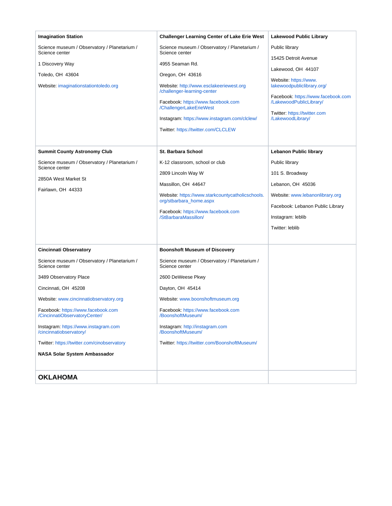<span id="page-38-0"></span>

| <b>Imagination Station</b>                                                                                                                                                                                                                                                                                                                                                                                           | <b>Challenger Learning Center of Lake Erie West</b>                                                                                                                                                                                                                                                                                                     | <b>Lakewood Public Library</b>                                                                                                                                                                                          |
|----------------------------------------------------------------------------------------------------------------------------------------------------------------------------------------------------------------------------------------------------------------------------------------------------------------------------------------------------------------------------------------------------------------------|---------------------------------------------------------------------------------------------------------------------------------------------------------------------------------------------------------------------------------------------------------------------------------------------------------------------------------------------------------|-------------------------------------------------------------------------------------------------------------------------------------------------------------------------------------------------------------------------|
| Science museum / Observatory / Planetarium /<br>Science center                                                                                                                                                                                                                                                                                                                                                       | Science museum / Observatory / Planetarium /<br>Science center                                                                                                                                                                                                                                                                                          | Public library                                                                                                                                                                                                          |
| 1 Discovery Way<br>Toledo, OH 43604<br>Website: imaginationstationtoledo.org                                                                                                                                                                                                                                                                                                                                         | 4955 Seaman Rd.<br>Oregon, OH 43616<br>Website: http://www.esclakeeriewest.org<br>/challenger-learning-center<br>Facebook: https://www.facebook.com<br>/ChallengerLakeErieWest<br>Instagram: https://www.instagram.com/clclew/<br>Twitter: https://twitter.com/CLCLEW                                                                                   | 15425 Detroit Avenue<br>Lakewood, OH 44107<br>Website: https://www.<br>lakewoodpubliclibrary.org/<br>Facebook: https://www.facebook.com<br>/LakewoodPublicLibrary/<br>Twitter: https://twitter.com<br>/LakewoodLibrary/ |
| <b>Summit County Astronomy Club</b><br>Science museum / Observatory / Planetarium /<br>Science center<br>2850A West Market St<br>Fairlawn, OH 44333                                                                                                                                                                                                                                                                  | <b>St. Barbara School</b><br>K-12 classroom, school or club<br>2809 Lincoln Way W<br>Massillon, OH 44647<br>Website: https://www.starkcountycatholicschools.<br>org/stbarbara_home.aspx<br>Facebook: https://www.facebook.com<br>/StBarbaraMassillon/                                                                                                   | <b>Lebanon Public library</b><br>Public library<br>101 S. Broadway<br>Lebanon, OH 45036<br>Website: www.lebanonlibrary.org<br>Facebook: Lebanon Public Library<br>Instagram: leblib<br>Twitter: leblib                  |
| <b>Cincinnati Observatory</b><br>Science museum / Observatory / Planetarium /<br>Science center<br>3489 Observatory Place<br>Cincinnati, OH 45208<br>Website: www.cincinnatiobservatory.org<br>Facebook: https://www.facebook.com<br>/CincinnatiObservatoryCenter/<br>Instagram: https://www.instagram.com<br>/cincinnatiobservatory/<br>Twitter: https://twitter.com/cinobservatory<br>NASA Solar System Ambassador | <b>Boonshoft Museum of Discovery</b><br>Science museum / Observatory / Planetarium /<br>Science center<br>2600 DeWeese Pkwy<br>Dayton, OH 45414<br>Website: www.boonshoftmuseum.org<br>Facebook: https://www.facebook.com<br>/BoonshoftMuseum/<br>Instagram: http://instagram.com<br>/BoonshoftMuseum/<br>Twitter: https://twitter.com/BoonshoftMuseum/ |                                                                                                                                                                                                                         |
| <b>OKLAHOMA</b>                                                                                                                                                                                                                                                                                                                                                                                                      |                                                                                                                                                                                                                                                                                                                                                         |                                                                                                                                                                                                                         |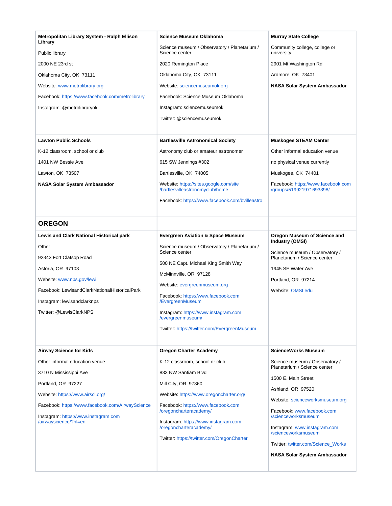<span id="page-39-0"></span>

| Metropolitan Library System - Ralph Ellison<br>Library | <b>Science Museum Oklahoma</b>                                            | <b>Murray State College</b>                                    |
|--------------------------------------------------------|---------------------------------------------------------------------------|----------------------------------------------------------------|
| Public library                                         | Science museum / Observatory / Planetarium /<br>Science center            | Community college, college or<br>university                    |
| 2000 NE 23rd st                                        | 2020 Remington Place                                                      | 2901 Mt Washington Rd                                          |
| Oklahoma City, OK 73111                                | Oklahoma City, OK 73111                                                   | Ardmore, OK 73401                                              |
| Website: www.metrolibrary.org                          | Website: sciencemuseumok.org                                              | NASA Solar System Ambassador                                   |
| Facebook: https://www.facebook.com/metrolibrary        | Facebook: Science Museum Oklahoma                                         |                                                                |
| Instagram: @metrolibraryok                             | Instagram: sciencemuseumok                                                |                                                                |
|                                                        | Twitter: @sciencemuseumok                                                 |                                                                |
|                                                        |                                                                           |                                                                |
| <b>Lawton Public Schools</b>                           | <b>Bartlesville Astronomical Society</b>                                  | <b>Muskogee STEAM Center</b>                                   |
| K-12 classroom, school or club                         | Astronomy club or amateur astronomer                                      | Other informal education venue                                 |
| 1401 NW Bessie Ave                                     | 615 SW Jennings #302                                                      | no physical venue currently                                    |
| Lawton, OK 73507                                       | Bartlesville, OK 74005                                                    | Muskogee, OK 74401                                             |
| NASA Solar System Ambassador                           | Website: https://sites.google.com/site<br>/bartlesvilleastronomyclub/home | Facebook: https://www.facebook.com<br>/groups/519921971693398/ |
|                                                        | Facebook: https://www.facebook.com/bvilleastro                            |                                                                |
|                                                        |                                                                           |                                                                |
| <b>OREGON</b>                                          |                                                                           |                                                                |
| <b>Lewis and Clark National Historical park</b>        | <b>Evergreen Aviation &amp; Space Museum</b>                              | Oregon Museum of Science and                                   |
| Other                                                  | Science museum / Observatory / Planetarium /                              | <b>Industry (OMSI)</b>                                         |
| 92343 Fort Clatsop Road                                | Science center                                                            | Science museum / Observatory /<br>Planetarium / Science center |
| Astoria, OR 97103                                      | 500 NE Capt. Michael King Smith Way                                       | 1945 SE Water Ave                                              |
| Website: www.nps.gov/lewi                              | McMinnville, OR 97128                                                     | Portland, OR 97214                                             |
| Facebook: LewisandClarkNationalHistoricalPark          | Website: evergreenmuseum.org                                              | Website: OMSI.edu                                              |
| Instagram: lewisandclarknps                            | Facebook: https://www.facebook.com<br>/EvergreenMuseum                    |                                                                |
| Twitter: @LewisClarkNPS                                | Instagram: https://www.instagram.com<br>/evergreenmuseum/                 |                                                                |
|                                                        | Twitter: https://twitter.com/EvergreenMuseum                              |                                                                |
|                                                        |                                                                           |                                                                |
| <b>Airway Science for Kids</b>                         | <b>Oregon Charter Academy</b>                                             | <b>ScienceWorks Museum</b>                                     |
| Other informal education venue                         | K-12 classroom, school or club                                            | Science museum / Observatory /                                 |
| 3710 N Mississippi Ave                                 | 833 NW Santiam Blvd                                                       | Planetarium / Science center                                   |
| Portland, OR 97227                                     | Mill City, OR 97360                                                       | 1500 E. Main Street                                            |
| Website: https://www.airsci.org/                       | Website: https://www.oregoncharter.org/                                   | Ashland, OR 97520                                              |
| Facebook: https://www.facebook.com/AirwayScience       | Facebook: https://www.facebook.com                                        | Website: scienceworksmuseum.org                                |
| Instagram: https://www.instagram.com                   | /oregoncharteracademy/                                                    | Facebook: www.facebook.com<br>/scienceworksmuseum              |
| /airwayscience/?hl=en                                  | Instagram: https://www.instagram.com<br>/oregoncharteracademy/            | Instagram: www.instagram.com<br>/scienceworksmuseum            |
|                                                        | Twitter: https://twitter.com/OregonCharter                                | Twitter: twitter.com/Science_Works                             |
|                                                        |                                                                           | NASA Solar System Ambassador                                   |
|                                                        |                                                                           |                                                                |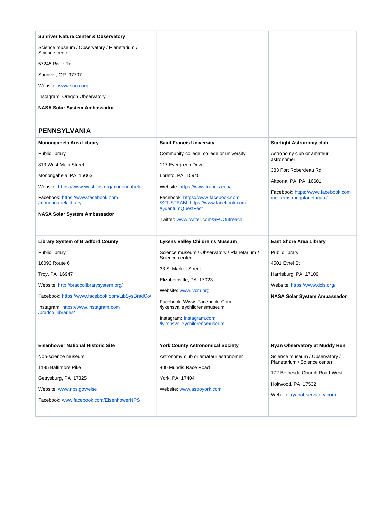<span id="page-40-0"></span>

| <b>Sunriver Nature Center &amp; Observatory</b>                                          |                                                                                 |                                                                  |
|------------------------------------------------------------------------------------------|---------------------------------------------------------------------------------|------------------------------------------------------------------|
| Science museum / Observatory / Planetarium /<br>Science center                           |                                                                                 |                                                                  |
| 57245 River Rd                                                                           |                                                                                 |                                                                  |
| Sunriver, OR 97707                                                                       |                                                                                 |                                                                  |
| Website: www.snco.org                                                                    |                                                                                 |                                                                  |
| Instagram: Oregon Observatory                                                            |                                                                                 |                                                                  |
| NASA Solar System Ambassador                                                             |                                                                                 |                                                                  |
|                                                                                          |                                                                                 |                                                                  |
| <b>PENNSYLVANIA</b>                                                                      |                                                                                 |                                                                  |
| Monongahela Area Library                                                                 | <b>Saint Francis University</b>                                                 | <b>Starlight Astronomy club</b>                                  |
| Public library                                                                           | Community college, college or university                                        | Astronomy club or amateur<br>astronomer                          |
| 813 West Main Street                                                                     | 117 Evergreen Drive                                                             |                                                                  |
| Monongahela, PA 15063                                                                    | Loretto, PA 15940                                                               | 383 Fort Roberdeau Rd,                                           |
| Website: https://www.washlibs.org/monongahela                                            | Website: https://www.francis.edu/                                               | Altoona, PA, PA 16601                                            |
| Facebook: https://www.facebook.com<br>/monongahelalibrary                                | Facebook: https://www.facebook.com<br>/SFUSTEAM; https://www.facebook.com       | Facebook: https://www.facebook.com<br>/neilarmstrongplanetarium/ |
| NASA Solar System Ambassador                                                             | /QuantumQuestFest                                                               |                                                                  |
|                                                                                          |                                                                                 |                                                                  |
|                                                                                          | Twitter: www.twitter.com/SFUOutreach                                            |                                                                  |
|                                                                                          |                                                                                 |                                                                  |
| <b>Library System of Bradford County</b><br>Public library                               | Lykens Valley Children's Museum<br>Science museum / Observatory / Planetarium / | <b>East Shore Area Library</b><br>Public library                 |
| 16093 Route 6                                                                            | Science center                                                                  | 4501 Ethel St                                                    |
|                                                                                          | 33 S. Market Street                                                             |                                                                  |
| Troy, PA 16947                                                                           | Elizabethville, PA 17023                                                        | Harrisburg, PA 17109<br>Website: https://www.dcls.org/           |
| Website: http://bradcolibrarysystem.org/                                                 | Website: www.lvcm.org                                                           |                                                                  |
| Facebook: https://www.facebook.com/LibSysBradCo/<br>Instagram: https://www.instagram.com | Facebook: Www. Facebook. Com<br>/lykensvalleychildrensmuseum                    | NASA Solar System Ambassador                                     |
| /bradco libraries/                                                                       | Instagram: Instagram.com                                                        |                                                                  |
|                                                                                          | /lykensvalleychildrensmuseum                                                    |                                                                  |
|                                                                                          |                                                                                 |                                                                  |
| <b>Eisenhower National Historic Site</b>                                                 | <b>York County Astronomical Society</b>                                         | Ryan Observatory at Muddy Run                                    |
| Non-science museum                                                                       | Astronomy club or amateur astronomer                                            | Science museum / Observatory /<br>Planetarium / Science center   |
| 1195 Baltimore Pike                                                                      | 400 Mundis Race Road                                                            | 172 Bethesda Church Road West                                    |
| Gettysburg, PA 17325                                                                     | York, PA 17404                                                                  | Holtwood, PA 17532                                               |
| Website: www.nps.gov/eise                                                                | Website: www.astroyork.com                                                      | Website: ryanobservatory.com                                     |
| Facebook: www.facebook.com/EisenhowerNPS                                                 |                                                                                 |                                                                  |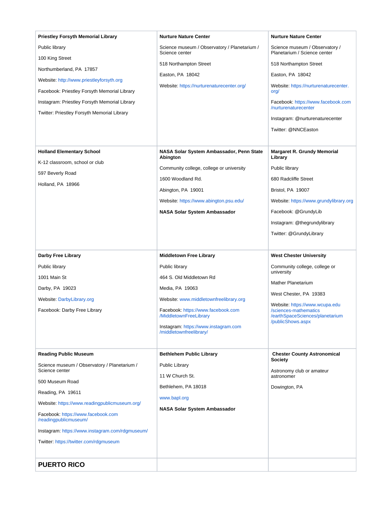<span id="page-41-0"></span>

| <b>Priestley Forsyth Memorial Library</b>                                | <b>Nurture Nature Center</b>                                 | <b>Nurture Nature Center</b>                               |
|--------------------------------------------------------------------------|--------------------------------------------------------------|------------------------------------------------------------|
| Public library                                                           | Science museum / Observatory / Planetarium /                 | Science museum / Observatory /                             |
| 100 King Street                                                          | Science center                                               | Planetarium / Science center                               |
| Northumberland, PA 17857                                                 | 518 Northampton Street                                       | 518 Northampton Street                                     |
| Website: http://www.priestleyforsyth.org                                 | Easton, PA 18042                                             | Easton, PA 18042                                           |
| Facebook: Priestley Forsyth Memorial Library                             | Website: https://nurturenaturecenter.org/                    | Website: https://nurturenaturecenter.<br>org/              |
| Instagram: Priestley Forsyth Memorial Library                            |                                                              | Facebook: https://www.facebook.com<br>/nurturenaturecenter |
| Twitter: Priestley Forsyth Memorial Library                              |                                                              | Instagram: @nurturenaturecenter                            |
|                                                                          |                                                              | Twitter: @NNCEaston                                        |
|                                                                          |                                                              |                                                            |
| <b>Holland Elementary School</b>                                         | NASA Solar System Ambassador, Penn State<br>Abington         | <b>Margaret R. Grundy Memorial</b><br>Library              |
| K-12 classroom, school or club                                           | Community college, college or university                     | Public library                                             |
| 597 Beverly Road                                                         | 1600 Woodland Rd.                                            | 680 Radcliffe Street                                       |
| Holland, PA 18966                                                        | Abington, PA 19001                                           | Bristol, PA 19007                                          |
|                                                                          | Website: https://www.abington.psu.edu/                       | Website: https://www.grundylibrary.org                     |
|                                                                          | <b>NASA Solar System Ambassador</b>                          | Facebook: @GrundyLib                                       |
|                                                                          |                                                              | Instagram: @thegrundylibrary                               |
|                                                                          |                                                              | Twitter: @GrundyLibrary                                    |
|                                                                          |                                                              |                                                            |
|                                                                          |                                                              |                                                            |
| Darby Free Library                                                       | <b>Middletown Free Library</b>                               | <b>West Chester University</b>                             |
| Public library                                                           | Public library                                               | Community college, college or                              |
| 1001 Main St                                                             | 464 S. Old Middletown Rd                                     | university                                                 |
| Darby, PA 19023                                                          | Media, PA 19063                                              | Mather Planetarium                                         |
| Website: DarbyLibrary.org                                                | Website: www.middletownfreelibrary.org                       | West Chester, PA 19383                                     |
| Facebook: Darby Free Library                                             | Facebook: https://www.facebook.com<br>/MiddletownFreeLibrary | Website: https://www.wcupa.edu<br>/sciences-mathematics    |
|                                                                          | Instagram: https://www.instagram.com                         | /earthSpaceSciences/planetarium<br>/publicShows.aspx       |
|                                                                          | /middletownfreelibrary/                                      |                                                            |
|                                                                          |                                                              |                                                            |
| <b>Reading Public Museum</b>                                             | <b>Bethlehem Public Library</b>                              | <b>Chester County Astronomical</b><br>Society              |
| Science museum / Observatory / Planetarium /<br>Science center           | <b>Public Library</b>                                        | Astronomy club or amateur                                  |
| 500 Museum Road                                                          | 11 W Church St.                                              | astronomer                                                 |
| Reading, PA 19611                                                        | Bethlehem, PA 18018                                          | Dowington, PA                                              |
| Website: https://www.readingpublicmuseum.org/                            | www.bapl.org                                                 |                                                            |
| Facebook: https://www.facebook.com                                       | <b>NASA Solar System Ambassador</b>                          |                                                            |
| /readingpublicmuseum/<br>Instagram: https://www.instagram.com/rdgmuseum/ |                                                              |                                                            |
| Twitter: https://twitter.com/rdgmuseum                                   |                                                              |                                                            |
|                                                                          |                                                              |                                                            |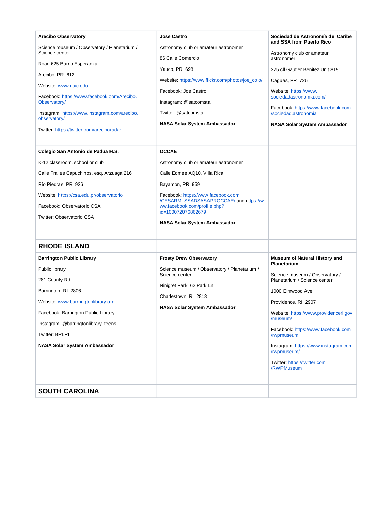<span id="page-42-1"></span><span id="page-42-0"></span>

| <b>Arecibo Observatory</b>                                     | Jose Castro                                                                  | Sociedad de Astronomía del Caribe<br>and SSA from Puerto Rico  |
|----------------------------------------------------------------|------------------------------------------------------------------------------|----------------------------------------------------------------|
| Science museum / Observatory / Planetarium /<br>Science center | Astronomy club or amateur astronomer                                         | Astronomy club or amateur                                      |
| Road 625 Barrio Esperanza                                      | 86 Calle Comercio<br>Yauco, PR 698                                           | astronomer<br>225 cll Gautier Benitez Unit 8191                |
| Arecibo, PR 612                                                |                                                                              |                                                                |
| Website: www.naic.edu                                          | Website: https://www.flickr.com/photos/joe_colo/<br>Facebook: Joe Castro     | Caguas, PR 726                                                 |
| Facebook: https://www.facebook.com/Arecibo.<br>Observatory/    | Instagram: @satcomsta                                                        | Website: https://www.<br>sociedadastronomia.com/               |
| Instagram: https://www.instagram.com/arecibo.<br>observatory/  | Twitter: @satcomsta                                                          | Facebook: https://www.facebook.com<br>/sociedad.astronomia     |
| Twitter: https://twitter.com/areciboradar                      | <b>NASA Solar System Ambassador</b>                                          | NASA Solar System Ambassador                                   |
|                                                                |                                                                              |                                                                |
| Colegio San Antonio de Padua H.S.                              | <b>OCCAE</b>                                                                 |                                                                |
| K-12 classroom, school or club                                 | Astronomy club or amateur astronomer                                         |                                                                |
| Calle Frailes Capuchinos, esq. Arzuaga 216                     | Calle Edmee AQ10, Villa Rica                                                 |                                                                |
| Río Piedras, PR 926                                            | Bayamon, PR 959                                                              |                                                                |
| Website: https://csa.edu.pr/observatorio                       | Facebook: https://www.facebook.com<br>/CESARMLSSADSASAPROCCAE/ andh ttps://w |                                                                |
| Facebook: Observatorio CSA                                     | ww.facebook.com/profile.php?<br>id=100072076862679                           |                                                                |
| Twitter: Observatorio CSA                                      |                                                                              |                                                                |
|                                                                | <b>NASA Solar System Ambassador</b>                                          |                                                                |
| <b>RHODE ISLAND</b>                                            |                                                                              |                                                                |
| <b>Barrington Public Library</b>                               | <b>Frosty Drew Observatory</b>                                               | <b>Museum of Natural History and</b><br><b>Planetarium</b>     |
| Public library                                                 | Science museum / Observatory / Planetarium /<br>Science center               |                                                                |
| 281 County Rd.                                                 |                                                                              | Science museum / Observatory /<br>Planetarium / Science center |
| Barrington, RI 2806                                            | Ninigret Park, 62 Park Ln                                                    | 1000 Elmwood Ave                                               |
| Website: www.barrringtonlibrary.org                            | Charlestown, RI 2813                                                         | Providence, RI 2907                                            |
| Facebook: Barrington Public Library                            | <b>NASA Solar System Ambassador</b>                                          | Website: https://www.providenceri.gov                          |
| Instagram: @barringtonlibrary_teens                            |                                                                              | /museum/                                                       |
| Twitter: BPLRI                                                 |                                                                              | Facebook: https://www.facebook.com<br>/rwpmuseum               |
| <b>NASA Solar System Ambassador</b>                            |                                                                              | Instagram: https://www.instagram.com<br>/rwpmuseum/            |
|                                                                |                                                                              | Twitter: https://twitter.com<br>/RWPMuseum                     |
| <b>SOUTH CAROLINA</b>                                          |                                                                              |                                                                |
|                                                                |                                                                              |                                                                |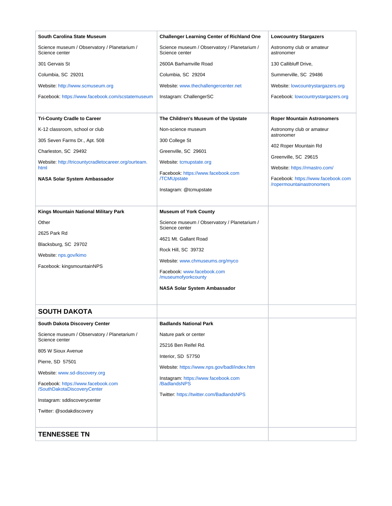<span id="page-43-1"></span><span id="page-43-0"></span>

| South Carolina State Museum                                    | <b>Challenger Learning Center of Richland One</b>              | <b>Lowcountry Stargazers</b>                                    |
|----------------------------------------------------------------|----------------------------------------------------------------|-----------------------------------------------------------------|
| Science museum / Observatory / Planetarium /<br>Science center | Science museum / Observatory / Planetarium /<br>Science center | Astronomy club or amateur<br>astronomer                         |
| 301 Gervais St                                                 | 2600A Barhamville Road                                         | 130 Callibluff Drive,                                           |
| Columbia, SC 29201                                             | Columbia, SC 29204                                             | Summerville, SC 29486                                           |
| Website: http://www.scmuseum.org                               | Website: www.thechallengercenter.net                           | Website: lowcountrystargazers.org                               |
| Facebook: https://www.facebook.com/scstatemuseum               | Instagram: ChallengerSC                                        | Facebook: lowcountrystargazers.org                              |
|                                                                |                                                                |                                                                 |
| <b>Tri-County Cradle to Career</b>                             | The Children's Museum of the Upstate                           | <b>Roper Mountain Astronomers</b>                               |
| K-12 classroom, school or club                                 | Non-science museum                                             | Astronomy club or amateur<br>astronomer                         |
| 305 Seven Farms Dr., Apt. 508                                  | 300 College St                                                 |                                                                 |
| Charleston, SC 29492                                           | Greenville, SC 29601                                           | 402 Roper Mountain Rd                                           |
| Website: http://tricountycradletocareer.org/ourteam.<br>html   | Website: tcmupstate.org                                        | Greenville, SC 29615<br>Website: https://rmastro.com/           |
|                                                                | Facebook: https://www.facebook.com                             |                                                                 |
| NASA Solar System Ambassador                                   | <b>TCMUpstate</b>                                              | Facebook: https://www.facebook.com<br>/ropermountainastronomers |
|                                                                | Instagram: @tcmupstate                                         |                                                                 |
| Kings Mountain National Military Park                          | <b>Museum of York County</b>                                   |                                                                 |
| Other                                                          | Science museum / Observatory / Planetarium /                   |                                                                 |
| 2625 Park Rd                                                   | Science center                                                 |                                                                 |
| Blacksburg, SC 29702                                           | 4621 Mt. Gallant Road                                          |                                                                 |
| Website: nps.gov/kimo                                          | Rock Hill, SC 39732                                            |                                                                 |
| Facebook: kingsmountainNPS                                     | Website: www.chmuseums.org/myco                                |                                                                 |
|                                                                | Facebook: www.facebook.com<br>/museumofyorkcounty              |                                                                 |
|                                                                | <b>NASA Solar System Ambassador</b>                            |                                                                 |
|                                                                |                                                                |                                                                 |
| <b>SOUTH DAKOTA</b>                                            |                                                                |                                                                 |
| <b>South Dakota Discovery Center</b>                           | <b>Badlands National Park</b>                                  |                                                                 |
| Science museum / Observatory / Planetarium /<br>Science center | Nature park or center                                          |                                                                 |
| 805 W Sioux Avenue                                             | 25216 Ben Reifel Rd.                                           |                                                                 |
| Pierre, SD 57501                                               | Interior, SD 57750                                             |                                                                 |
| Website: www.sd-discovery.org                                  | Website: https://www.nps.gov/badl/index.htm                    |                                                                 |
| Facebook: https://www.facebook.com                             | Instagram: https://www.facebook.com<br>/BadlandsNPS            |                                                                 |
| /SouthDakotaDiscoveryCenter                                    | Twitter: https://twitter.com/BadlandsNPS                       |                                                                 |
| Instagram: sddiscoverycenter                                   |                                                                |                                                                 |
| Twitter: @sodakdiscovery                                       |                                                                |                                                                 |
|                                                                |                                                                |                                                                 |
| <b>TENNESSEE TN</b>                                            |                                                                |                                                                 |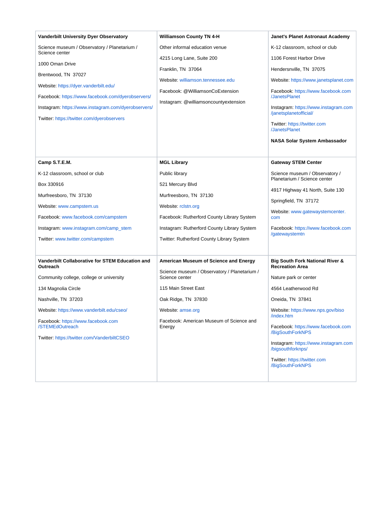| <b>Vanderbilt University Dyer Observatory</b>                  | <b>Williamson County TN 4-H</b>                                | Janet's Planet Astronaut Academy                                     |
|----------------------------------------------------------------|----------------------------------------------------------------|----------------------------------------------------------------------|
| Science museum / Observatory / Planetarium /<br>Science center | Other informal education venue                                 | K-12 classroom, school or club                                       |
| 1000 Oman Drive                                                | 4215 Long Lane, Suite 200                                      | 1106 Forest Harbor Drive                                             |
| Brentwood, TN 37027                                            | Franklin, TN 37064                                             | Hendersnville, TN 37075                                              |
| Website: https://dyer.vanderbilt.edu/                          | Website: williamson.tennessee.edu                              | Website: https://www.janetsplanet.com                                |
| Facebook: https://www.facebook.com/dyerobservers/              | Facebook: @WilliamsonCoExtension                               | Facebook: https://www.facebook.com<br>/JanetsPlanet                  |
| Instagram: https://www.instagram.com/dyerobservers/            | Instagram: @williamsoncountyextension                          | Instagram: https://www.instagram.com                                 |
| Twitter: https://twitter.com/dyerobservers                     |                                                                | /janetsplanetofficial/                                               |
|                                                                |                                                                | Twitter: https://twitter.com<br>/JanetsPlanet                        |
|                                                                |                                                                | <b>NASA Solar System Ambassador</b>                                  |
| Camp S.T.E.M.                                                  | <b>MGL Library</b>                                             | <b>Gateway STEM Center</b>                                           |
| K-12 classroom, school or club                                 | Public library                                                 | Science museum / Observatory /                                       |
| Box 330916                                                     | 521 Mercury Blvd                                               | Planetarium / Science center                                         |
| Murfreesboro, TN 37130                                         | Murfreesboro, TN 37130                                         | 4917 Highway 41 North, Suite 130                                     |
| Website: www.campstem.us                                       | Website: rclstn.org                                            | Springfield, TN 37172                                                |
| Facebook: www.facebook.com/campstem                            | Facebook: Rutherford County Library System                     | Website: www.gatewaystemcenter.<br>com                               |
| Instagram: www.instagram.com/camp_stem                         | Instagram: Rutherford County Library System                    | Facebook: https://www.facebook.com                                   |
| Twitter: www.twitter.com/campstem                              | Twitter: Rutherford County Library System                      | /gatewaystemtn                                                       |
| Vanderbilt Collaborative for STEM Education and<br>Outreach    | American Museum of Science and Energy                          | <b>Big South Fork National River &amp;</b><br><b>Recreation Area</b> |
| Community college, college or university                       | Science museum / Observatory / Planetarium /<br>Science center | Nature park or center                                                |
| 134 Magnolia Circle                                            | 115 Main Street East                                           | 4564 Leatherwood Rd                                                  |
| Nashville, TN 37203                                            | Oak Ridge, TN 37830                                            | Oneida, TN 37841                                                     |
| Website: https://www.vanderbilt.edu/cseo/                      | Website: amse.org                                              | Website: https://www.nps.gov/biso<br>/index.htm                      |
| Facebook: https://www.facebook.com<br>/STEMEdOutreach          | Facebook: American Museum of Science and<br>Energy             | Facebook: https://www.facebook.com<br>/BigSouthForkNPS               |
| Twitter: https://twitter.com/VanderbiltCSEO                    |                                                                | Instagram: https://www.instagram.com<br>/bigsouthforknps/            |
|                                                                |                                                                | Twitter: https://twitter.com<br>/BigSouthForkNPS                     |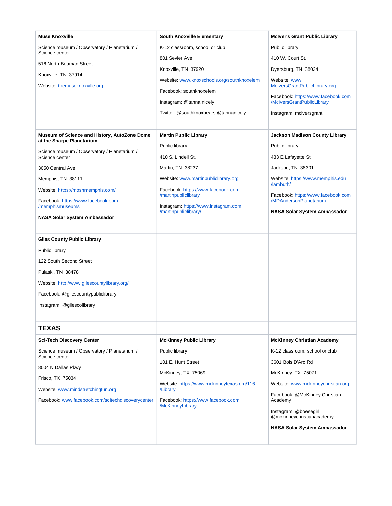<span id="page-45-0"></span>

| <b>Muse Knoxville</b>                                          | <b>South Knoxville Elementary</b>                          | <b>McIver's Grant Public Library</b>               |
|----------------------------------------------------------------|------------------------------------------------------------|----------------------------------------------------|
| Science museum / Observatory / Planetarium /<br>Science center | K-12 classroom, school or club                             | Public library                                     |
| 516 North Beaman Street                                        | 801 Sevier Ave                                             | 410 W. Court St.                                   |
| Knoxville, TN 37914                                            | Knoxville, TN 37920                                        | Dyersburg, TN 38024                                |
| Website: themuseknoxville.org                                  | Website: www.knoxschools.org/southknoxelem                 | Website: www.<br>McIversGrantPublicLibrary.org     |
|                                                                | Facebook: southknoxelem                                    | Facebook: https://www.facebook.com                 |
|                                                                | Instagram: @tanna.nicely                                   | /McIversGrantPublicLibrary                         |
|                                                                | Twitter: @southknoxbears @tannanicely                      | Instagram: mciversgrant                            |
|                                                                |                                                            |                                                    |
| Museum of Science and History, AutoZone Dome                   | <b>Martin Public Library</b>                               | <b>Jackson Madison County Library</b>              |
| at the Sharpe Planetarium                                      | Public library                                             | Public library                                     |
| Science museum / Observatory / Planetarium /<br>Science center | 410 S. Lindell St.                                         | 433 E Lafayette St                                 |
| 3050 Central Ave                                               | Martin, TN 38237                                           | Jackson, TN 38301                                  |
| Memphis, TN 38111                                              | Website: www.martinpubliclibrary.org                       | Website: https://www.memphis.edu<br>/lambuth/      |
| Website: https://moshmemphis.com/                              | Facebook: https://www.facebook.com<br>/martinpubliclibrary | Facebook: https://www.facebook.com                 |
| Facebook: https://www.facebook.com                             | Instagram: https://www.instagram.com                       | /MDAndersonPlanetarium                             |
| /memphismuseums                                                | /martinpubliclibrary/                                      | NASA Solar System Ambassador                       |
| NASA Solar System Ambassador                                   |                                                            |                                                    |
| <b>Giles County Public Library</b>                             |                                                            |                                                    |
| Public library                                                 |                                                            |                                                    |
| 122 South Second Street                                        |                                                            |                                                    |
| Pulaski, TN 38478                                              |                                                            |                                                    |
| Website: http://www.gilescountylibrary.org/                    |                                                            |                                                    |
|                                                                |                                                            |                                                    |
| Facebook: @gilescountypubliclibrary                            |                                                            |                                                    |
| Instagram: @gilescolibrary                                     |                                                            |                                                    |
| <b>TEXAS</b>                                                   |                                                            |                                                    |
|                                                                |                                                            |                                                    |
| <b>Sci-Tech Discovery Center</b>                               | <b>McKinney Public Library</b>                             | <b>McKinney Christian Academy</b>                  |
| Science museum / Observatory / Planetarium /<br>Science center | Public library                                             | K-12 classroom, school or club                     |
| 8004 N Dallas Pkwy                                             | 101 E. Hunt Street                                         | 3601 Bois D'Arc Rd                                 |
| Frisco, TX 75034                                               | McKinney, TX 75069                                         | McKinney, TX 75071                                 |
| Website: www.mindstretchingfun.org                             | Website: https://www.mckinneytexas.org/116<br>/Library     | Website: www.mckinneychristian.org                 |
| Facebook: www.facebook.com/scitechdiscoverycenter              | Facebook: https://www.facebook.com                         | Facebook: @McKinney Christian<br>Academy           |
|                                                                | /McKinneyLibrary                                           | Instagram: @boesegirl<br>@mckinneychristianacademy |
|                                                                |                                                            | NASA Solar System Ambassador                       |
|                                                                |                                                            |                                                    |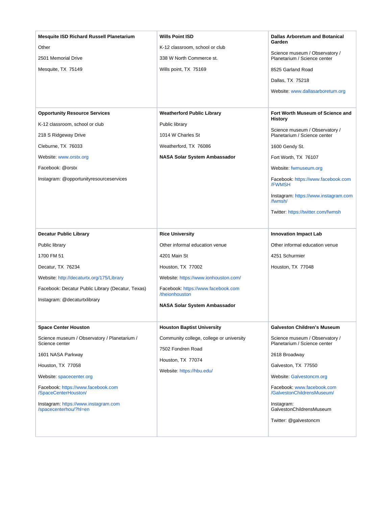| <b>Mesquite ISD Richard Russell Planetarium</b>                | <b>Wills Point ISD</b>                               | <b>Dallas Arboretum and Botanical</b><br>Garden                |
|----------------------------------------------------------------|------------------------------------------------------|----------------------------------------------------------------|
| Other                                                          | K-12 classroom, school or club                       | Science museum / Observatory /                                 |
| 2501 Memorial Drive                                            | 338 W North Commerce st.                             | Planetarium / Science center                                   |
| Mesquite, TX 75149                                             | Wills point, TX 75169                                | 8525 Garland Road                                              |
|                                                                |                                                      | Dallas, TX 75218                                               |
|                                                                |                                                      | Website: www.dallasarboretum.org                               |
|                                                                |                                                      |                                                                |
| <b>Opportunity Resource Services</b>                           | <b>Weatherford Public Library</b>                    | Fort Worth Museum of Science and                               |
| K-12 classroom, school or club                                 | Public library                                       | <b>History</b>                                                 |
| 218 S Ridgeway Drive                                           | 1014 W Charles St                                    | Science museum / Observatory /<br>Planetarium / Science center |
| Cleburne, TX 76033                                             | Weatherford, TX 76086                                | 1600 Gendy St.                                                 |
| Website: www.orstx.org                                         | <b>NASA Solar System Ambassador</b>                  | Fort Worth, TX 76107                                           |
| Facebook: @orstx                                               |                                                      | Website: fwmuseum.org                                          |
| Instagram: @opportunityresourceservices                        |                                                      | Facebook: https://www.facebook.com<br>/FWMSH                   |
|                                                                |                                                      | Instagram: https://www.instagram.com<br>/fwmsh/                |
|                                                                |                                                      | Twitter: https://twitter.com/fwmsh                             |
|                                                                |                                                      |                                                                |
| <b>Decatur Public Library</b>                                  | <b>Rice University</b>                               | <b>Innovation Impact Lab</b>                                   |
| Public library                                                 | Other informal education venue                       | Other informal education venue                                 |
| 1700 FM 51                                                     | 4201 Main St                                         | 4251 Schurmier                                                 |
| Decatur, TX 76234                                              | Houston, TX 77002                                    | Houston, TX 77048                                              |
| Website: http://decaturtx.org/175/Library                      | Website: https://www.ionhouston.com/                 |                                                                |
| Facebook: Decatur Public Library (Decatur, Texas)              | Facebook: https://www.facebook.com<br>/theionhouston |                                                                |
| Instagram: @decaturtxlibrary                                   | <b>NASA Solar System Ambassador</b>                  |                                                                |
|                                                                |                                                      |                                                                |
| <b>Space Center Houston</b>                                    | <b>Houston Baptist University</b>                    | <b>Galveston Children's Museum</b>                             |
| Science museum / Observatory / Planetarium /<br>Science center | Community college, college or university             | Science museum / Observatory /<br>Planetarium / Science center |
| 1601 NASA Parkway                                              | 7502 Fondren Road                                    | 2618 Broadway                                                  |
| Houston, TX 77058                                              | Houston, TX 77074                                    | Galveston, TX 77550                                            |
| Website: spacecenter.org                                       | Website: https://hbu.edu/                            | Website: Galvestoncm.org                                       |
| Facebook: https://www.facebook.com<br>/SpaceCenterHouston/     |                                                      | Facebook: www.facebook.com<br>/GalvestonChildrensMuseum/       |
| Instagram: https://www.instagram.com<br>/spacecenterhou/?hl=en |                                                      | Instagram:<br>GalvestonChildrensMuseum                         |
|                                                                |                                                      | Twitter: @galvestoncm                                          |
|                                                                |                                                      |                                                                |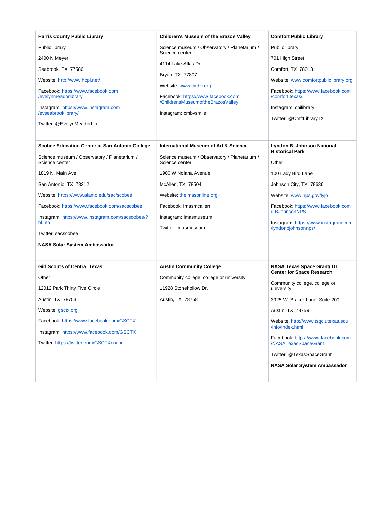| <b>Harris County Public Library</b>                                                                                                                    | <b>Children's Museum of the Brazos Valley</b>                                                                            | <b>Comfort Public Library</b>                                                                             |
|--------------------------------------------------------------------------------------------------------------------------------------------------------|--------------------------------------------------------------------------------------------------------------------------|-----------------------------------------------------------------------------------------------------------|
| Public library                                                                                                                                         | Science museum / Observatory / Planetarium /                                                                             | Public library                                                                                            |
| 2400 N Meyer                                                                                                                                           | Science center                                                                                                           | 701 High Street                                                                                           |
| Seabrook, TX 77586                                                                                                                                     | 4114 Lake Atlas Dr.                                                                                                      | Comfort, TX 78013                                                                                         |
| Website: http://www.hcpl.net/                                                                                                                          | Bryan, TX 77807                                                                                                          | Website: www.comfortpubliclibrary.org                                                                     |
| Facebook: https://www.facebook.com<br>/evelynmeadorlibrary<br>Instagram: https://www.instagram.com<br>/evseabrooklibrary/<br>Twitter: @EvelynMeadorLib | Website: www.cmbv.org<br>Facebook: https://www.facebook.com<br>/ChildrensMuseumoftheBrazosValley<br>Instagram: cmbvsmile | Facebook: https://www.facebook.com<br>/comfort.texas/<br>Instagram: cpilibrary<br>Twitter: @CmftLibraryTX |
|                                                                                                                                                        | International Museum of Art & Science                                                                                    |                                                                                                           |
| Scobee Education Center at San Antonio College                                                                                                         |                                                                                                                          | Lyndon B. Johnson National<br><b>Historical Park</b>                                                      |
| Science museum / Observatory / Planetarium /<br>Science center                                                                                         | Science museum / Observatory / Planetarium /<br>Science center                                                           | Other                                                                                                     |
| 1819 N. Main Ave                                                                                                                                       | 1900 W Nolana Avenue                                                                                                     | 100 Lady Bird Lane                                                                                        |
| San Antonio, TX 78212                                                                                                                                  | McAllen, TX 78504                                                                                                        | Johnson City, TX 78636                                                                                    |
| Website: https://www.alamo.edu/sac/scobee                                                                                                              | Website: theimasonline.org                                                                                               | Website: www.nps.gov/lyjo                                                                                 |
| Facebook: https://www.facebook.com/sacscobee                                                                                                           | Facebook: imasmcallen                                                                                                    | Facebook: https://www.facebook.com<br>/LBJohnsonNPS                                                       |
| Instagram: https://www.instagram.com/sacscobee/?<br>$h$ =en                                                                                            | Instagram: imasmuseum                                                                                                    | Instagram: https://www.instagram.com                                                                      |
| Twitter: sacscobee                                                                                                                                     | Twitter: imasmuseum                                                                                                      | /lyndonbjohnsonnps/                                                                                       |
| <b>NASA Solar System Ambassador</b>                                                                                                                    |                                                                                                                          |                                                                                                           |
|                                                                                                                                                        |                                                                                                                          |                                                                                                           |
| <b>Girl Scouts of Central Texas</b>                                                                                                                    | <b>Austin Community College</b>                                                                                          | <b>NASA Texas Space Grant/ UT</b>                                                                         |
| Other                                                                                                                                                  | Community college, college or university                                                                                 | <b>Center for Space Research</b>                                                                          |
| 12012 Park Thirty Five Circle                                                                                                                          | 11928 Stonehollow Dr.                                                                                                    | Community college, college or<br>university                                                               |
| Austin, TX 78753                                                                                                                                       | Austin, TX 78758                                                                                                         | 3925 W. Braker Lane, Suite 200                                                                            |
| Website: gsctx.org                                                                                                                                     |                                                                                                                          | Austin, TX 78759                                                                                          |
| Facebook: https://www.facebook.com/GSCTX                                                                                                               |                                                                                                                          | Website: http://www.tsgc.utexas.edu<br>/info/index.html                                                   |
| Instagram: https://www.facebook.com/GSCTX                                                                                                              |                                                                                                                          | Facebook: https://www.facebook.com                                                                        |
| Twitter: https://twitter.com/GSCTXcouncil                                                                                                              |                                                                                                                          | /NASATexasSpaceGrant                                                                                      |
|                                                                                                                                                        |                                                                                                                          | Twitter: @TexasSpaceGrant                                                                                 |
|                                                                                                                                                        |                                                                                                                          | NASA Solar System Ambassador                                                                              |
|                                                                                                                                                        |                                                                                                                          |                                                                                                           |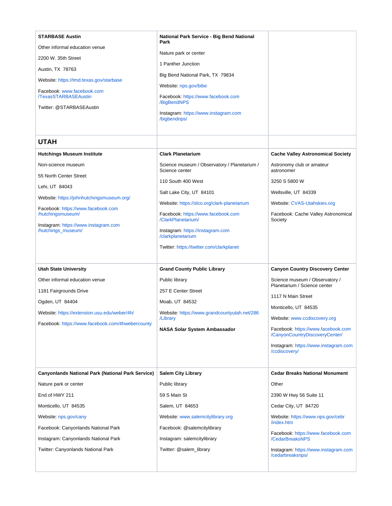<span id="page-48-0"></span>

| <b>STARBASE Austin</b><br>Other informal education venue<br>2200 W. 35th Street<br>Austin, TX 78763<br>Website: https://tmd.texas.gov/starbase<br>Facebook: www.facebook.com<br><b>/TexasSTARBASEAustin</b><br>Twitter: @STARBASEAustin                                   | National Park Service - Big Bend National<br>Park<br>Nature park or center<br>1 Panther Junction<br>Big Bend National Park, TX 79834<br>Website: nps.gov/bibe<br>Facebook: https://www.facebook.com<br>/BigBendNPS<br>Instagram: https://www.instagram.com<br>/bigbendnps/                                                                                   |                                                                                                                                                                                                                                                                                                                         |
|---------------------------------------------------------------------------------------------------------------------------------------------------------------------------------------------------------------------------------------------------------------------------|--------------------------------------------------------------------------------------------------------------------------------------------------------------------------------------------------------------------------------------------------------------------------------------------------------------------------------------------------------------|-------------------------------------------------------------------------------------------------------------------------------------------------------------------------------------------------------------------------------------------------------------------------------------------------------------------------|
| <b>UTAH</b>                                                                                                                                                                                                                                                               |                                                                                                                                                                                                                                                                                                                                                              |                                                                                                                                                                                                                                                                                                                         |
| <b>Hutchings Museum Institute</b><br>Non-science museum<br>55 North Center Street<br>Lehi, UT 84043<br>Website: https://johnhutchingsmuseum.org/<br>Facebook: https://www.facebook.com<br>/hutchingsmuseum/<br>Instagram: https://www.instagram.com<br>/hutchings_museum/ | <b>Clark Planetarium</b><br>Science museum / Observatory / Planetarium /<br>Science center<br>110 South 400 West<br>Salt Lake City, UT 84101<br>Website: https://slco.org/clark-planetarium<br>Facebook: https://www.facebook.com<br>/ClarkPlanetarium/<br>Instagram: https://instagram.com<br>/clarkplanetarium<br>Twitter: https://twitter.com/clarkplanet | <b>Cache Valley Astronomical Society</b><br>Astronomy club or amateur<br>astronomer<br>3250 S 5800 W<br>Wellsville, UT 84339<br>Website: CVAS-Utahskies.org<br>Facebook: Cache Valley Astronomical<br>Society                                                                                                           |
| <b>Utah State University</b><br>Other informal education venue<br>1181 Fairgrounds Drive<br>Ogden, UT 84404<br>Website: https://extension.usu.edu/weber/4h/<br>Facebook: https://www.facebook.com/4hwebercounty                                                           | <b>Grand County Public Library</b><br>Public library<br>257 E Center Street<br>Moab, UT 84532<br>Website: https://www.grandcountyutah.net/286<br>/Library<br><b>NASA Solar System Ambassador</b>                                                                                                                                                             | <b>Canyon Country Discovery Center</b><br>Science museum / Observatory /<br>Planetarium / Science center<br>1117 N Main Street<br>Monticello, UT 84535<br>Website: www.ccdiscovery.org<br>Facebook: https://www.facebook.com<br>/CanyonCountryDiscoveryCenter/<br>Instagram: https://www.instagram.com<br>/ccdiscovery/ |
| <b>Canyonlands National Park (National Park Service)</b><br>Nature park or center<br>End of HWY 211<br>Monticello, UT 84535<br>Website: nps.gov/cany<br>Facebook: Canyonlands National Park<br>Instagram: Canyonlands National Park<br>Twitter: Canyonlands National Park | <b>Salem City Library</b><br>Public library<br>59 S Main St<br>Salem, UT 84653<br>Website: www.salemcitylibrary.org<br>Facebook: @salemcitylibrary<br>Instagram: salemcitylibrary<br>Twitter: @salem_library                                                                                                                                                 | <b>Cedar Breaks National Monument</b><br>Other<br>2390 W Hwy 56 Suite 11<br>Cedar City, UT 84720<br>Website: https://www.nps.gov/cebr<br>/index.htm<br>Facebook: https://www.facebook.com<br>/CedarBreaksNPS<br>Instagram: https://www.instagram.com<br>/cedarbreaksnps/                                                |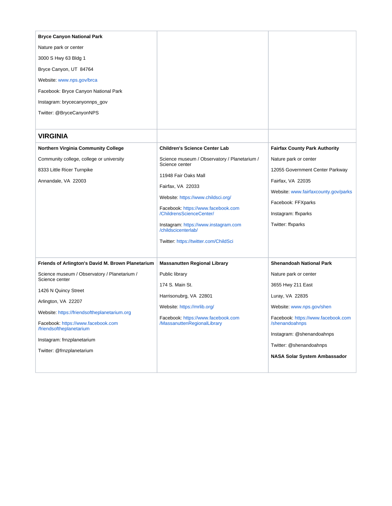<span id="page-49-0"></span>

| <b>Bryce Canyon National Park</b>                                                                                                                                                                                                                                                          |                                                                                                                                                                                                                                                                                                                             |                                                                                                                                                                                                            |
|--------------------------------------------------------------------------------------------------------------------------------------------------------------------------------------------------------------------------------------------------------------------------------------------|-----------------------------------------------------------------------------------------------------------------------------------------------------------------------------------------------------------------------------------------------------------------------------------------------------------------------------|------------------------------------------------------------------------------------------------------------------------------------------------------------------------------------------------------------|
| Nature park or center                                                                                                                                                                                                                                                                      |                                                                                                                                                                                                                                                                                                                             |                                                                                                                                                                                                            |
| 3000 S Hwy 63 Bldg 1                                                                                                                                                                                                                                                                       |                                                                                                                                                                                                                                                                                                                             |                                                                                                                                                                                                            |
| Bryce Canyon, UT 84764                                                                                                                                                                                                                                                                     |                                                                                                                                                                                                                                                                                                                             |                                                                                                                                                                                                            |
| Website: www.nps.gov/brca                                                                                                                                                                                                                                                                  |                                                                                                                                                                                                                                                                                                                             |                                                                                                                                                                                                            |
| Facebook: Bryce Canyon National Park                                                                                                                                                                                                                                                       |                                                                                                                                                                                                                                                                                                                             |                                                                                                                                                                                                            |
| Instagram: brycecanyonnps_gov                                                                                                                                                                                                                                                              |                                                                                                                                                                                                                                                                                                                             |                                                                                                                                                                                                            |
| Twitter: @BryceCanyonNPS                                                                                                                                                                                                                                                                   |                                                                                                                                                                                                                                                                                                                             |                                                                                                                                                                                                            |
|                                                                                                                                                                                                                                                                                            |                                                                                                                                                                                                                                                                                                                             |                                                                                                                                                                                                            |
| <b>VIRGINIA</b>                                                                                                                                                                                                                                                                            |                                                                                                                                                                                                                                                                                                                             |                                                                                                                                                                                                            |
| Northern Virginia Community College                                                                                                                                                                                                                                                        | <b>Children's Science Center Lab</b>                                                                                                                                                                                                                                                                                        | <b>Fairfax County Park Authority</b>                                                                                                                                                                       |
| Community college, college or university<br>8333 Little Ricer Turnpike<br>Annandale, VA 22003                                                                                                                                                                                              | Science museum / Observatory / Planetarium /<br>Science center<br>11948 Fair Oaks Mall<br>Fairfax, VA 22033<br>Website: https://www.childsci.org/<br>Facebook: https://www.facebook.com<br>/ChildrensScienceCenter/<br>Instagram: https://www.instagram.com<br>/childscicenterlab/<br>Twitter: https://twitter.com/ChildSci | Nature park or center<br>12055 Government Center Parkway<br>Fairfax, VA 22035<br>Website: www.fairfaxcounty.gov/parks<br>Facebook: FFXparks<br>Instagram: ffxparks<br>Twitter: ffxparks                    |
| Friends of Arlington's David M. Brown Planetarium                                                                                                                                                                                                                                          | <b>Massanutten Regional Library</b>                                                                                                                                                                                                                                                                                         | <b>Shenandoah National Park</b>                                                                                                                                                                            |
| Science museum / Observatory / Planetarium /<br>Science center<br>1426 N Quincy Street<br>Arlington, VA 22207<br>Website: https://friendsoftheplanetarium.org<br>Facebook: https://www.facebook.com<br>/friendsoftheplanetarium<br>Instagram: frnzplanetarium<br>Twitter: @frnzplanetarium | Public library<br>174 S. Main St.<br>Harrisonubrg, VA 22801<br>Website: https://mrlib.org/<br>Facebook: https://www.facebook.com<br>/MassanuttenRegionalLibrary                                                                                                                                                             | Nature park or center<br>3655 Hwy 211 East<br>Luray, VA 22835<br>Website: www.nps.gov/shen<br>Facebook: https://www.facebook.com<br>/shenandoahnps<br>Instagram: @shenandoahnps<br>Twitter: @shenandoahnps |
|                                                                                                                                                                                                                                                                                            |                                                                                                                                                                                                                                                                                                                             | <b>NASA Solar System Ambassador</b>                                                                                                                                                                        |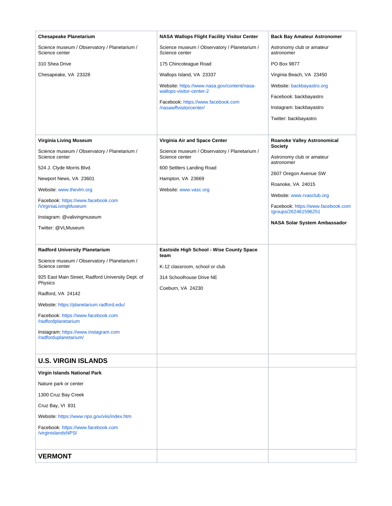<span id="page-50-1"></span><span id="page-50-0"></span>

| <b>Chesapeake Planetarium</b>                                                 | <b>NASA Wallops Flight Facility Visitor Center</b>                            | <b>Back Bay Amateur Astronomer</b>                         |
|-------------------------------------------------------------------------------|-------------------------------------------------------------------------------|------------------------------------------------------------|
| Science museum / Observatory / Planetarium /<br>Science center                | Science museum / Observatory / Planetarium /<br>Science center                | Astronomy club or amateur<br>astronomer                    |
| 310 Shea Drive                                                                | 175 Chincoteague Road                                                         | PO Box 9877                                                |
| Chesapeake, VA 23328                                                          | Wallops Island, VA 23337                                                      | Virginia Beach, VA 23450                                   |
|                                                                               | Website: https://www.nasa.gov/content/nasa-<br>wallops-visitor-center-2       | Website: backbayastro.org                                  |
|                                                                               | Facebook: https://www.facebook.com                                            | Facebook: backbayastro                                     |
|                                                                               | /nasawffvisitorcenter/                                                        | Instagram: backbayastro                                    |
|                                                                               |                                                                               | Twitter: backbayastro                                      |
|                                                                               |                                                                               |                                                            |
| <b>Virginia Living Museum</b><br>Science museum / Observatory / Planetarium / | Virginia Air and Space Center<br>Science museum / Observatory / Planetarium / | Roanoke Valley Astronomical<br><b>Society</b>              |
| Science center                                                                | Science center                                                                | Astronomy club or amateur<br>astronomer                    |
| 524 J. Clyde Morris Blvd.                                                     | 600 Settlers Landing Road                                                     | 2607 Oregon Avenue SW                                      |
| Newport News, VA 23601                                                        | Hampton, VA 23669                                                             | Roanoke, VA 24015                                          |
| Website: www.thevlm.org                                                       | Website: www.vasc.org                                                         | Website: www.rvasclub.org                                  |
| Facebook: https://www.facebook.com<br><b>NirginiaLivingMuseum</b>             |                                                                               | Facebook: https://www.facebook.com<br>/groups/262461596251 |
| Instagram: @valivingmuseum                                                    |                                                                               | NASA Solar System Ambassador                               |
| Twitter: @VLMuseum                                                            |                                                                               |                                                            |
|                                                                               |                                                                               |                                                            |
|                                                                               |                                                                               |                                                            |
| <b>Radford University Planetarium</b>                                         | Eastside High School - Wise County Space<br>team                              |                                                            |
| Science museum / Observatory / Planetarium /<br>Science center                | K-12 classroom, school or club                                                |                                                            |
| 925 East Main Street, Radford University Dept. of<br>Physics                  | 314 Schoolhouse Drive NE                                                      |                                                            |
| Radford, VA 24142                                                             | Coeburn, VA 24230                                                             |                                                            |
| Website: https://planetarium.radford.edu/                                     |                                                                               |                                                            |
| Facebook: https://www.facebook.com<br>/radfordplanetarium                     |                                                                               |                                                            |
| Instagram: https://www.instagram.com                                          |                                                                               |                                                            |
| /radforduplanetarium/                                                         |                                                                               |                                                            |
| <b>U.S. VIRGIN ISLANDS</b>                                                    |                                                                               |                                                            |
| Virgin Islands National Park                                                  |                                                                               |                                                            |
| Nature park or center                                                         |                                                                               |                                                            |
| 1300 Cruz Bay Creek                                                           |                                                                               |                                                            |
| Cruz Bay, VI 831                                                              |                                                                               |                                                            |
| Website: https://www.nps.gov/viis/index.htm                                   |                                                                               |                                                            |
| Facebook: https://www.facebook.com<br>/virginislandsNPS/                      |                                                                               |                                                            |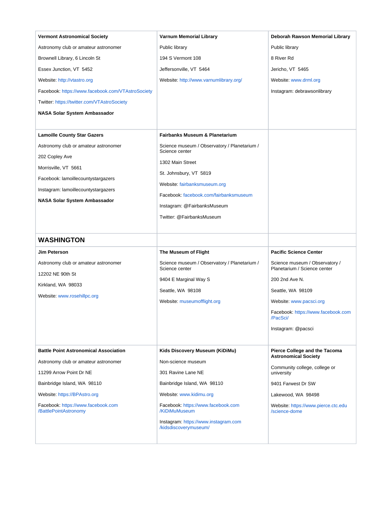<span id="page-51-0"></span>

| <b>Vermont Astronomical Society</b>                         | <b>Varnum Memorial Library</b>                                 | Deborah Rawson Memorial Library                                |
|-------------------------------------------------------------|----------------------------------------------------------------|----------------------------------------------------------------|
| Astronomy club or amateur astronomer                        | Public library                                                 | Public library                                                 |
| Brownell Library, 6 Lincoln St                              | 194 S Vermont 108                                              | 8 River Rd                                                     |
| Essex Junction, VT 5452                                     | Jeffersonville, VT 5464                                        | Jericho, VT 5465                                               |
| Website: http://vtastro.org                                 | Website: http://www.varnumlibrary.org/                         | Website: www.drml.org                                          |
| Facebook: https://www.facebook.com/VTAstroSociety           |                                                                | Instagram: debrawsonlibrary                                    |
| Twitter: https://twitter.com/VTAstroSociety                 |                                                                |                                                                |
| <b>NASA Solar System Ambassador</b>                         |                                                                |                                                                |
|                                                             |                                                                |                                                                |
| <b>Lamoille County Star Gazers</b>                          | <b>Fairbanks Museum &amp; Planetarium</b>                      |                                                                |
| Astronomy club or amateur astronomer                        | Science museum / Observatory / Planetarium /<br>Science center |                                                                |
| 202 Copley Ave                                              |                                                                |                                                                |
| Morrisville, VT 5661                                        | 1302 Main Street                                               |                                                                |
| Facebook: lamoillecountystargazers                          | St. Johnsbury, VT 5819<br>Website: fairbanksmuseum.org         |                                                                |
| Instagram: lamoillecountystargazers                         | Facebook: facebook.com/fairbanksmuseum                         |                                                                |
| NASA Solar System Ambassador                                | Instagram: @FairbanksMuseum                                    |                                                                |
|                                                             | Twitter: @FairbanksMuseum                                      |                                                                |
|                                                             |                                                                |                                                                |
|                                                             |                                                                |                                                                |
| <b>WASHINGTON</b>                                           |                                                                |                                                                |
| <b>Jim Peterson</b>                                         | The Museum of Flight                                           | <b>Pacific Science Center</b>                                  |
| Astronomy club or amateur astronomer                        | Science museum / Observatory / Planetarium /<br>Science center | Science museum / Observatory /<br>Planetarium / Science center |
| 12202 NE 90th St                                            | 9404 E Marginal Way S                                          | 200 2nd Ave N.                                                 |
| Kirkland, WA 98033                                          | Seattle, WA 98108                                              | Seattle, WA 98109                                              |
| Website: www.rosehillpc.org                                 | Website: museumofflight.org                                    | Website: www.pacsci.org                                        |
|                                                             |                                                                | Facebook: https://www.facebook.com                             |
|                                                             |                                                                | /PacSCI/                                                       |
|                                                             |                                                                | Instagram: @pacsci                                             |
|                                                             |                                                                |                                                                |
| <b>Battle Point Astronomical Association</b>                | Kids Discovery Museum (KiDiMu)                                 | Pierce College and the Tacoma<br><b>Astronomical Society</b>   |
| Astronomy club or amateur astronomer                        | Non-science museum                                             | Community college, college or                                  |
| 11299 Arrow Point Dr NE                                     | 301 Ravine Lane NE                                             | university                                                     |
| Bainbridge Island, WA 98110                                 | Bainbridge Island, WA 98110                                    | 9401 Farwest Dr SW                                             |
| Website: https://BPAstro.org                                | Website: www.kidimu.org                                        | Lakewood, WA 98498                                             |
| Facebook: https://www.facebook.com<br>/BattlePointAstronomy | Facebook: https://www.facebook.com<br>/KiDiMuMuseum            | Website: https://www.pierce.ctc.edu<br>/science-dome           |
|                                                             | Instagram: https://www.instagram.com<br>/kidsdiscoverymuseum/  |                                                                |
|                                                             |                                                                |                                                                |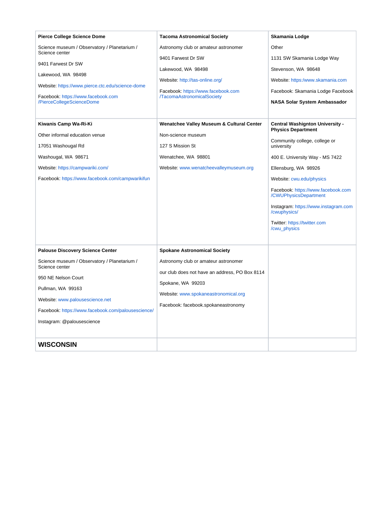<span id="page-52-0"></span>

| <b>Pierce College Science Dome</b>                                                                                                                                                                                                                                           | <b>Tacoma Astronomical Society</b>                                                                                                                                                                                                | Skamania Lodge                                                                                                                                                                                                                                                                                                                                                                   |
|------------------------------------------------------------------------------------------------------------------------------------------------------------------------------------------------------------------------------------------------------------------------------|-----------------------------------------------------------------------------------------------------------------------------------------------------------------------------------------------------------------------------------|----------------------------------------------------------------------------------------------------------------------------------------------------------------------------------------------------------------------------------------------------------------------------------------------------------------------------------------------------------------------------------|
| Science museum / Observatory / Planetarium /                                                                                                                                                                                                                                 | Astronomy club or amateur astronomer                                                                                                                                                                                              | Other                                                                                                                                                                                                                                                                                                                                                                            |
| Science center<br>9401 Farwest Dr SW<br>Lakewood, WA 98498<br>Website: https://www.pierce.ctc.edu/science-dome<br>Facebook: https://www.facebook.com<br>/PierceCollegeScienceDome                                                                                            | 9401 Farwest Dr SW<br>Lakewood, WA 98498<br>Website: http://tas-online.org/                                                                                                                                                       | 1131 SW Skamania Lodge Way<br>Stevenson, WA 98648<br>Website: https:/www.skamania.com                                                                                                                                                                                                                                                                                            |
|                                                                                                                                                                                                                                                                              | Facebook: https://www.facebook.com<br>/TacomaAstronomicalSociety                                                                                                                                                                  | Facebook: Skamania Lodge Facebook<br><b>NASA Solar System Ambassador</b>                                                                                                                                                                                                                                                                                                         |
| Kiwanis Camp Wa-Ri-Ki<br>Other informal education venue<br>17051 Washougal Rd<br>Washougal, WA 98671<br>Website: https://campwariki.com/<br>Facebook: https://www.facebook.com/campwarikifun                                                                                 | Wenatchee Valley Museum & Cultural Center<br>Non-science museum<br>127 S Mission St<br>Wenatchee, WA 98801<br>Website: www.wenatcheevalleymuseum.org                                                                              | <b>Central Washignton University -</b><br><b>Physics Department</b><br>Community college, college or<br>university<br>400 E. University Way - MS 7422<br>Ellensburg, WA 98926<br>Website: cwu.edu/physics<br>Facebook: https://www.facebook.com<br>/CWUPhysicsDepartment<br>Instagram: https://www.instagram.com<br>/cwuphysics/<br>Twitter: https://twitter.com<br>/cwu_physics |
| <b>Palouse Discovery Science Center</b><br>Science museum / Observatory / Planetarium /<br>Science center<br>950 NE Nelson Court<br>Pullman, WA 99163<br>Website: www.palousescience.net<br>Facebook: https://www.facebook.com/palousescience/<br>Instagram: @palousescience | <b>Spokane Astronomical Society</b><br>Astronomy club or amateur astronomer<br>our club does not have an address, PO Box 8114<br>Spokane, WA 99203<br>Website: www.spokaneastronomical.org<br>Facebook: facebook.spokaneastronomy |                                                                                                                                                                                                                                                                                                                                                                                  |
| <b>WISCONSIN</b>                                                                                                                                                                                                                                                             |                                                                                                                                                                                                                                   |                                                                                                                                                                                                                                                                                                                                                                                  |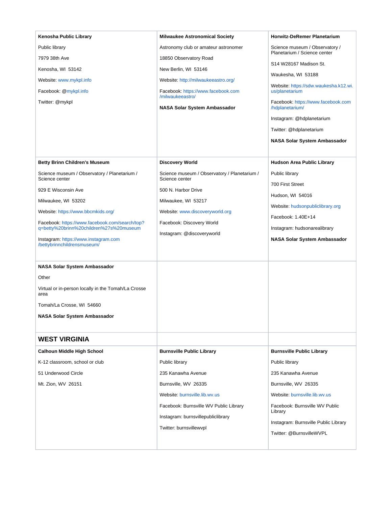<span id="page-53-0"></span>

| Kenosha Public Library                                                                    | <b>Milwaukee Astronomical Society</b>                          | <b>Horwitz-DeRemer Planetarium</b>                             |
|-------------------------------------------------------------------------------------------|----------------------------------------------------------------|----------------------------------------------------------------|
| Public library                                                                            | Astronomy club or amateur astronomer                           | Science museum / Observatory /<br>Planetarium / Science center |
| 7979 38th Ave                                                                             | 18850 Observatory Road                                         | S14 W28167 Madison St.                                         |
| Kenosha, WI 53142                                                                         | New Berlin, WI 53146                                           | Waukesha, WI 53188                                             |
| Website: www.mykpl.info                                                                   | Website: http://milwaukeeastro.org/                            | Website: https://sdw.waukesha.k12.wi.                          |
| Facebook: @mykpl.info                                                                     | Facebook: https://www.facebook.com<br>/milwaukeeastro/         | us/planetarium                                                 |
| Twitter: @mykpl                                                                           | NASA Solar System Ambassador                                   | Facebook: https://www.facebook.com<br>/hdplanetarium/          |
|                                                                                           |                                                                | Instagram: @hdplanetarium                                      |
|                                                                                           |                                                                | Twitter: @hdplanetarium                                        |
|                                                                                           |                                                                | NASA Solar System Ambassador                                   |
|                                                                                           |                                                                |                                                                |
| <b>Betty Brinn Children's Museum</b>                                                      | <b>Discovery World</b>                                         | <b>Hudson Area Public Library</b>                              |
| Science museum / Observatory / Planetarium /<br>Science center                            | Science museum / Observatory / Planetarium /<br>Science center | Public library                                                 |
| 929 E Wisconsin Ave                                                                       | 500 N. Harbor Drive                                            | 700 First Street                                               |
| Milwaukee, WI 53202                                                                       |                                                                | Hudson, WI 54016                                               |
|                                                                                           | Milwaukee, WI 53217<br>Website: www.discoveryworld.org         | Website: hudsonpubliclibrary.org                               |
| Website: https://www.bbcmkids.org/                                                        |                                                                | Facebook: 1.40E+14                                             |
| Facebook: https://www.facebook.com/search/top?<br>q=betty%20brinn%20children%27s%20museum | Facebook: Discovery World                                      | Instagram: hudsonarealibrary                                   |
| Instagram: https://www.instagram.com<br>/bettybrinnchildrensmuseum/                       | Instagram: @discoveryworld                                     | NASA Solar System Ambassador                                   |
| NASA Solar System Ambassador                                                              |                                                                |                                                                |
| Other                                                                                     |                                                                |                                                                |
| Virtual or in-person locally in the Tomah/La Crosse<br>area                               |                                                                |                                                                |
| Tomah/La Crosse, WI 54660                                                                 |                                                                |                                                                |
| NASA Solar System Ambassador                                                              |                                                                |                                                                |
|                                                                                           |                                                                |                                                                |
| <b>WEST VIRGINIA</b>                                                                      |                                                                |                                                                |
| <b>Calhoun Middle High School</b>                                                         | <b>Burnsville Public Library</b>                               | <b>Burnsville Public Library</b>                               |
| K-12 classroom, school or club                                                            | Public library                                                 | Public library                                                 |
| 51 Underwood Circle                                                                       | 235 Kanawha Avenue                                             | 235 Kanawha Avenue                                             |
| Mt. Zion, WV 26151                                                                        | Burnsville, WV 26335                                           | Burnsville, WV 26335                                           |
|                                                                                           | Website: burnsville.lib.wv.us                                  | Website: burnsville.lib.wv.us                                  |
|                                                                                           | Facebook: Burnsville WV Public Library                         | Facebook: Burnsville WV Public                                 |
|                                                                                           | Instagram: burnsvillepubliclibrary                             | Library                                                        |
|                                                                                           | Twitter: burnsvillewvpl                                        | Instagram: Burnsville Public Library                           |
|                                                                                           |                                                                | Twitter: @BurnsvilleWVPL                                       |
|                                                                                           |                                                                |                                                                |